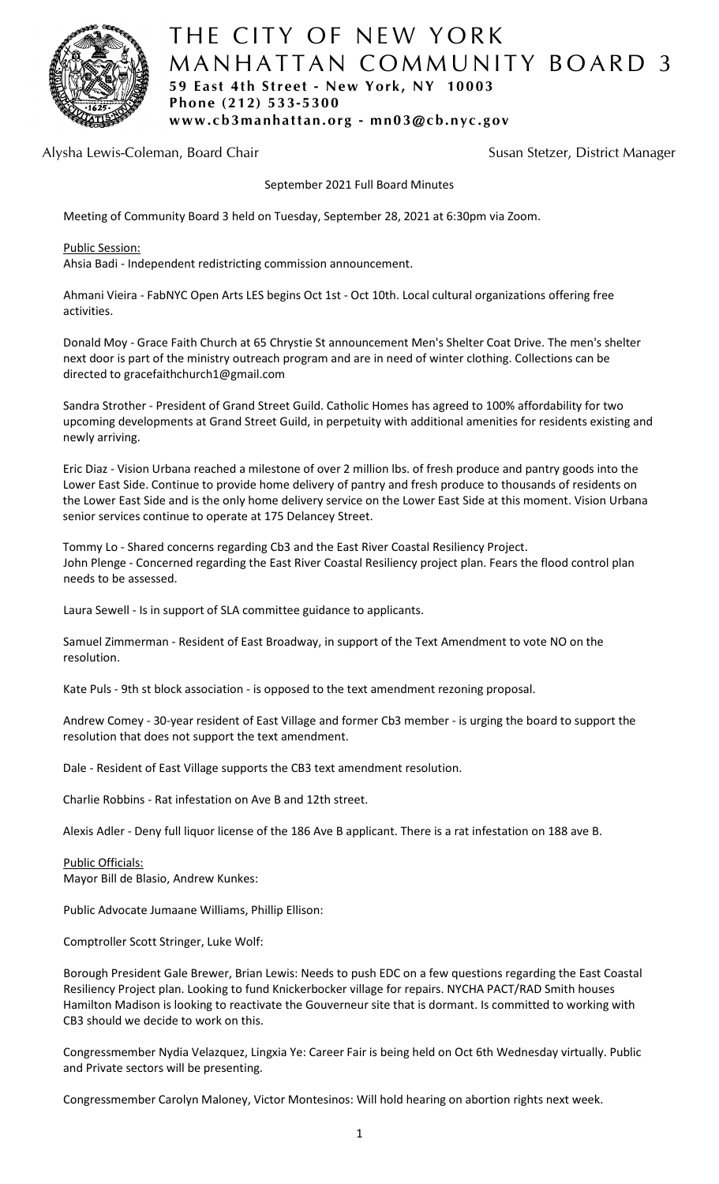

# THE CITY OF NEW YORK MANHATTAN COMMUNITY BOARD 3 **59 East 4th Street - New York, NY 10003 Phone (212) 533-5300 www.cb3manhattan.org - mn03@cb.nyc.gov**

Alysha Lewis-Coleman, Board Chair Susan Susan Stetzer, District Manager

September 2021 Full Board Minutes

Meeting of Community Board 3 held on Tuesday, September 28, 2021 at 6:30pm via Zoom.

Public Session:

Ahsia Badi - Independent redistricting commission announcement.

Ahmani Vieira - FabNYC Open Arts LES begins Oct 1st - Oct 10th. Local cultural organizations offering free activities.

Donald Moy - Grace Faith Church at 65 Chrystie St announcement Men's Shelter Coat Drive. The men's shelter next door is part of the ministry outreach program and are in need of winter clothing. Collections can be directed to gracefaithchurch1@gmail.com

Sandra Strother - President of Grand Street Guild. Catholic Homes has agreed to 100% affordability for two upcoming developments at Grand Street Guild, in perpetuity with additional amenities for residents existing and newly arriving.

Eric Diaz - Vision Urbana reached a milestone of over 2 million lbs. of fresh produce and pantry goods into the Lower East Side. Continue to provide home delivery of pantry and fresh produce to thousands of residents on the Lower East Side and is the only home delivery service on the Lower East Side at this moment. Vision Urbana senior services continue to operate at 175 Delancey Street.

Tommy Lo - Shared concerns regarding Cb3 and the East River Coastal Resiliency Project. John Plenge - Concerned regarding the East River Coastal Resiliency project plan. Fears the flood control plan needs to be assessed.

Laura Sewell - Is in support of SLA committee guidance to applicants.

Samuel Zimmerman - Resident of East Broadway, in support of the Text Amendment to vote NO on the resolution.

Kate Puls - 9th st block association - is opposed to the text amendment rezoning proposal.

Andrew Comey - 30-year resident of East Village and former Cb3 member - is urging the board to support the resolution that does not support the text amendment.

Dale - Resident of East Village supports the CB3 text amendment resolution.

Charlie Robbins - Rat infestation on Ave B and 12th street.

Alexis Adler - Deny full liquor license of the 186 Ave B applicant. There is a rat infestation on 188 ave B.

Public Officials: Mayor Bill de Blasio, Andrew Kunkes:

Public Advocate Jumaane Williams, Phillip Ellison:

Comptroller Scott Stringer, Luke Wolf:

Borough President Gale Brewer, Brian Lewis: Needs to push EDC on a few questions regarding the East Coastal Resiliency Project plan. Looking to fund Knickerbocker village for repairs. NYCHA PACT/RAD Smith houses Hamilton Madison is looking to reactivate the Gouverneur site that is dormant. Is committed to working with CB3 should we decide to work on this.

Congressmember Nydia Velazquez, Lingxia Ye: Career Fair is being held on Oct 6th Wednesday virtually. Public and Private sectors will be presenting.

Congressmember Carolyn Maloney, Victor Montesinos: Will hold hearing on abortion rights next week.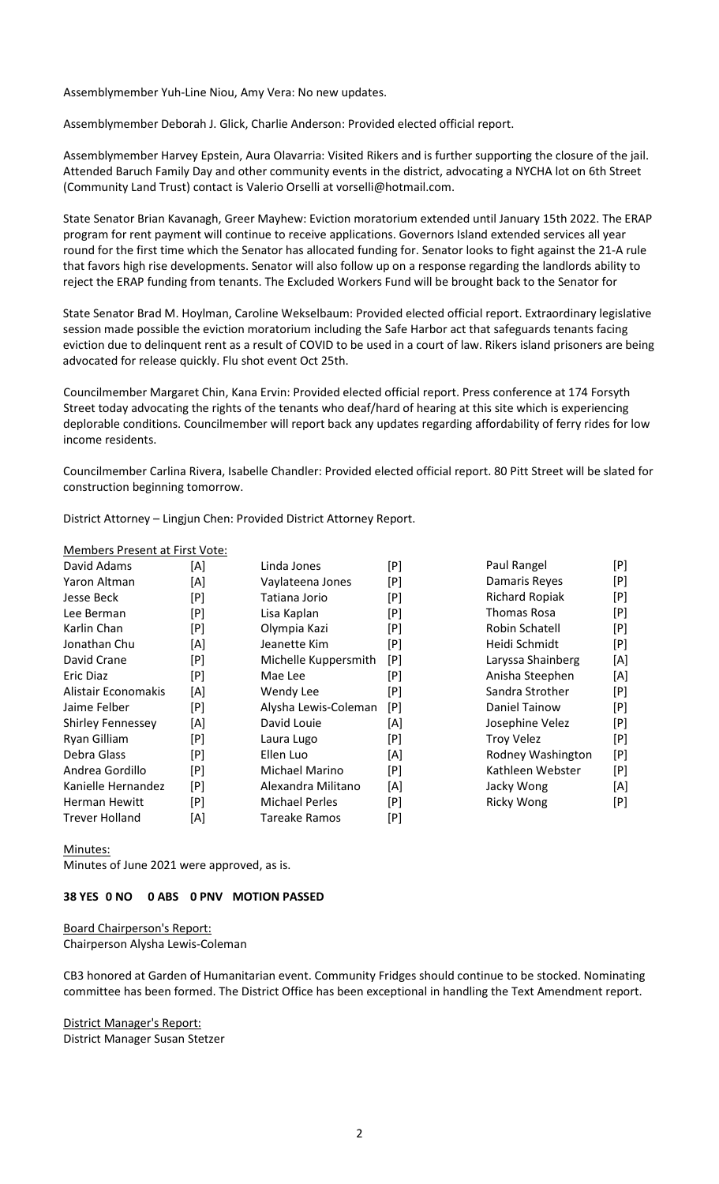Assemblymember Yuh-Line Niou, Amy Vera: No new updates.

Assemblymember Deborah J. Glick, Charlie Anderson: Provided elected official report.

Assemblymember Harvey Epstein, Aura Olavarria: Visited Rikers and is further supporting the closure of the jail. Attended Baruch Family Day and other community events in the district, advocating a NYCHA lot on 6th Street (Community Land Trust) contact is Valerio Orselli at vorselli@hotmail.com.

State Senator Brian Kavanagh, Greer Mayhew: Eviction moratorium extended until January 15th 2022. The ERAP program for rent payment will continue to receive applications. Governors Island extended services all year round for the first time which the Senator has allocated funding for. Senator looks to fight against the 21-A rule that favors high rise developments. Senator will also follow up on a response regarding the landlords ability to reject the ERAP funding from tenants. The Excluded Workers Fund will be brought back to the Senator for

State Senator Brad M. Hoylman, Caroline Wekselbaum: Provided elected official report. Extraordinary legislative session made possible the eviction moratorium including the Safe Harbor act that safeguards tenants facing eviction due to delinquent rent as a result of COVID to be used in a court of law. Rikers island prisoners are being advocated for release quickly. Flu shot event Oct 25th.

Councilmember Margaret Chin, Kana Ervin: Provided elected official report. Press conference at 174 Forsyth Street today advocating the rights of the tenants who deaf/hard of hearing at this site which is experiencing deplorable conditions. Councilmember will report back any updates regarding affordability of ferry rides for low income residents.

Councilmember Carlina Rivera, Isabelle Chandler: Provided elected official report. 80 Pitt Street will be slated for construction beginning tomorrow.

District Attorney – Lingjun Chen: Provided District Attorney Report.

#### Members Present at First Vote:

| David Adams              | [A] | Linda Jones           | [P] | Paul Rangel           | [P] |
|--------------------------|-----|-----------------------|-----|-----------------------|-----|
| Yaron Altman             | [A] | Vaylateena Jones      | [P] | Damaris Reyes         | [P] |
| Jesse Beck               | [P] | Tatiana Jorio         | [P] | <b>Richard Ropiak</b> | [P] |
| Lee Berman               | [P] | Lisa Kaplan           | [P] | Thomas Rosa           | [P] |
| Karlin Chan              | [P] | Olympia Kazi          | [P] | Robin Schatell        | [P] |
| Jonathan Chu             | [A] | Jeanette Kim          | [P] | Heidi Schmidt         | [P] |
| David Crane              | [P] | Michelle Kuppersmith  | [P] | Laryssa Shainberg     | [A] |
| Eric Diaz                | [P] | Mae Lee               | [P] | Anisha Steephen       | [A] |
| Alistair Economakis      | [A] | Wendy Lee             | [P] | Sandra Strother       | [P] |
| Jaime Felber             | [P] | Alysha Lewis-Coleman  | [P] | Daniel Tainow         | [P] |
| <b>Shirley Fennessey</b> | [A] | David Louie           | [A] | Josephine Velez       | [P] |
| Ryan Gilliam             | [P] | Laura Lugo            | [P] | <b>Troy Velez</b>     | [P] |
| Debra Glass              | [P] | Ellen Luo             | [A] | Rodney Washington     | [P] |
| Andrea Gordillo          | [P] | Michael Marino        | [P] | Kathleen Webster      | [P] |
| Kanielle Hernandez       | [P] | Alexandra Militano    | [A] | Jacky Wong            | [A] |
| <b>Herman Hewitt</b>     | [P] | <b>Michael Perles</b> | [P] | <b>Ricky Wong</b>     | [P] |
| <b>Trever Holland</b>    | [A] | <b>Tareake Ramos</b>  | [P] |                       |     |

Minutes:

Minutes of June 2021 were approved, as is.

#### **38 YES 0 NO 0 ABS 0 PNV MOTION PASSED**

Board Chairperson's Report: Chairperson Alysha Lewis-Coleman

CB3 honored at Garden of Humanitarian event. Community Fridges should continue to be stocked. Nominating committee has been formed. The District Office has been exceptional in handling the Text Amendment report.

District Manager's Report: District Manager Susan Stetzer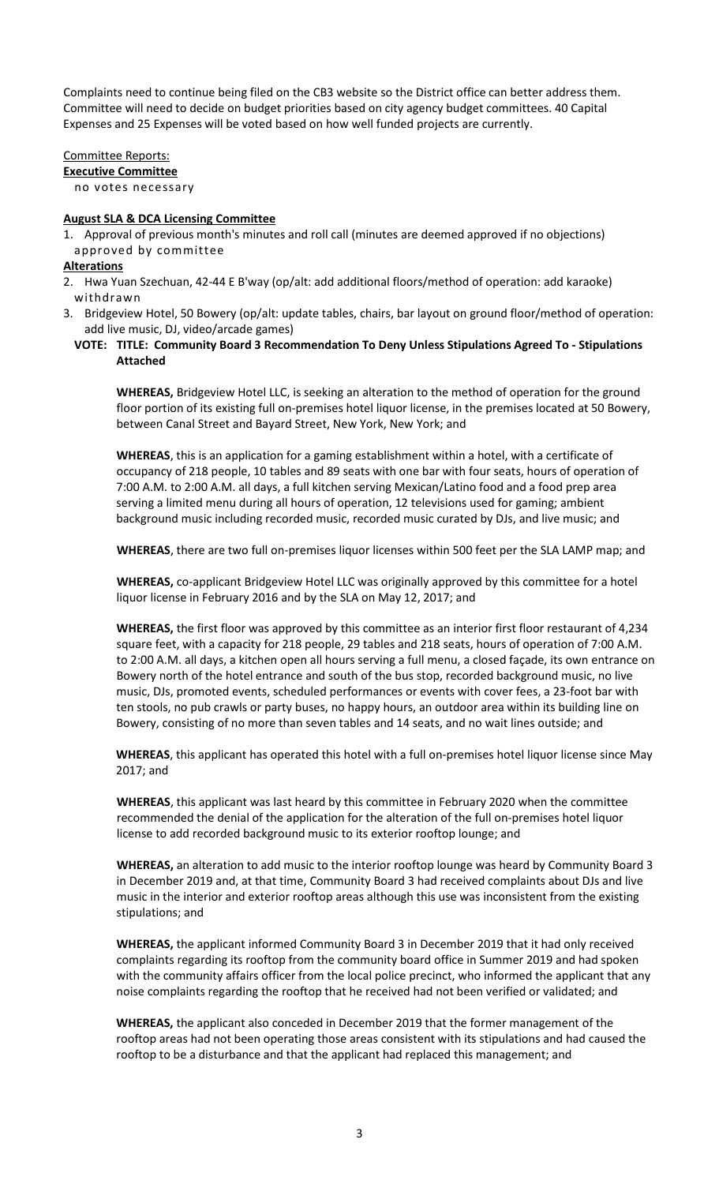Complaints need to continue being filed on the CB3 website so the District office can better address them. Committee will need to decide on budget priorities based on city agency budget committees. 40 Capital Expenses and 25 Expenses will be voted based on how well funded projects are currently.

Committee Reports: **Executive Committee** no votes necessary

#### **August SLA & DCA Licensing Committee**

1. Approval of previous month's minutes and roll call (minutes are deemed approved if no objections) approved by committee

### **Alterations**

- 2. Hwa Yuan Szechuan, 42-44 E B'way (op/alt: add additional floors/method of operation: add karaoke) withdrawn
- 3. Bridgeview Hotel, 50 Bowery (op/alt: update tables, chairs, bar layout on ground floor/method of operation: add live music, DJ, video/arcade games)
	- **VOTE: TITLE: Community Board 3 Recommendation To Deny Unless Stipulations Agreed To - Stipulations Attached**

**WHEREAS,** Bridgeview Hotel LLC, is seeking an alteration to the method of operation for the ground floor portion of its existing full on-premises hotel liquor license, in the premises located at 50 Bowery, between Canal Street and Bayard Street, New York, New York; and

**WHEREAS**, this is an application for a gaming establishment within a hotel, with a certificate of occupancy of 218 people, 10 tables and 89 seats with one bar with four seats, hours of operation of 7:00 A.M. to 2:00 A.M. all days, a full kitchen serving Mexican/Latino food and a food prep area serving a limited menu during all hours of operation, 12 televisions used for gaming; ambient background music including recorded music, recorded music curated by DJs, and live music; and

**WHEREAS**, there are two full on-premises liquor licenses within 500 feet per the SLA LAMP map; and

**WHEREAS,** co-applicant Bridgeview Hotel LLC was originally approved by this committee for a hotel liquor license in February 2016 and by the SLA on May 12, 2017; and

**WHEREAS,** the first floor was approved by this committee as an interior first floor restaurant of 4,234 square feet, with a capacity for 218 people, 29 tables and 218 seats, hours of operation of 7:00 A.M. to 2:00 A.M. all days, a kitchen open all hours serving a full menu, a closed façade, its own entrance on Bowery north of the hotel entrance and south of the bus stop, recorded background music, no live music, DJs, promoted events, scheduled performances or events with cover fees, a 23-foot bar with ten stools, no pub crawls or party buses, no happy hours, an outdoor area within its building line on Bowery, consisting of no more than seven tables and 14 seats, and no wait lines outside; and

**WHEREAS**, this applicant has operated this hotel with a full on-premises hotel liquor license since May 2017; and

**WHEREAS**, this applicant was last heard by this committee in February 2020 when the committee recommended the denial of the application for the alteration of the full on-premises hotel liquor license to add recorded background music to its exterior rooftop lounge; and

**WHEREAS,** an alteration to add music to the interior rooftop lounge was heard by Community Board 3 in December 2019 and, at that time, Community Board 3 had received complaints about DJs and live music in the interior and exterior rooftop areas although this use was inconsistent from the existing stipulations; and

**WHEREAS,** the applicant informed Community Board 3 in December 2019 that it had only received complaints regarding its rooftop from the community board office in Summer 2019 and had spoken with the community affairs officer from the local police precinct, who informed the applicant that any noise complaints regarding the rooftop that he received had not been verified or validated; and

**WHEREAS,** the applicant also conceded in December 2019 that the former management of the rooftop areas had not been operating those areas consistent with its stipulations and had caused the rooftop to be a disturbance and that the applicant had replaced this management; and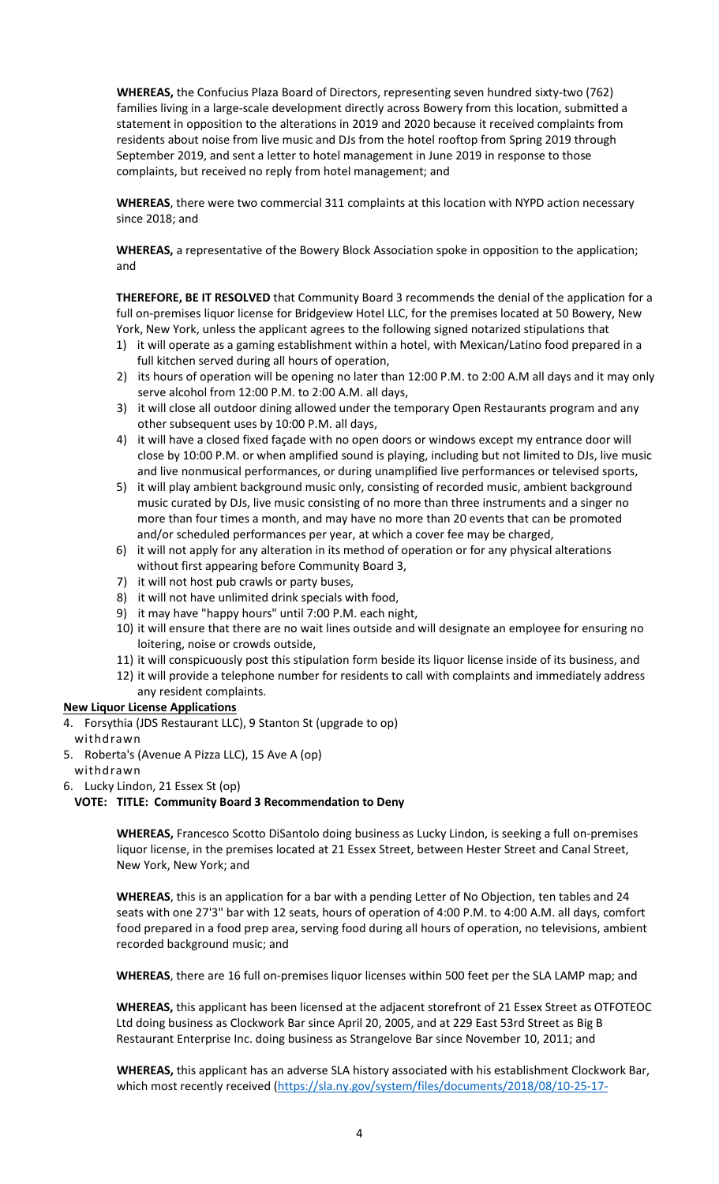**WHEREAS,** the Confucius Plaza Board of Directors, representing seven hundred sixty-two (762) families living in a large-scale development directly across Bowery from this location, submitted a statement in opposition to the alterations in 2019 and 2020 because it received complaints from residents about noise from live music and DJs from the hotel rooftop from Spring 2019 through September 2019, and sent a letter to hotel management in June 2019 in response to those complaints, but received no reply from hotel management; and

**WHEREAS**, there were two commercial 311 complaints at this location with NYPD action necessary since 2018; and

**WHEREAS,** a representative of the Bowery Block Association spoke in opposition to the application; and

**THEREFORE, BE IT RESOLVED** that Community Board 3 recommends the denial of the application for a full on-premises liquor license for Bridgeview Hotel LLC, for the premises located at 50 Bowery, New York, New York, unless the applicant agrees to the following signed notarized stipulations that

- 1) it will operate as a gaming establishment within a hotel, with Mexican/Latino food prepared in a full kitchen served during all hours of operation,
- 2) its hours of operation will be opening no later than 12:00 P.M. to 2:00 A.M all days and it may only serve alcohol from 12:00 P.M. to 2:00 A.M. all days,
- 3) it will close all outdoor dining allowed under the temporary Open Restaurants program and any other subsequent uses by 10:00 P.M. all days,
- 4) it will have a closed fixed façade with no open doors or windows except my entrance door will close by 10:00 P.M. or when amplified sound is playing, including but not limited to DJs, live music and live nonmusical performances, or during unamplified live performances or televised sports,
- 5) it will play ambient background music only, consisting of recorded music, ambient background music curated by DJs, live music consisting of no more than three instruments and a singer no more than four times a month, and may have no more than 20 events that can be promoted and/or scheduled performances per year, at which a cover fee may be charged,
- 6) it will not apply for any alteration in its method of operation or for any physical alterations without first appearing before Community Board 3,
- 7) it will not host pub crawls or party buses,
- 8) it will not have unlimited drink specials with food,
- 9) it may have "happy hours" until 7:00 P.M. each night,
- 10) it will ensure that there are no wait lines outside and will designate an employee for ensuring no loitering, noise or crowds outside,
- 11) it will conspicuously post this stipulation form beside its liquor license inside of its business, and
- 12) it will provide a telephone number for residents to call with complaints and immediately address any resident complaints.

# **New Liquor License Applications**

- 4. Forsythia (JDS Restaurant LLC), 9 Stanton St (upgrade to op)
- withdrawn
- 5. Roberta's (Avenue A Pizza LLC), 15 Ave A (op) withdrawn
- 6. Lucky Lindon, 21 Essex St (op)

#### **VOTE: TITLE: Community Board 3 Recommendation to Deny**

**WHEREAS,** Francesco Scotto DiSantolo doing business as Lucky Lindon, is seeking a full on-premises liquor license, in the premises located at 21 Essex Street, between Hester Street and Canal Street, New York, New York; and

**WHEREAS**, this is an application for a bar with a pending Letter of No Objection, ten tables and 24 seats with one 27'3" bar with 12 seats, hours of operation of 4:00 P.M. to 4:00 A.M. all days, comfort food prepared in a food prep area, serving food during all hours of operation, no televisions, ambient recorded background music; and

**WHEREAS**, there are 16 full on-premises liquor licenses within 500 feet per the SLA LAMP map; and

**WHEREAS,** this applicant has been licensed at the adjacent storefront of 21 Essex Street as OTFOTEOC Ltd doing business as Clockwork Bar since April 20, 2005, and at 229 East 53rd Street as Big B Restaurant Enterprise Inc. doing business as Strangelove Bar since November 10, 2011; and

**WHEREAS,** this applicant has an adverse SLA history associated with his establishment Clockwork Bar, which most recently received [\(https://sla.ny.gov/system/files/documents/2018/08/10-25-17-](https://sla.ny.gov/system/files/documents/2018/08/10-25-17-disciplinary.pdf)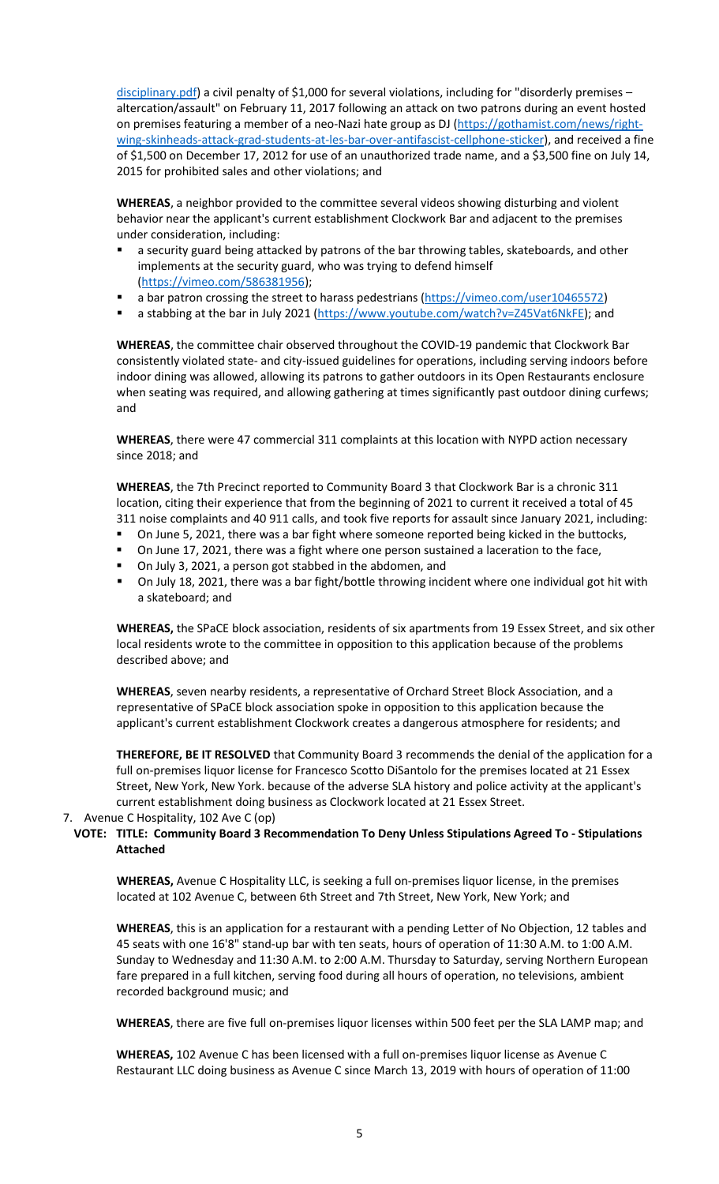[disciplinary.pdf\)](https://sla.ny.gov/system/files/documents/2018/08/10-25-17-disciplinary.pdf) a civil penalty of \$1,000 for several violations, including for "disorderly premises altercation/assault" on February 11, 2017 following an attack on two patrons during an event hosted on premises featuring a member of a neo-Nazi hate group as DJ (https://gothamist.com/news/rightwing-skinheads-attack-grad-students-at-les-bar-over-antifascist-cellphone-sticker), and received a fine of \$1,500 on December 17, 2012 for use of an unauthorized trade name, and a \$3,500 fine on July 14, 2015 for prohibited sales and other violations; and

**WHEREAS**, a neighbor provided to the committee several videos showing disturbing and violent behavior near the applicant's current establishment Clockwork Bar and adjacent to the premises under consideration, including:

- a security guard being attacked by patrons of the bar throwing tables, skateboards, and other implements at the security guard, who was trying to defend himself [\(https://vimeo.com/586381956\)](https://vimeo.com/586381956);
- a bar patron crossing the street to harass pedestrians [\(https://vimeo.com/user10465572\)](https://vimeo.com/user10465572)
- a stabbing at the bar in July 2021 [\(https://www.youtube.com/watch?v=Z45Vat6NkFE\)](https://www.youtube.com/watch?v=Z45Vat6NkFE); and

**WHEREAS**, the committee chair observed throughout the COVID-19 pandemic that Clockwork Bar consistently violated state- and city-issued guidelines for operations, including serving indoors before indoor dining was allowed, allowing its patrons to gather outdoors in its Open Restaurants enclosure when seating was required, and allowing gathering at times significantly past outdoor dining curfews; and

**WHEREAS**, there were 47 commercial 311 complaints at this location with NYPD action necessary since 2018; and

**WHEREAS**, the 7th Precinct reported to Community Board 3 that Clockwork Bar is a chronic 311 location, citing their experience that from the beginning of 2021 to current it received a total of 45 311 noise complaints and 40 911 calls, and took five reports for assault since January 2021, including:

- On June 5, 2021, there was a bar fight where someone reported being kicked in the buttocks,
- On June 17, 2021, there was a fight where one person sustained a laceration to the face,
- On July 3, 2021, a person got stabbed in the abdomen, and
- On July 18, 2021, there was a bar fight/bottle throwing incident where one individual got hit with a skateboard; and

**WHEREAS,** the SPaCE block association, residents of six apartments from 19 Essex Street, and six other local residents wrote to the committee in opposition to this application because of the problems described above; and

**WHEREAS**, seven nearby residents, a representative of Orchard Street Block Association, and a representative of SPaCE block association spoke in opposition to this application because the applicant's current establishment Clockwork creates a dangerous atmosphere for residents; and

**THEREFORE, BE IT RESOLVED** that Community Board 3 recommends the denial of the application for a full on-premises liquor license for Francesco Scotto DiSantolo for the premises located at 21 Essex Street, New York, New York. because of the adverse SLA history and police activity at the applicant's current establishment doing business as Clockwork located at 21 Essex Street.

7. Avenue C Hospitality, 102 Ave C (op)

### **VOTE: TITLE: Community Board 3 Recommendation To Deny Unless Stipulations Agreed To - Stipulations Attached**

**WHEREAS,** Avenue C Hospitality LLC, is seeking a full on-premises liquor license, in the premises located at 102 Avenue C, between 6th Street and 7th Street, New York, New York; and

**WHEREAS**, this is an application for a restaurant with a pending Letter of No Objection, 12 tables and 45 seats with one 16'8" stand-up bar with ten seats, hours of operation of 11:30 A.M. to 1:00 A.M. Sunday to Wednesday and 11:30 A.M. to 2:00 A.M. Thursday to Saturday, serving Northern European fare prepared in a full kitchen, serving food during all hours of operation, no televisions, ambient recorded background music; and

**WHEREAS**, there are five full on-premises liquor licenses within 500 feet per the SLA LAMP map; and

**WHEREAS,** 102 Avenue C has been licensed with a full on-premises liquor license as Avenue C Restaurant LLC doing business as Avenue C since March 13, 2019 with hours of operation of 11:00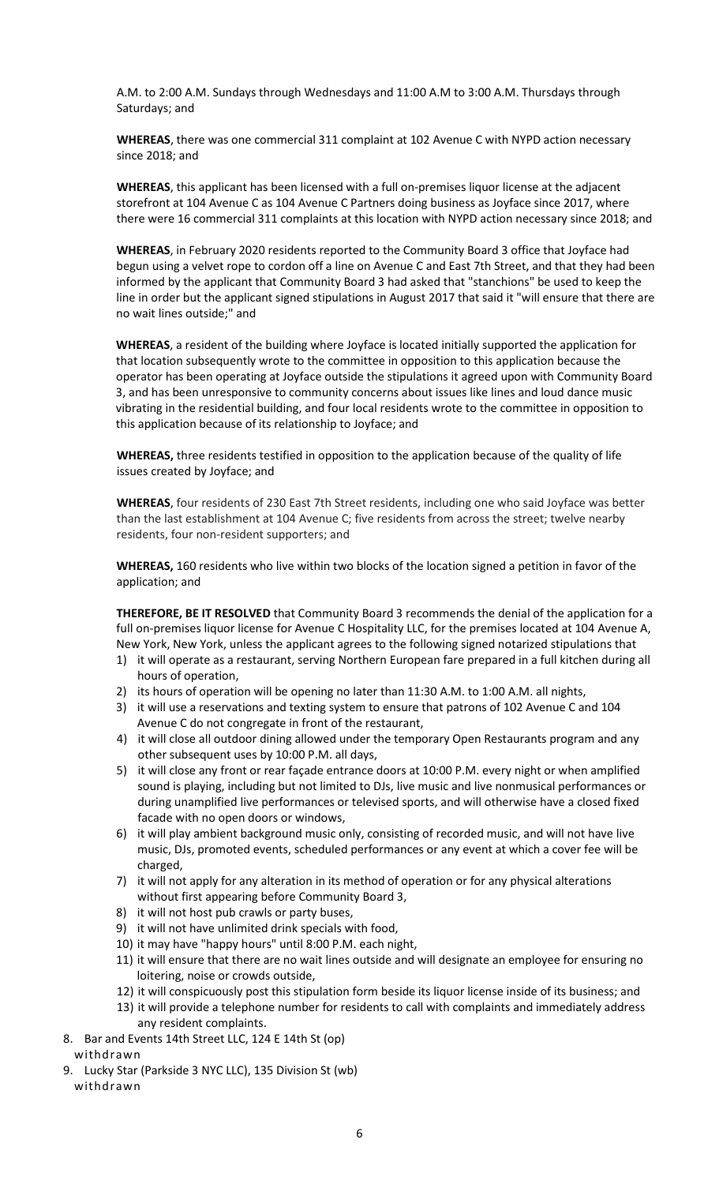A.M. to 2:00 A.M. Sundays through Wednesdays and 11:00 A.M to 3:00 A.M. Thursdays through Saturdays; and

**WHEREAS**, there was one commercial 311 complaint at 102 Avenue C with NYPD action necessary since 2018; and

**WHEREAS**, this applicant has been licensed with a full on-premises liquor license at the adjacent storefront at 104 Avenue C as 104 Avenue C Partners doing business as Joyface since 2017, where there were 16 commercial 311 complaints at this location with NYPD action necessary since 2018; and

**WHEREAS**, in February 2020 residents reported to the Community Board 3 office that Joyface had begun using a velvet rope to cordon off a line on Avenue C and East 7th Street, and that they had been informed by the applicant that Community Board 3 had asked that "stanchions" be used to keep the line in order but the applicant signed stipulations in August 2017 that said it "will ensure that there are no wait lines outside;" and

**WHEREAS**, a resident of the building where Joyface is located initially supported the application for that location subsequently wrote to the committee in opposition to this application because the operator has been operating at Joyface outside the stipulations it agreed upon with Community Board 3, and has been unresponsive to community concerns about issues like lines and loud dance music vibrating in the residential building, and four local residents wrote to the committee in opposition to this application because of its relationship to Joyface; and

**WHEREAS,** three residents testified in opposition to the application because of the quality of life issues created by Joyface; and

**WHEREAS**, four residents of 230 East 7th Street residents, including one who said Joyface was better than the last establishment at 104 Avenue C; five residents from across the street; twelve nearby residents, four non-resident supporters; and

**WHEREAS,** 160 residents who live within two blocks of the location signed a petition in favor of the application; and

**THEREFORE, BE IT RESOLVED** that Community Board 3 recommends the denial of the application for a full on-premises liquor license for Avenue C Hospitality LLC, for the premises located at 104 Avenue A, New York, New York, unless the applicant agrees to the following signed notarized stipulations that

- 1) it will operate as a restaurant, serving Northern European fare prepared in a full kitchen during all hours of operation,
- 2) its hours of operation will be opening no later than 11:30 A.M. to 1:00 A.M. all nights,
- 3) it will use a reservations and texting system to ensure that patrons of 102 Avenue C and 104 Avenue C do not congregate in front of the restaurant,
- 4) it will close all outdoor dining allowed under the temporary Open Restaurants program and any other subsequent uses by 10:00 P.M. all days,
- 5) it will close any front or rear façade entrance doors at 10:00 P.M. every night or when amplified sound is playing, including but not limited to DJs, live music and live nonmusical performances or during unamplified live performances or televised sports, and will otherwise have a closed fixed facade with no open doors or windows,
- 6) it will play ambient background music only, consisting of recorded music, and will not have live music, DJs, promoted events, scheduled performances or any event at which a cover fee will be charged,
- 7) it will not apply for any alteration in its method of operation or for any physical alterations without first appearing before Community Board 3,
- 8) it will not host pub crawls or party buses,
- 9) it will not have unlimited drink specials with food,
- 10) it may have "happy hours" until 8:00 P.M. each night,
- 11) it will ensure that there are no wait lines outside and will designate an employee for ensuring no loitering, noise or crowds outside,
- 12) it will conspicuously post this stipulation form beside its liquor license inside of its business; and
- 13) it will provide a telephone number for residents to call with complaints and immediately address any resident complaints.
- 8. Bar and Events 14th Street LLC, 124 E 14th St (op)
- withdrawn
- 9. Lucky Star (Parkside 3 NYC LLC), 135 Division St (wb) withdrawn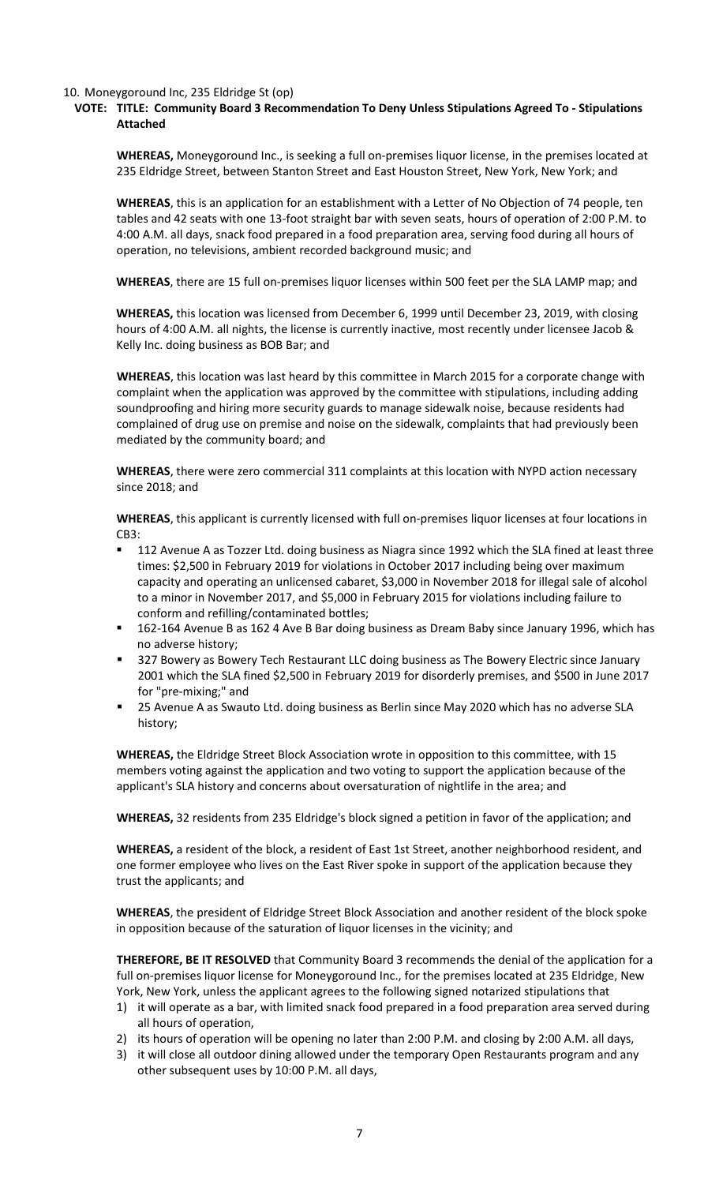#### 10. Moneygoround Inc, 235 Eldridge St (op)

#### **VOTE: TITLE: Community Board 3 Recommendation To Deny Unless Stipulations Agreed To - Stipulations Attached**

**WHEREAS,** Moneygoround Inc., is seeking a full on-premises liquor license, in the premises located at 235 Eldridge Street, between Stanton Street and East Houston Street, New York, New York; and

**WHEREAS**, this is an application for an establishment with a Letter of No Objection of 74 people, ten tables and 42 seats with one 13-foot straight bar with seven seats, hours of operation of 2:00 P.M. to 4:00 A.M. all days, snack food prepared in a food preparation area, serving food during all hours of operation, no televisions, ambient recorded background music; and

**WHEREAS**, there are 15 full on-premises liquor licenses within 500 feet per the SLA LAMP map; and

**WHEREAS,** this location was licensed from December 6, 1999 until December 23, 2019, with closing hours of 4:00 A.M. all nights, the license is currently inactive, most recently under licensee Jacob & Kelly Inc. doing business as BOB Bar; and

**WHEREAS**, this location was last heard by this committee in March 2015 for a corporate change with complaint when the application was approved by the committee with stipulations, including adding soundproofing and hiring more security guards to manage sidewalk noise, because residents had complained of drug use on premise and noise on the sidewalk, complaints that had previously been mediated by the community board; and

**WHEREAS**, there were zero commercial 311 complaints at this location with NYPD action necessary since 2018; and

**WHEREAS**, this applicant is currently licensed with full on-premises liquor licenses at four locations in CB3:

- 112 Avenue A as Tozzer Ltd. doing business as Niagra since 1992 which the SLA fined at least three times: \$2,500 in February 2019 for violations in October 2017 including being over maximum capacity and operating an unlicensed cabaret, \$3,000 in November 2018 for illegal sale of alcohol to a minor in November 2017, and \$5,000 in February 2015 for violations including failure to conform and refilling/contaminated bottles;
- 162-164 Avenue B as 162 4 Ave B Bar doing business as Dream Baby since January 1996, which has no adverse history;
- **527 Bowery as Bowery Tech Restaurant LLC doing business as The Bowery Electric since January** 2001 which the SLA fined \$2,500 in February 2019 for disorderly premises, and \$500 in June 2017 for "pre-mixing;" and
- 25 Avenue A as Swauto Ltd. doing business as Berlin since May 2020 which has no adverse SLA history;

**WHEREAS,** the Eldridge Street Block Association wrote in opposition to this committee, with 15 members voting against the application and two voting to support the application because of the applicant's SLA history and concerns about oversaturation of nightlife in the area; and

**WHEREAS,** 32 residents from 235 Eldridge's block signed a petition in favor of the application; and

**WHEREAS,** a resident of the block, a resident of East 1st Street, another neighborhood resident, and one former employee who lives on the East River spoke in support of the application because they trust the applicants; and

**WHEREAS**, the president of Eldridge Street Block Association and another resident of the block spoke in opposition because of the saturation of liquor licenses in the vicinity; and

**THEREFORE, BE IT RESOLVED** that Community Board 3 recommends the denial of the application for a full on-premises liquor license for Moneygoround Inc., for the premises located at 235 Eldridge, New York, New York, unless the applicant agrees to the following signed notarized stipulations that

- 1) it will operate as a bar, with limited snack food prepared in a food preparation area served during all hours of operation,
- 2) its hours of operation will be opening no later than 2:00 P.M. and closing by 2:00 A.M. all days,
- 3) it will close all outdoor dining allowed under the temporary Open Restaurants program and any other subsequent uses by 10:00 P.M. all days,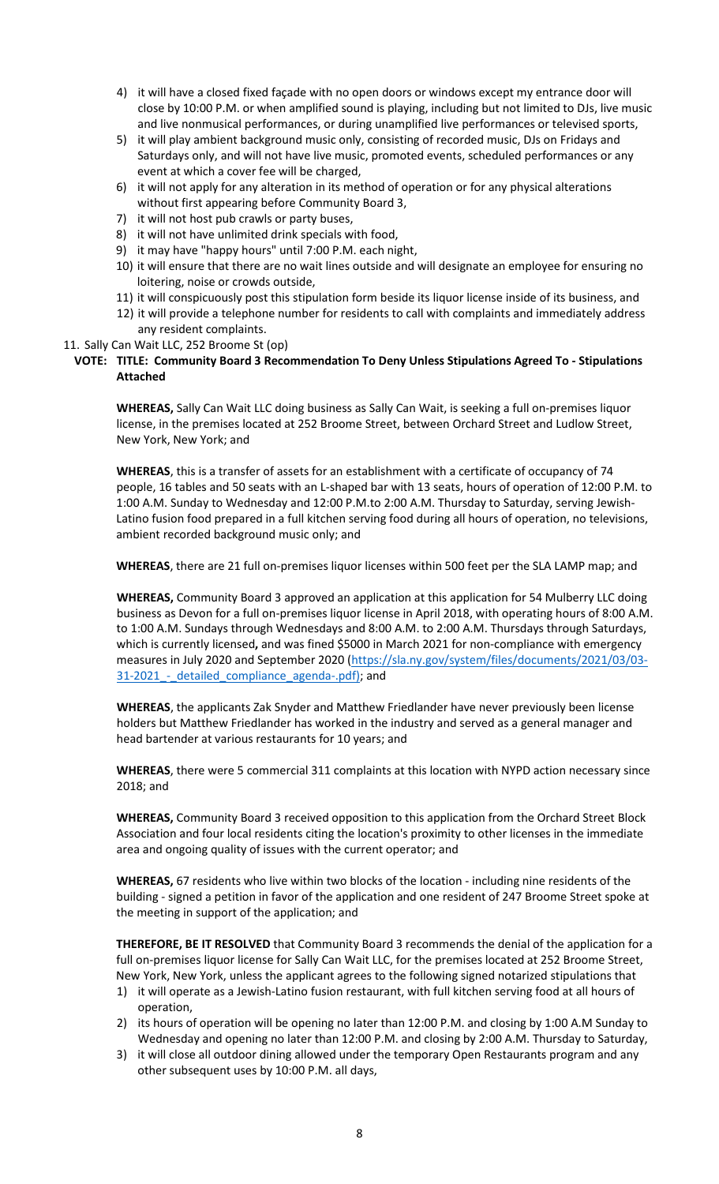- 4) it will have a closed fixed façade with no open doors or windows except my entrance door will close by 10:00 P.M. or when amplified sound is playing, including but not limited to DJs, live music and live nonmusical performances, or during unamplified live performances or televised sports,
- 5) it will play ambient background music only, consisting of recorded music, DJs on Fridays and Saturdays only, and will not have live music, promoted events, scheduled performances or any event at which a cover fee will be charged,
- 6) it will not apply for any alteration in its method of operation or for any physical alterations without first appearing before Community Board 3,
- 7) it will not host pub crawls or party buses,
- 8) it will not have unlimited drink specials with food,
- 9) it may have "happy hours" until 7:00 P.M. each night,
- 10) it will ensure that there are no wait lines outside and will designate an employee for ensuring no loitering, noise or crowds outside,
- 11) it will conspicuously post this stipulation form beside its liquor license inside of its business, and
- 12) it will provide a telephone number for residents to call with complaints and immediately address any resident complaints.

### 11. Sally Can Wait LLC, 252 Broome St (op)

### **VOTE: TITLE: Community Board 3 Recommendation To Deny Unless Stipulations Agreed To - Stipulations Attached**

**WHEREAS,** Sally Can Wait LLC doing business as Sally Can Wait, is seeking a full on-premises liquor license, in the premises located at 252 Broome Street, between Orchard Street and Ludlow Street, New York, New York; and

**WHEREAS**, this is a transfer of assets for an establishment with a certificate of occupancy of 74 people, 16 tables and 50 seats with an L-shaped bar with 13 seats, hours of operation of 12:00 P.M. to 1:00 A.M. Sunday to Wednesday and 12:00 P.M.to 2:00 A.M. Thursday to Saturday, serving Jewish-Latino fusion food prepared in a full kitchen serving food during all hours of operation, no televisions, ambient recorded background music only; and

**WHEREAS**, there are 21 full on-premises liquor licenses within 500 feet per the SLA LAMP map; and

**WHEREAS,** Community Board 3 approved an application at this application for 54 Mulberry LLC doing business as Devon for a full on-premises liquor license in April 2018, with operating hours of 8:00 A.M. to 1:00 A.M. Sundays through Wednesdays and 8:00 A.M. to 2:00 A.M. Thursdays through Saturdays, which is currently licensed**,** and was fined \$5000 in March 2021 for non-compliance with emergency measures in July 2020 and September 2020 [\(https://sla.ny.gov/system/files/documents/2021/03/03-](https://sla.ny.gov/system/files/documents/2021/03/03-31-2021_-_detailed_compliance_agenda-.pdf) 31-2021 - detailed compliance agenda-.pdf); and

**WHEREAS**, the applicants Zak Snyder and Matthew Friedlander have never previously been license holders but Matthew Friedlander has worked in the industry and served as a general manager and head bartender at various restaurants for 10 years; and

**WHEREAS**, there were 5 commercial 311 complaints at this location with NYPD action necessary since 2018; and

**WHEREAS,** Community Board 3 received opposition to this application from the Orchard Street Block Association and four local residents citing the location's proximity to other licenses in the immediate area and ongoing quality of issues with the current operator; and

**WHEREAS,** 67 residents who live within two blocks of the location - including nine residents of the building - signed a petition in favor of the application and one resident of 247 Broome Street spoke at the meeting in support of the application; and

**THEREFORE, BE IT RESOLVED** that Community Board 3 recommends the denial of the application for a full on-premises liquor license for Sally Can Wait LLC, for the premises located at 252 Broome Street, New York, New York, unless the applicant agrees to the following signed notarized stipulations that

- 1) it will operate as a Jewish-Latino fusion restaurant, with full kitchen serving food at all hours of operation,
- 2) its hours of operation will be opening no later than 12:00 P.M. and closing by 1:00 A.M Sunday to Wednesday and opening no later than 12:00 P.M. and closing by 2:00 A.M. Thursday to Saturday,
- 3) it will close all outdoor dining allowed under the temporary Open Restaurants program and any other subsequent uses by 10:00 P.M. all days,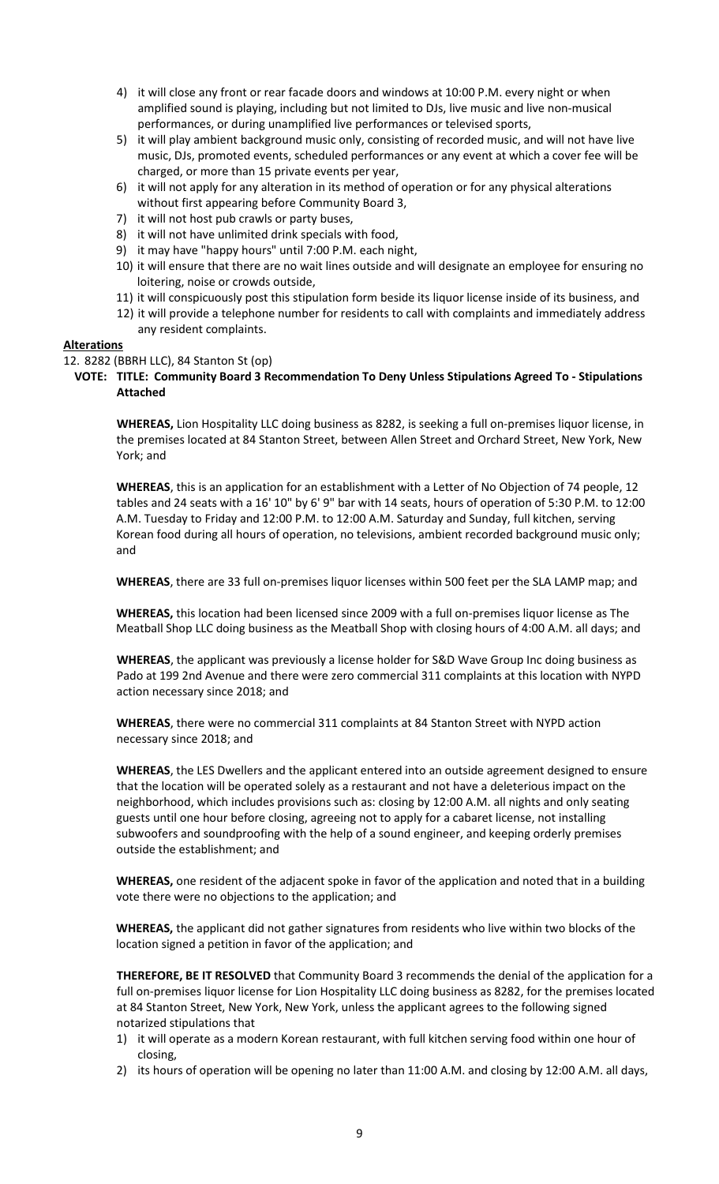- 4) it will close any front or rear facade doors and windows at 10:00 P.M. every night or when amplified sound is playing, including but not limited to DJs, live music and live non-musical performances, or during unamplified live performances or televised sports,
- 5) it will play ambient background music only, consisting of recorded music, and will not have live music, DJs, promoted events, scheduled performances or any event at which a cover fee will be charged, or more than 15 private events per year,
- 6) it will not apply for any alteration in its method of operation or for any physical alterations without first appearing before Community Board 3,
- 7) it will not host pub crawls or party buses,
- 8) it will not have unlimited drink specials with food,
- 9) it may have "happy hours" until 7:00 P.M. each night,
- 10) it will ensure that there are no wait lines outside and will designate an employee for ensuring no loitering, noise or crowds outside,
- 11) it will conspicuously post this stipulation form beside its liquor license inside of its business, and
- 12) it will provide a telephone number for residents to call with complaints and immediately address any resident complaints.

### **Alterations**

#### 12. 8282 (BBRH LLC), 84 Stanton St (op)

**VOTE: TITLE: Community Board 3 Recommendation To Deny Unless Stipulations Agreed To - Stipulations Attached**

**WHEREAS,** Lion Hospitality LLC doing business as 8282, is seeking a full on-premises liquor license, in the premises located at 84 Stanton Street, between Allen Street and Orchard Street, New York, New York; and

**WHEREAS**, this is an application for an establishment with a Letter of No Objection of 74 people, 12 tables and 24 seats with a 16' 10" by 6' 9" bar with 14 seats, hours of operation of 5:30 P.M. to 12:00 A.M. Tuesday to Friday and 12:00 P.M. to 12:00 A.M. Saturday and Sunday, full kitchen, serving Korean food during all hours of operation, no televisions, ambient recorded background music only; and

**WHEREAS**, there are 33 full on-premises liquor licenses within 500 feet per the SLA LAMP map; and

**WHEREAS,** this location had been licensed since 2009 with a full on-premises liquor license as The Meatball Shop LLC doing business as the Meatball Shop with closing hours of 4:00 A.M. all days; and

**WHEREAS**, the applicant was previously a license holder for S&D Wave Group Inc doing business as Pado at 199 2nd Avenue and there were zero commercial 311 complaints at this location with NYPD action necessary since 2018; and

**WHEREAS**, there were no commercial 311 complaints at 84 Stanton Street with NYPD action necessary since 2018; and

**WHEREAS**, the LES Dwellers and the applicant entered into an outside agreement designed to ensure that the location will be operated solely as a restaurant and not have a deleterious impact on the neighborhood, which includes provisions such as: closing by 12:00 A.M. all nights and only seating guests until one hour before closing, agreeing not to apply for a cabaret license, not installing subwoofers and soundproofing with the help of a sound engineer, and keeping orderly premises outside the establishment; and

**WHEREAS,** one resident of the adjacent spoke in favor of the application and noted that in a building vote there were no objections to the application; and

**WHEREAS,** the applicant did not gather signatures from residents who live within two blocks of the location signed a petition in favor of the application; and

**THEREFORE, BE IT RESOLVED** that Community Board 3 recommends the denial of the application for a full on-premises liquor license for Lion Hospitality LLC doing business as 8282, for the premises located at 84 Stanton Street, New York, New York, unless the applicant agrees to the following signed notarized stipulations that

- 1) it will operate as a modern Korean restaurant, with full kitchen serving food within one hour of closing,
- 2) its hours of operation will be opening no later than 11:00 A.M. and closing by 12:00 A.M. all days,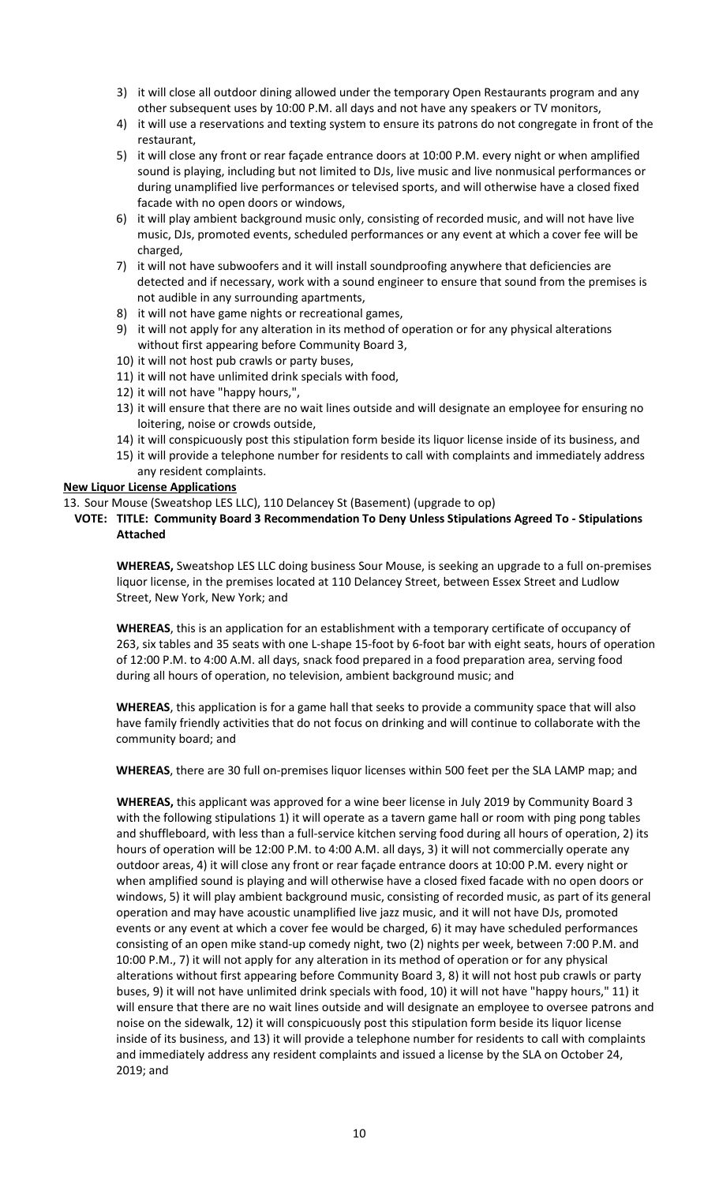- 3) it will close all outdoor dining allowed under the temporary Open Restaurants program and any other subsequent uses by 10:00 P.M. all days and not have any speakers or TV monitors,
- 4) it will use a reservations and texting system to ensure its patrons do not congregate in front of the restaurant,
- 5) it will close any front or rear façade entrance doors at 10:00 P.M. every night or when amplified sound is playing, including but not limited to DJs, live music and live nonmusical performances or during unamplified live performances or televised sports, and will otherwise have a closed fixed facade with no open doors or windows,
- 6) it will play ambient background music only, consisting of recorded music, and will not have live music, DJs, promoted events, scheduled performances or any event at which a cover fee will be charged,
- 7) it will not have subwoofers and it will install soundproofing anywhere that deficiencies are detected and if necessary, work with a sound engineer to ensure that sound from the premises is not audible in any surrounding apartments,
- 8) it will not have game nights or recreational games,
- 9) it will not apply for any alteration in its method of operation or for any physical alterations without first appearing before Community Board 3,
- 10) it will not host pub crawls or party buses,
- 11) it will not have unlimited drink specials with food,
- 12) it will not have "happy hours,",
- 13) it will ensure that there are no wait lines outside and will designate an employee for ensuring no loitering, noise or crowds outside,
- 14) it will conspicuously post this stipulation form beside its liquor license inside of its business, and
- 15) it will provide a telephone number for residents to call with complaints and immediately address any resident complaints.

# **New Liquor License Applications**

- 13. Sour Mouse (Sweatshop LES LLC), 110 Delancey St (Basement) (upgrade to op)
	- **VOTE: TITLE: Community Board 3 Recommendation To Deny Unless Stipulations Agreed To - Stipulations Attached**

**WHEREAS,** Sweatshop LES LLC doing business Sour Mouse, is seeking an upgrade to a full on-premises liquor license, in the premises located at 110 Delancey Street, between Essex Street and Ludlow Street, New York, New York; and

**WHEREAS**, this is an application for an establishment with a temporary certificate of occupancy of 263, six tables and 35 seats with one L-shape 15-foot by 6-foot bar with eight seats, hours of operation of 12:00 P.M. to 4:00 A.M. all days, snack food prepared in a food preparation area, serving food during all hours of operation, no television, ambient background music; and

**WHEREAS**, this application is for a game hall that seeks to provide a community space that will also have family friendly activities that do not focus on drinking and will continue to collaborate with the community board; and

**WHEREAS**, there are 30 full on-premises liquor licenses within 500 feet per the SLA LAMP map; and

**WHEREAS,** this applicant was approved for a wine beer license in July 2019 by Community Board 3 with the following stipulations 1) it will operate as a tavern game hall or room with ping pong tables and shuffleboard, with less than a full-service kitchen serving food during all hours of operation, 2) its hours of operation will be 12:00 P.M. to 4:00 A.M. all days, 3) it will not commercially operate any outdoor areas, 4) it will close any front or rear façade entrance doors at 10:00 P.M. every night or when amplified sound is playing and will otherwise have a closed fixed facade with no open doors or windows, 5) it will play ambient background music, consisting of recorded music, as part of its general operation and may have acoustic unamplified live jazz music, and it will not have DJs, promoted events or any event at which a cover fee would be charged, 6) it may have scheduled performances consisting of an open mike stand-up comedy night, two (2) nights per week, between 7:00 P.M. and 10:00 P.M., 7) it will not apply for any alteration in its method of operation or for any physical alterations without first appearing before Community Board 3, 8) it will not host pub crawls or party buses, 9) it will not have unlimited drink specials with food, 10) it will not have "happy hours," 11) it will ensure that there are no wait lines outside and will designate an employee to oversee patrons and noise on the sidewalk, 12) it will conspicuously post this stipulation form beside its liquor license inside of its business, and 13) it will provide a telephone number for residents to call with complaints and immediately address any resident complaints and issued a license by the SLA on October 24, 2019; and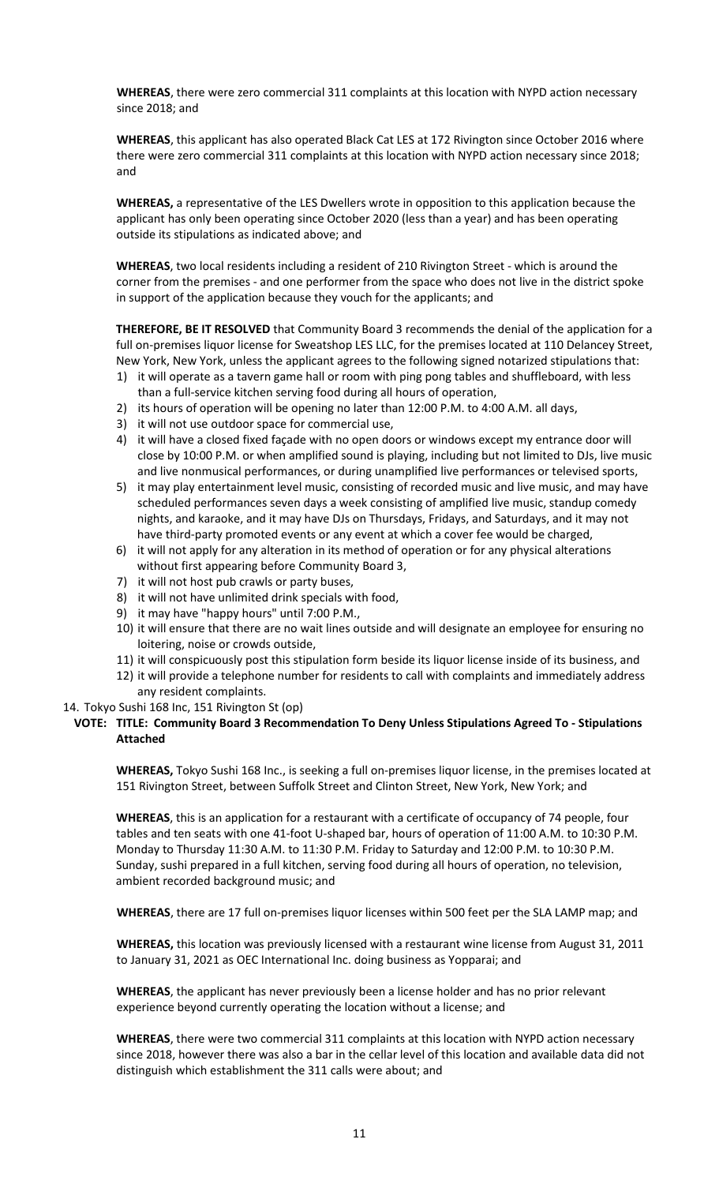**WHEREAS**, there were zero commercial 311 complaints at this location with NYPD action necessary since 2018; and

**WHEREAS**, this applicant has also operated Black Cat LES at 172 Rivington since October 2016 where there were zero commercial 311 complaints at this location with NYPD action necessary since 2018; and

**WHEREAS,** a representative of the LES Dwellers wrote in opposition to this application because the applicant has only been operating since October 2020 (less than a year) and has been operating outside its stipulations as indicated above; and

**WHEREAS**, two local residents including a resident of 210 Rivington Street - which is around the corner from the premises - and one performer from the space who does not live in the district spoke in support of the application because they vouch for the applicants; and

**THEREFORE, BE IT RESOLVED** that Community Board 3 recommends the denial of the application for a full on-premises liquor license for Sweatshop LES LLC, for the premises located at 110 Delancey Street, New York, New York, unless the applicant agrees to the following signed notarized stipulations that:

- 1) it will operate as a tavern game hall or room with ping pong tables and shuffleboard, with less than a full-service kitchen serving food during all hours of operation,
- 2) its hours of operation will be opening no later than 12:00 P.M. to 4:00 A.M. all days,
- 3) it will not use outdoor space for commercial use,
- 4) it will have a closed fixed façade with no open doors or windows except my entrance door will close by 10:00 P.M. or when amplified sound is playing, including but not limited to DJs, live music and live nonmusical performances, or during unamplified live performances or televised sports,
- 5) it may play entertainment level music, consisting of recorded music and live music, and may have scheduled performances seven days a week consisting of amplified live music, standup comedy nights, and karaoke, and it may have DJs on Thursdays, Fridays, and Saturdays, and it may not have third-party promoted events or any event at which a cover fee would be charged,
- 6) it will not apply for any alteration in its method of operation or for any physical alterations without first appearing before Community Board 3,
- 7) it will not host pub crawls or party buses,
- 8) it will not have unlimited drink specials with food,
- 9) it may have "happy hours" until 7:00 P.M.,
- 10) it will ensure that there are no wait lines outside and will designate an employee for ensuring no loitering, noise or crowds outside,
- 11) it will conspicuously post this stipulation form beside its liquor license inside of its business, and
- 12) it will provide a telephone number for residents to call with complaints and immediately address any resident complaints.
- 14. Tokyo Sushi 168 Inc, 151 Rivington St (op)
- **VOTE: TITLE: Community Board 3 Recommendation To Deny Unless Stipulations Agreed To - Stipulations Attached**

**WHEREAS,** Tokyo Sushi 168 Inc., is seeking a full on-premises liquor license, in the premises located at 151 Rivington Street, between Suffolk Street and Clinton Street, New York, New York; and

**WHEREAS**, this is an application for a restaurant with a certificate of occupancy of 74 people, four tables and ten seats with one 41-foot U-shaped bar, hours of operation of 11:00 A.M. to 10:30 P.M. Monday to Thursday 11:30 A.M. to 11:30 P.M. Friday to Saturday and 12:00 P.M. to 10:30 P.M. Sunday, sushi prepared in a full kitchen, serving food during all hours of operation, no television, ambient recorded background music; and

**WHEREAS**, there are 17 full on-premises liquor licenses within 500 feet per the SLA LAMP map; and

**WHEREAS,** this location was previously licensed with a restaurant wine license from August 31, 2011 to January 31, 2021 as OEC International Inc. doing business as Yopparai; and

**WHEREAS**, the applicant has never previously been a license holder and has no prior relevant experience beyond currently operating the location without a license; and

**WHEREAS**, there were two commercial 311 complaints at this location with NYPD action necessary since 2018, however there was also a bar in the cellar level of this location and available data did not distinguish which establishment the 311 calls were about; and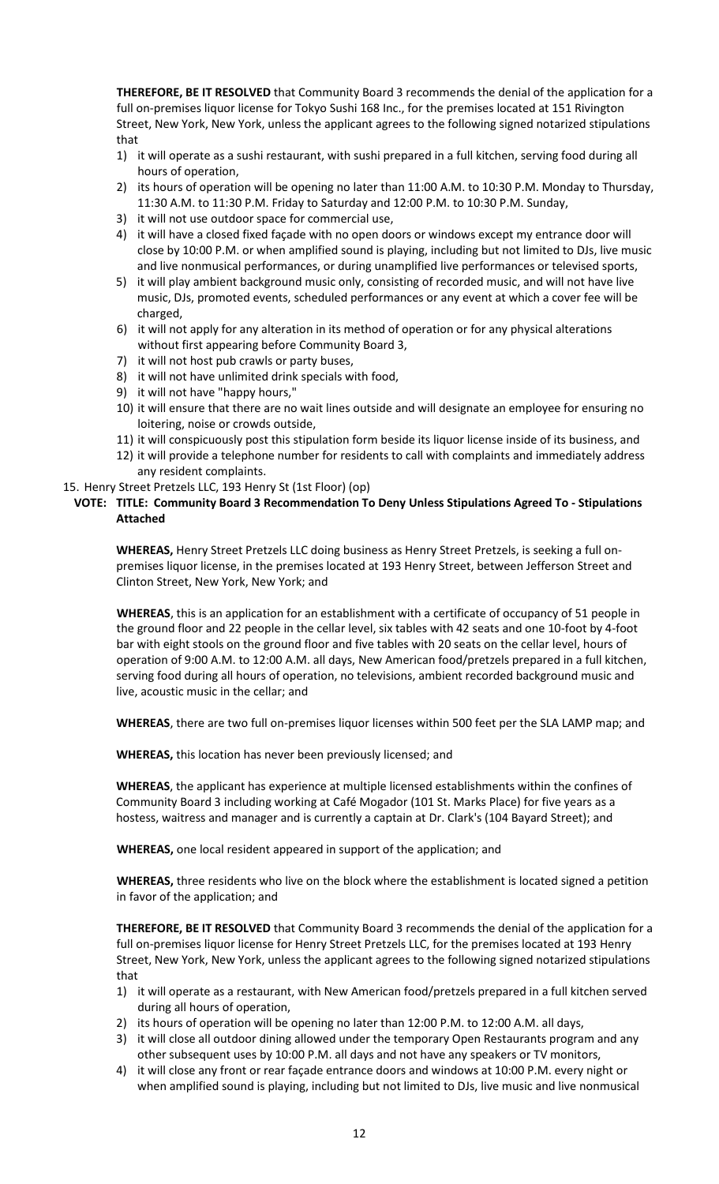**THEREFORE, BE IT RESOLVED** that Community Board 3 recommends the denial of the application for a full on-premises liquor license for Tokyo Sushi 168 Inc., for the premises located at 151 Rivington Street, New York, New York, unless the applicant agrees to the following signed notarized stipulations that

- 1) it will operate as a sushi restaurant, with sushi prepared in a full kitchen, serving food during all hours of operation,
- 2) its hours of operation will be opening no later than 11:00 A.M. to 10:30 P.M. Monday to Thursday, 11:30 A.M. to 11:30 P.M. Friday to Saturday and 12:00 P.M. to 10:30 P.M. Sunday,
- 3) it will not use outdoor space for commercial use,
- 4) it will have a closed fixed façade with no open doors or windows except my entrance door will close by 10:00 P.M. or when amplified sound is playing, including but not limited to DJs, live music and live nonmusical performances, or during unamplified live performances or televised sports,
- 5) it will play ambient background music only, consisting of recorded music, and will not have live music, DJs, promoted events, scheduled performances or any event at which a cover fee will be charged,
- 6) it will not apply for any alteration in its method of operation or for any physical alterations without first appearing before Community Board 3,
- 7) it will not host pub crawls or party buses,
- 8) it will not have unlimited drink specials with food,
- 9) it will not have "happy hours,"
- 10) it will ensure that there are no wait lines outside and will designate an employee for ensuring no loitering, noise or crowds outside,
- 11) it will conspicuously post this stipulation form beside its liquor license inside of its business, and
- 12) it will provide a telephone number for residents to call with complaints and immediately address any resident complaints.
- 15. Henry Street Pretzels LLC, 193 Henry St (1st Floor) (op)

### **VOTE: TITLE: Community Board 3 Recommendation To Deny Unless Stipulations Agreed To - Stipulations Attached**

**WHEREAS,** Henry Street Pretzels LLC doing business as Henry Street Pretzels, is seeking a full onpremises liquor license, in the premises located at 193 Henry Street, between Jefferson Street and Clinton Street, New York, New York; and

**WHEREAS**, this is an application for an establishment with a certificate of occupancy of 51 people in the ground floor and 22 people in the cellar level, six tables with 42 seats and one 10-foot by 4-foot bar with eight stools on the ground floor and five tables with 20 seats on the cellar level, hours of operation of 9:00 A.M. to 12:00 A.M. all days, New American food/pretzels prepared in a full kitchen, serving food during all hours of operation, no televisions, ambient recorded background music and live, acoustic music in the cellar; and

**WHEREAS**, there are two full on-premises liquor licenses within 500 feet per the SLA LAMP map; and

**WHEREAS,** this location has never been previously licensed; and

**WHEREAS**, the applicant has experience at multiple licensed establishments within the confines of Community Board 3 including working at Café Mogador (101 St. Marks Place) for five years as a hostess, waitress and manager and is currently a captain at Dr. Clark's (104 Bayard Street); and

**WHEREAS,** one local resident appeared in support of the application; and

**WHEREAS,** three residents who live on the block where the establishment is located signed a petition in favor of the application; and

**THEREFORE, BE IT RESOLVED** that Community Board 3 recommends the denial of the application for a full on-premises liquor license for Henry Street Pretzels LLC, for the premises located at 193 Henry Street, New York, New York, unless the applicant agrees to the following signed notarized stipulations that

- 1) it will operate as a restaurant, with New American food/pretzels prepared in a full kitchen served during all hours of operation,
- 2) its hours of operation will be opening no later than 12:00 P.M. to 12:00 A.M. all days,
- 3) it will close all outdoor dining allowed under the temporary Open Restaurants program and any other subsequent uses by 10:00 P.M. all days and not have any speakers or TV monitors,
- 4) it will close any front or rear façade entrance doors and windows at 10:00 P.M. every night or when amplified sound is playing, including but not limited to DJs, live music and live nonmusical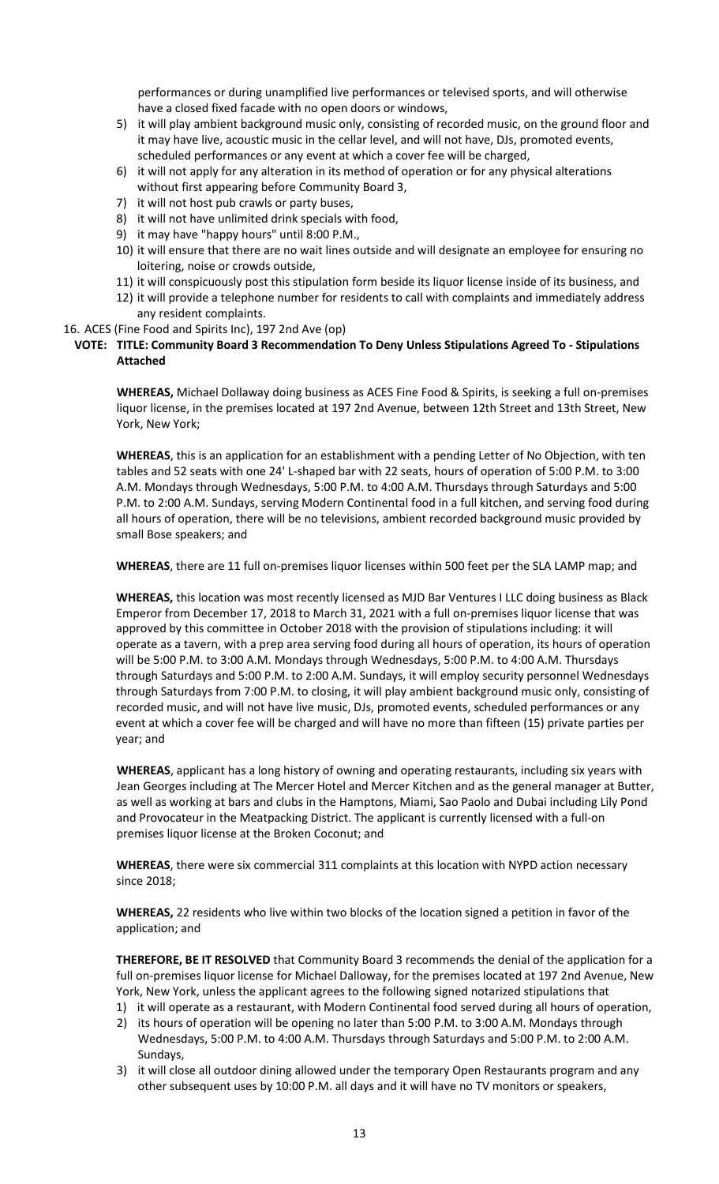performances or during unamplified live performances or televised sports, and will otherwise have a closed fixed facade with no open doors or windows,

- 5) it will play ambient background music only, consisting of recorded music, on the ground floor and it may have live, acoustic music in the cellar level, and will not have, DJs, promoted events, scheduled performances or any event at which a cover fee will be charged,
- 6) it will not apply for any alteration in its method of operation or for any physical alterations without first appearing before Community Board 3,
- 7) it will not host pub crawls or party buses,
- 8) it will not have unlimited drink specials with food,
- 9) it may have "happy hours" until 8:00 P.M.,
- 10) it will ensure that there are no wait lines outside and will designate an employee for ensuring no loitering, noise or crowds outside,
- 11) it will conspicuously post this stipulation form beside its liquor license inside of its business, and
- 12) it will provide a telephone number for residents to call with complaints and immediately address any resident complaints.
- 16. ACES (Fine Food and Spirits Inc), 197 2nd Ave (op)

# **VOTE: TITLE: Community Board 3 Recommendation To Deny Unless Stipulations Agreed To - Stipulations Attached**

**WHEREAS,** Michael Dollaway doing business as ACES Fine Food & Spirits, is seeking a full on-premises liquor license, in the premises located at 197 2nd Avenue, between 12th Street and 13th Street, New York, New York;

**WHEREAS**, this is an application for an establishment with a pending Letter of No Objection, with ten tables and 52 seats with one 24' L-shaped bar with 22 seats, hours of operation of 5:00 P.M. to 3:00 A.M. Mondays through Wednesdays, 5:00 P.M. to 4:00 A.M. Thursdays through Saturdays and 5:00 P.M. to 2:00 A.M. Sundays, serving Modern Continental food in a full kitchen, and serving food during all hours of operation, there will be no televisions, ambient recorded background music provided by small Bose speakers; and

**WHEREAS**, there are 11 full on-premises liquor licenses within 500 feet per the SLA LAMP map; and

**WHEREAS,** this location was most recently licensed as MJD Bar Ventures I LLC doing business as Black Emperor from December 17, 2018 to March 31, 2021 with a full on-premises liquor license that was approved by this committee in October 2018 with the provision of stipulations including: it will operate as a tavern, with a prep area serving food during all hours of operation, its hours of operation will be 5:00 P.M. to 3:00 A.M. Mondays through Wednesdays, 5:00 P.M. to 4:00 A.M. Thursdays through Saturdays and 5:00 P.M. to 2:00 A.M. Sundays, it will employ security personnel Wednesdays through Saturdays from 7:00 P.M. to closing, it will play ambient background music only, consisting of recorded music, and will not have live music, DJs, promoted events, scheduled performances or any event at which a cover fee will be charged and will have no more than fifteen (15) private parties per year; and

**WHEREAS**, applicant has a long history of owning and operating restaurants, including six years with Jean Georges including at The Mercer Hotel and Mercer Kitchen and as the general manager at Butter, as well as working at bars and clubs in the Hamptons, Miami, Sao Paolo and Dubai including Lily Pond and Provocateur in the Meatpacking District. The applicant is currently licensed with a full-on premises liquor license at the Broken Coconut; and

**WHEREAS**, there were six commercial 311 complaints at this location with NYPD action necessary since 2018;

**WHEREAS,** 22 residents who live within two blocks of the location signed a petition in favor of the application; and

**THEREFORE, BE IT RESOLVED** that Community Board 3 recommends the denial of the application for a full on-premises liquor license for Michael Dalloway, for the premises located at 197 2nd Avenue, New York, New York, unless the applicant agrees to the following signed notarized stipulations that

- 1) it will operate as a restaurant, with Modern Continental food served during all hours of operation,
- 2) its hours of operation will be opening no later than 5:00 P.M. to 3:00 A.M. Mondays through Wednesdays, 5:00 P.M. to 4:00 A.M. Thursdays through Saturdays and 5:00 P.M. to 2:00 A.M. Sundays,
- 3) it will close all outdoor dining allowed under the temporary Open Restaurants program and any other subsequent uses by 10:00 P.M. all days and it will have no TV monitors or speakers,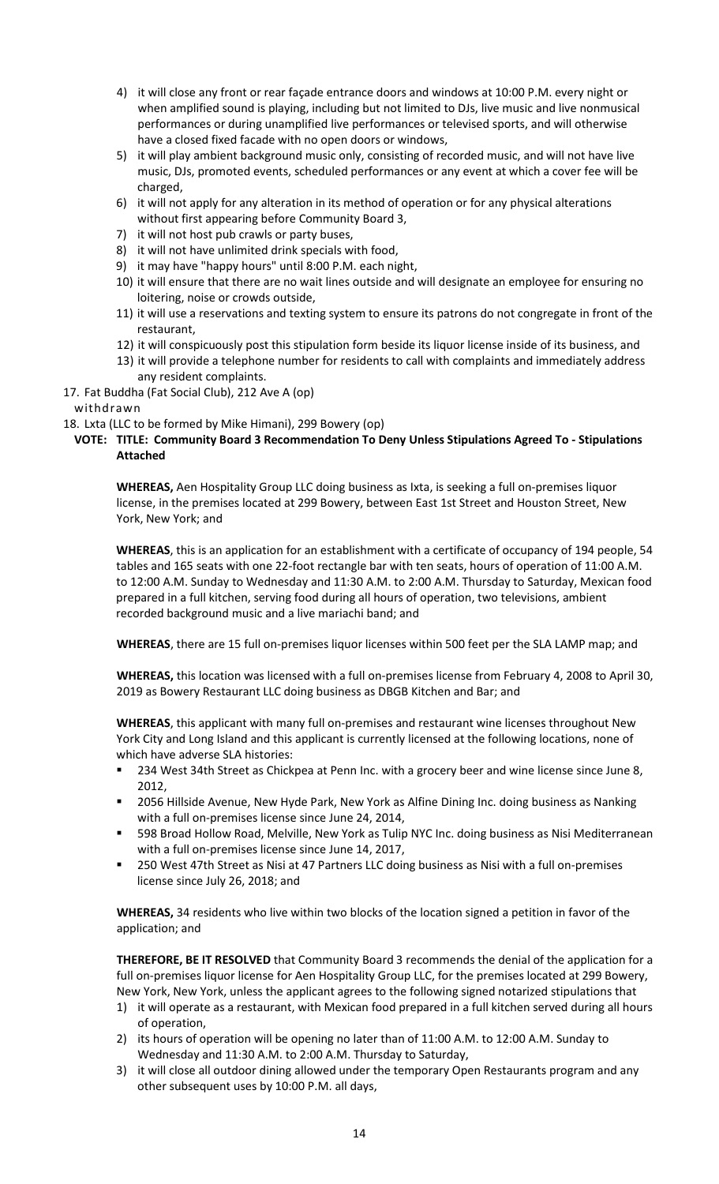- 4) it will close any front or rear façade entrance doors and windows at 10:00 P.M. every night or when amplified sound is playing, including but not limited to DJs, live music and live nonmusical performances or during unamplified live performances or televised sports, and will otherwise have a closed fixed facade with no open doors or windows,
- 5) it will play ambient background music only, consisting of recorded music, and will not have live music, DJs, promoted events, scheduled performances or any event at which a cover fee will be charged,
- 6) it will not apply for any alteration in its method of operation or for any physical alterations without first appearing before Community Board 3,
- 7) it will not host pub crawls or party buses,
- 8) it will not have unlimited drink specials with food,
- 9) it may have "happy hours" until 8:00 P.M. each night,
- 10) it will ensure that there are no wait lines outside and will designate an employee for ensuring no loitering, noise or crowds outside,
- 11) it will use a reservations and texting system to ensure its patrons do not congregate in front of the restaurant,
- 12) it will conspicuously post this stipulation form beside its liquor license inside of its business, and
- 13) it will provide a telephone number for residents to call with complaints and immediately address any resident complaints.
- 17. Fat Buddha (Fat Social Club), 212 Ave A (op)

# withdrawn

18. Lxta (LLC to be formed by Mike Himani), 299 Bowery (op)

# **VOTE: TITLE: Community Board 3 Recommendation To Deny Unless Stipulations Agreed To - Stipulations Attached**

**WHEREAS,** Aen Hospitality Group LLC doing business as Ixta, is seeking a full on-premises liquor license, in the premises located at 299 Bowery, between East 1st Street and Houston Street, New York, New York; and

**WHEREAS**, this is an application for an establishment with a certificate of occupancy of 194 people, 54 tables and 165 seats with one 22-foot rectangle bar with ten seats, hours of operation of 11:00 A.M. to 12:00 A.M. Sunday to Wednesday and 11:30 A.M. to 2:00 A.M. Thursday to Saturday, Mexican food prepared in a full kitchen, serving food during all hours of operation, two televisions, ambient recorded background music and a live mariachi band; and

**WHEREAS**, there are 15 full on-premises liquor licenses within 500 feet per the SLA LAMP map; and

**WHEREAS,** this location was licensed with a full on-premises license from February 4, 2008 to April 30, 2019 as Bowery Restaurant LLC doing business as DBGB Kitchen and Bar; and

**WHEREAS**, this applicant with many full on-premises and restaurant wine licenses throughout New York City and Long Island and this applicant is currently licensed at the following locations, none of which have adverse SLA histories:

- 234 West 34th Street as Chickpea at Penn Inc. with a grocery beer and wine license since June 8, 2012,
- **2056 Hillside Avenue, New Hyde Park, New York as Alfine Dining Inc. doing business as Nanking** with a full on-premises license since June 24, 2014,
- 598 Broad Hollow Road, Melville, New York as Tulip NYC Inc. doing business as Nisi Mediterranean with a full on-premises license since June 14, 2017,
- 250 West 47th Street as Nisi at 47 Partners LLC doing business as Nisi with a full on-premises license since July 26, 2018; and

**WHEREAS,** 34 residents who live within two blocks of the location signed a petition in favor of the application; and

**THEREFORE, BE IT RESOLVED** that Community Board 3 recommends the denial of the application for a full on-premises liquor license for Aen Hospitality Group LLC, for the premises located at 299 Bowery, New York, New York, unless the applicant agrees to the following signed notarized stipulations that

- 1) it will operate as a restaurant, with Mexican food prepared in a full kitchen served during all hours of operation,
- 2) its hours of operation will be opening no later than of 11:00 A.M. to 12:00 A.M. Sunday to Wednesday and 11:30 A.M. to 2:00 A.M. Thursday to Saturday,
- 3) it will close all outdoor dining allowed under the temporary Open Restaurants program and any other subsequent uses by 10:00 P.M. all days,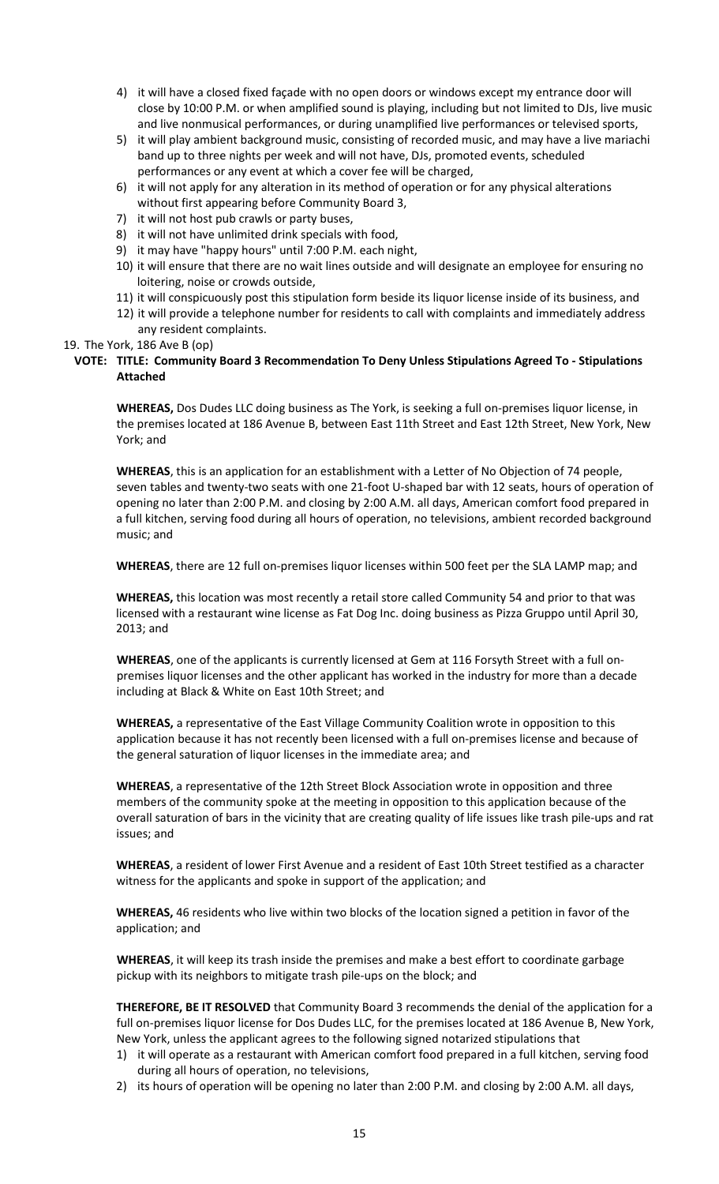- 4) it will have a closed fixed façade with no open doors or windows except my entrance door will close by 10:00 P.M. or when amplified sound is playing, including but not limited to DJs, live music and live nonmusical performances, or during unamplified live performances or televised sports,
- 5) it will play ambient background music, consisting of recorded music, and may have a live mariachi band up to three nights per week and will not have, DJs, promoted events, scheduled performances or any event at which a cover fee will be charged,
- 6) it will not apply for any alteration in its method of operation or for any physical alterations without first appearing before Community Board 3,
- 7) it will not host pub crawls or party buses,
- 8) it will not have unlimited drink specials with food,
- 9) it may have "happy hours" until 7:00 P.M. each night,
- 10) it will ensure that there are no wait lines outside and will designate an employee for ensuring no loitering, noise or crowds outside,
- 11) it will conspicuously post this stipulation form beside its liquor license inside of its business, and
- 12) it will provide a telephone number for residents to call with complaints and immediately address any resident complaints.

#### 19. The York, 186 Ave B (op)

# **VOTE: TITLE: Community Board 3 Recommendation To Deny Unless Stipulations Agreed To - Stipulations Attached**

**WHEREAS,** Dos Dudes LLC doing business as The York, is seeking a full on-premises liquor license, in the premises located at 186 Avenue B, between East 11th Street and East 12th Street, New York, New York; and

**WHEREAS**, this is an application for an establishment with a Letter of No Objection of 74 people, seven tables and twenty-two seats with one 21-foot U-shaped bar with 12 seats, hours of operation of opening no later than 2:00 P.M. and closing by 2:00 A.M. all days, American comfort food prepared in a full kitchen, serving food during all hours of operation, no televisions, ambient recorded background music; and

**WHEREAS**, there are 12 full on-premises liquor licenses within 500 feet per the SLA LAMP map; and

**WHEREAS,** this location was most recently a retail store called Community 54 and prior to that was licensed with a restaurant wine license as Fat Dog Inc. doing business as Pizza Gruppo until April 30, 2013; and

**WHEREAS**, one of the applicants is currently licensed at Gem at 116 Forsyth Street with a full onpremises liquor licenses and the other applicant has worked in the industry for more than a decade including at Black & White on East 10th Street; and

**WHEREAS,** a representative of the East Village Community Coalition wrote in opposition to this application because it has not recently been licensed with a full on-premises license and because of the general saturation of liquor licenses in the immediate area; and

**WHEREAS**, a representative of the 12th Street Block Association wrote in opposition and three members of the community spoke at the meeting in opposition to this application because of the overall saturation of bars in the vicinity that are creating quality of life issues like trash pile-ups and rat issues; and

**WHEREAS**, a resident of lower First Avenue and a resident of East 10th Street testified as a character witness for the applicants and spoke in support of the application; and

**WHEREAS,** 46 residents who live within two blocks of the location signed a petition in favor of the application; and

**WHEREAS**, it will keep its trash inside the premises and make a best effort to coordinate garbage pickup with its neighbors to mitigate trash pile-ups on the block; and

**THEREFORE, BE IT RESOLVED** that Community Board 3 recommends the denial of the application for a full on-premises liquor license for Dos Dudes LLC, for the premises located at 186 Avenue B, New York, New York, unless the applicant agrees to the following signed notarized stipulations that

- 1) it will operate as a restaurant with American comfort food prepared in a full kitchen, serving food during all hours of operation, no televisions,
- 2) its hours of operation will be opening no later than 2:00 P.M. and closing by 2:00 A.M. all days,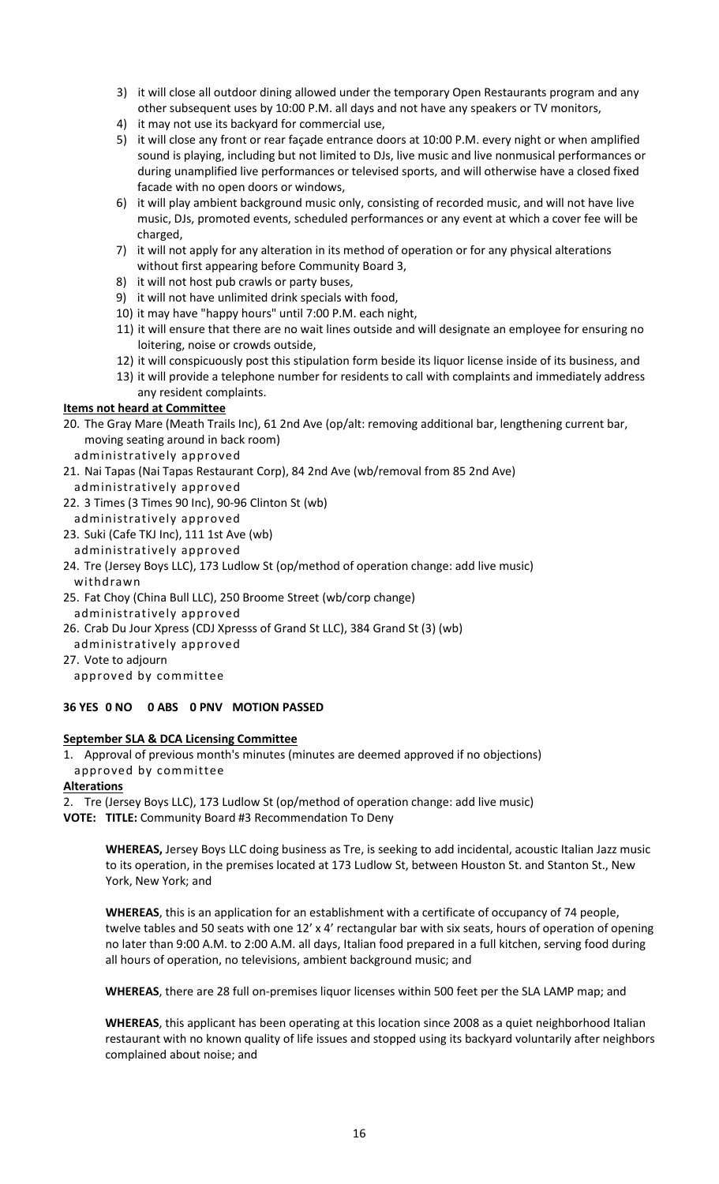- 3) it will close all outdoor dining allowed under the temporary Open Restaurants program and any other subsequent uses by 10:00 P.M. all days and not have any speakers or TV monitors,
- 4) it may not use its backyard for commercial use,
- 5) it will close any front or rear façade entrance doors at 10:00 P.M. every night or when amplified sound is playing, including but not limited to DJs, live music and live nonmusical performances or during unamplified live performances or televised sports, and will otherwise have a closed fixed facade with no open doors or windows,
- 6) it will play ambient background music only, consisting of recorded music, and will not have live music, DJs, promoted events, scheduled performances or any event at which a cover fee will be charged,
- 7) it will not apply for any alteration in its method of operation or for any physical alterations without first appearing before Community Board 3,
- 8) it will not host pub crawls or party buses,
- 9) it will not have unlimited drink specials with food,
- 10) it may have "happy hours" until 7:00 P.M. each night,
- 11) it will ensure that there are no wait lines outside and will designate an employee for ensuring no loitering, noise or crowds outside,
- 12) it will conspicuously post this stipulation form beside its liquor license inside of its business, and
- 13) it will provide a telephone number for residents to call with complaints and immediately address any resident complaints.

# **Items not heard at Committee**

- 20. The Gray Mare (Meath Trails Inc), 61 2nd Ave (op/alt: removing additional bar, lengthening current bar, moving seating around in back room)
	- administratively approved
- 21. Nai Tapas (Nai Tapas Restaurant Corp), 84 2nd Ave (wb/removal from 85 2nd Ave) administratively approved
- 22. 3 Times (3 Times 90 Inc), 90-96 Clinton St (wb) administratively approved
- 23. Suki (Cafe TKJ Inc), 111 1st Ave (wb)
- administratively approved
- 24. Tre (Jersey Boys LLC), 173 Ludlow St (op/method of operation change: add live music) withdrawn
- 25. Fat Choy (China Bull LLC), 250 Broome Street (wb/corp change)
- administratively approved
- 26. Crab Du Jour Xpress (CDJ Xpresss of Grand St LLC), 384 Grand St (3) (wb)
- administratively approved
- 27. Vote to adjourn

approved by committee

# **36 YES 0 NO 0 ABS 0 PNV MOTION PASSED**

# **September SLA & DCA Licensing Committee**

1. Approval of previous month's minutes (minutes are deemed approved if no objections) approved by committee

**Alterations**

- 2. Tre (Jersey Boys LLC), 173 Ludlow St (op/method of operation change: add live music)
- **VOTE: TITLE:** Community Board #3 Recommendation To Deny

**WHEREAS,** Jersey Boys LLC doing business as Tre, is seeking to add incidental, acoustic Italian Jazz music to its operation, in the premises located at 173 Ludlow St, between Houston St. and Stanton St., New York, New York; and

**WHEREAS**, this is an application for an establishment with a certificate of occupancy of 74 people, twelve tables and 50 seats with one 12' x 4' rectangular bar with six seats, hours of operation of opening no later than 9:00 A.M. to 2:00 A.M. all days, Italian food prepared in a full kitchen, serving food during all hours of operation, no televisions, ambient background music; and

**WHEREAS**, there are 28 full on-premises liquor licenses within 500 feet per the SLA LAMP map; and

**WHEREAS**, this applicant has been operating at this location since 2008 as a quiet neighborhood Italian restaurant with no known quality of life issues and stopped using its backyard voluntarily after neighbors complained about noise; and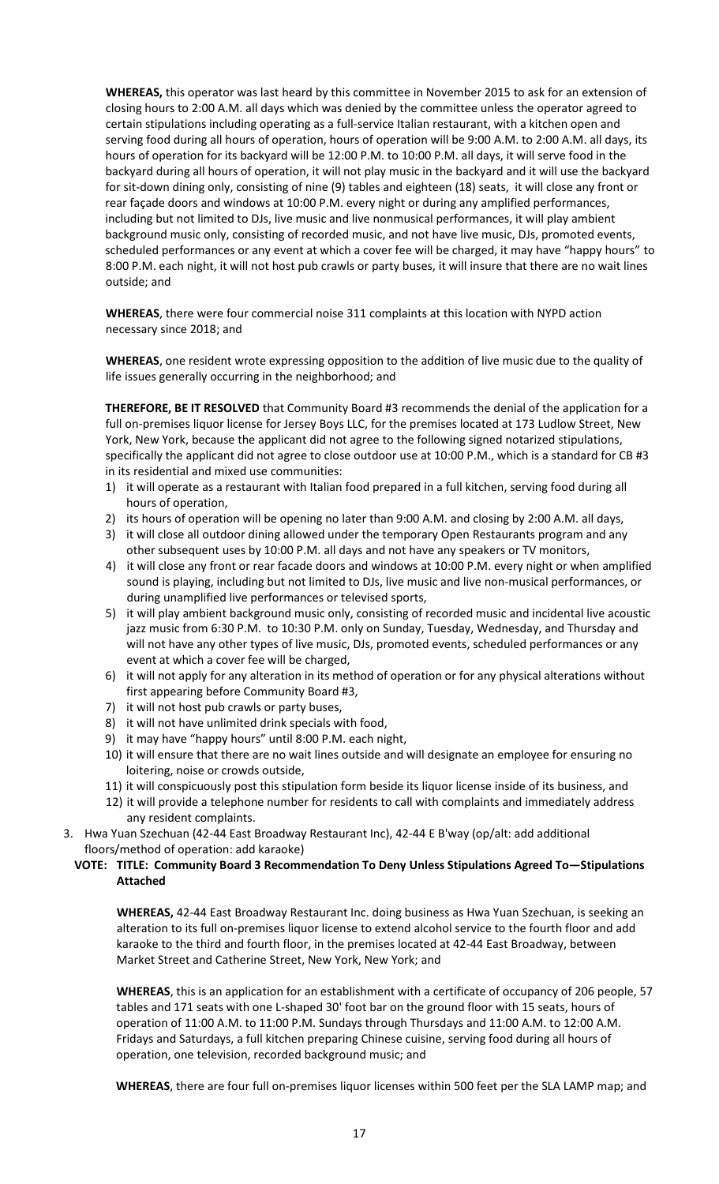**WHEREAS,** this operator was last heard by this committee in November 2015 to ask for an extension of closing hours to 2:00 A.M. all days which was denied by the committee unless the operator agreed to certain stipulations including operating as a full-service Italian restaurant, with a kitchen open and serving food during all hours of operation, hours of operation will be 9:00 A.M. to 2:00 A.M. all days, its hours of operation for its backyard will be 12:00 P.M. to 10:00 P.M. all days, it will serve food in the backyard during all hours of operation, it will not play music in the backyard and it will use the backyard for sit-down dining only, consisting of nine (9) tables and eighteen (18) seats, it will close any front or rear façade doors and windows at 10:00 P.M. every night or during any amplified performances, including but not limited to DJs, live music and live nonmusical performances, it will play ambient background music only, consisting of recorded music, and not have live music, DJs, promoted events, scheduled performances or any event at which a cover fee will be charged, it may have "happy hours" to 8:00 P.M. each night, it will not host pub crawls or party buses, it will insure that there are no wait lines outside; and

**WHEREAS**, there were four commercial noise 311 complaints at this location with NYPD action necessary since 2018; and

**WHEREAS**, one resident wrote expressing opposition to the addition of live music due to the quality of life issues generally occurring in the neighborhood; and

**THEREFORE, BE IT RESOLVED** that Community Board #3 recommends the denial of the application for a full on-premises liquor license for Jersey Boys LLC, for the premises located at 173 Ludlow Street, New York, New York, because the applicant did not agree to the following signed notarized stipulations, specifically the applicant did not agree to close outdoor use at 10:00 P.M., which is a standard for CB #3 in its residential and mixed use communities:

- 1) it will operate as a restaurant with Italian food prepared in a full kitchen, serving food during all hours of operation,
- 2) its hours of operation will be opening no later than 9:00 A.M. and closing by 2:00 A.M. all days,
- 3) it will close all outdoor dining allowed under the temporary Open Restaurants program and any other subsequent uses by 10:00 P.M. all days and not have any speakers or TV monitors,
- 4) it will close any front or rear facade doors and windows at 10:00 P.M. every night or when amplified sound is playing, including but not limited to DJs, live music and live non-musical performances, or during unamplified live performances or televised sports,
- 5) it will play ambient background music only, consisting of recorded music and incidental live acoustic jazz music from 6:30 P.M. to 10:30 P.M. only on Sunday, Tuesday, Wednesday, and Thursday and will not have any other types of live music, DJs, promoted events, scheduled performances or any event at which a cover fee will be charged,
- 6) it will not apply for any alteration in its method of operation or for any physical alterations without first appearing before Community Board #3,
- 7) it will not host pub crawls or party buses,
- 8) it will not have unlimited drink specials with food,
- 9) it may have "happy hours" until 8:00 P.M. each night,
- 10) it will ensure that there are no wait lines outside and will designate an employee for ensuring no loitering, noise or crowds outside,
- 11) it will conspicuously post this stipulation form beside its liquor license inside of its business, and
- 12) it will provide a telephone number for residents to call with complaints and immediately address any resident complaints.
- 3. Hwa Yuan Szechuan (42-44 East Broadway Restaurant Inc), 42-44 E B'way (op/alt: add additional floors/method of operation: add karaoke)

# **VOTE: TITLE: Community Board 3 Recommendation To Deny Unless Stipulations Agreed To—Stipulations Attached**

**WHEREAS,** 42-44 East Broadway Restaurant Inc. doing business as Hwa Yuan Szechuan, is seeking an alteration to its full on-premises liquor license to extend alcohol service to the fourth floor and add karaoke to the third and fourth floor, in the premises located at 42-44 East Broadway, between Market Street and Catherine Street, New York, New York; and

**WHEREAS**, this is an application for an establishment with a certificate of occupancy of 206 people, 57 tables and 171 seats with one L-shaped 30' foot bar on the ground floor with 15 seats, hours of operation of 11:00 A.M. to 11:00 P.M. Sundays through Thursdays and 11:00 A.M. to 12:00 A.M. Fridays and Saturdays, a full kitchen preparing Chinese cuisine, serving food during all hours of operation, one television, recorded background music; and

**WHEREAS**, there are four full on-premises liquor licenses within 500 feet per the SLA LAMP map; and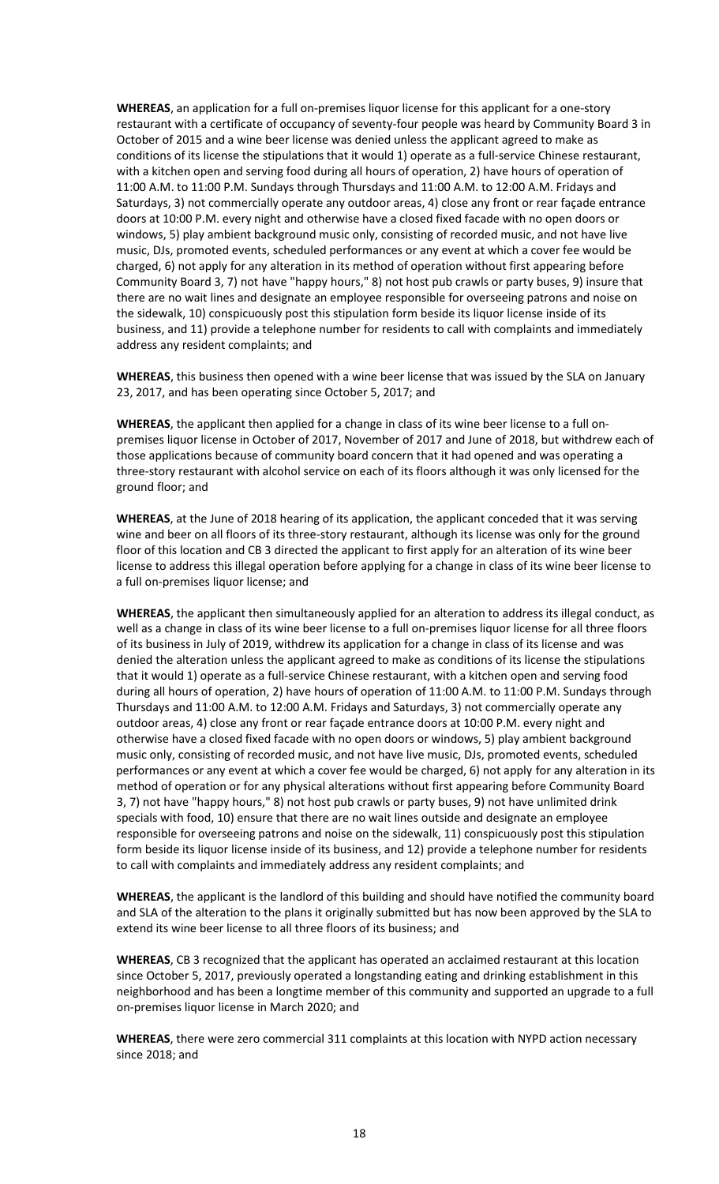**WHEREAS**, an application for a full on-premises liquor license for this applicant for a one-story restaurant with a certificate of occupancy of seventy-four people was heard by Community Board 3 in October of 2015 and a wine beer license was denied unless the applicant agreed to make as conditions of its license the stipulations that it would 1) operate as a full-service Chinese restaurant, with a kitchen open and serving food during all hours of operation, 2) have hours of operation of 11:00 A.M. to 11:00 P.M. Sundays through Thursdays and 11:00 A.M. to 12:00 A.M. Fridays and Saturdays, 3) not commercially operate any outdoor areas, 4) close any front or rear façade entrance doors at 10:00 P.M. every night and otherwise have a closed fixed facade with no open doors or windows, 5) play ambient background music only, consisting of recorded music, and not have live music, DJs, promoted events, scheduled performances or any event at which a cover fee would be charged, 6) not apply for any alteration in its method of operation without first appearing before Community Board 3, 7) not have "happy hours," 8) not host pub crawls or party buses, 9) insure that there are no wait lines and designate an employee responsible for overseeing patrons and noise on the sidewalk, 10) conspicuously post this stipulation form beside its liquor license inside of its business, and 11) provide a telephone number for residents to call with complaints and immediately address any resident complaints; and

**WHEREAS**, this business then opened with a wine beer license that was issued by the SLA on January 23, 2017, and has been operating since October 5, 2017; and

**WHEREAS**, the applicant then applied for a change in class of its wine beer license to a full onpremises liquor license in October of 2017, November of 2017 and June of 2018, but withdrew each of those applications because of community board concern that it had opened and was operating a three-story restaurant with alcohol service on each of its floors although it was only licensed for the ground floor; and

**WHEREAS**, at the June of 2018 hearing of its application, the applicant conceded that it was serving wine and beer on all floors of its three-story restaurant, although its license was only for the ground floor of this location and CB 3 directed the applicant to first apply for an alteration of its wine beer license to address this illegal operation before applying for a change in class of its wine beer license to a full on-premises liquor license; and

**WHEREAS**, the applicant then simultaneously applied for an alteration to address its illegal conduct, as well as a change in class of its wine beer license to a full on-premises liquor license for all three floors of its business in July of 2019, withdrew its application for a change in class of its license and was denied the alteration unless the applicant agreed to make as conditions of its license the stipulations that it would 1) operate as a full-service Chinese restaurant, with a kitchen open and serving food during all hours of operation, 2) have hours of operation of 11:00 A.M. to 11:00 P.M. Sundays through Thursdays and 11:00 A.M. to 12:00 A.M. Fridays and Saturdays, 3) not commercially operate any outdoor areas, 4) close any front or rear façade entrance doors at 10:00 P.M. every night and otherwise have a closed fixed facade with no open doors or windows, 5) play ambient background music only, consisting of recorded music, and not have live music, DJs, promoted events, scheduled performances or any event at which a cover fee would be charged, 6) not apply for any alteration in its method of operation or for any physical alterations without first appearing before Community Board 3, 7) not have "happy hours," 8) not host pub crawls or party buses, 9) not have unlimited drink specials with food, 10) ensure that there are no wait lines outside and designate an employee responsible for overseeing patrons and noise on the sidewalk, 11) conspicuously post this stipulation form beside its liquor license inside of its business, and 12) provide a telephone number for residents to call with complaints and immediately address any resident complaints; and

**WHEREAS**, the applicant is the landlord of this building and should have notified the community board and SLA of the alteration to the plans it originally submitted but has now been approved by the SLA to extend its wine beer license to all three floors of its business; and

**WHEREAS**, CB 3 recognized that the applicant has operated an acclaimed restaurant at this location since October 5, 2017, previously operated a longstanding eating and drinking establishment in this neighborhood and has been a longtime member of this community and supported an upgrade to a full on-premises liquor license in March 2020; and

**WHEREAS**, there were zero commercial 311 complaints at this location with NYPD action necessary since 2018; and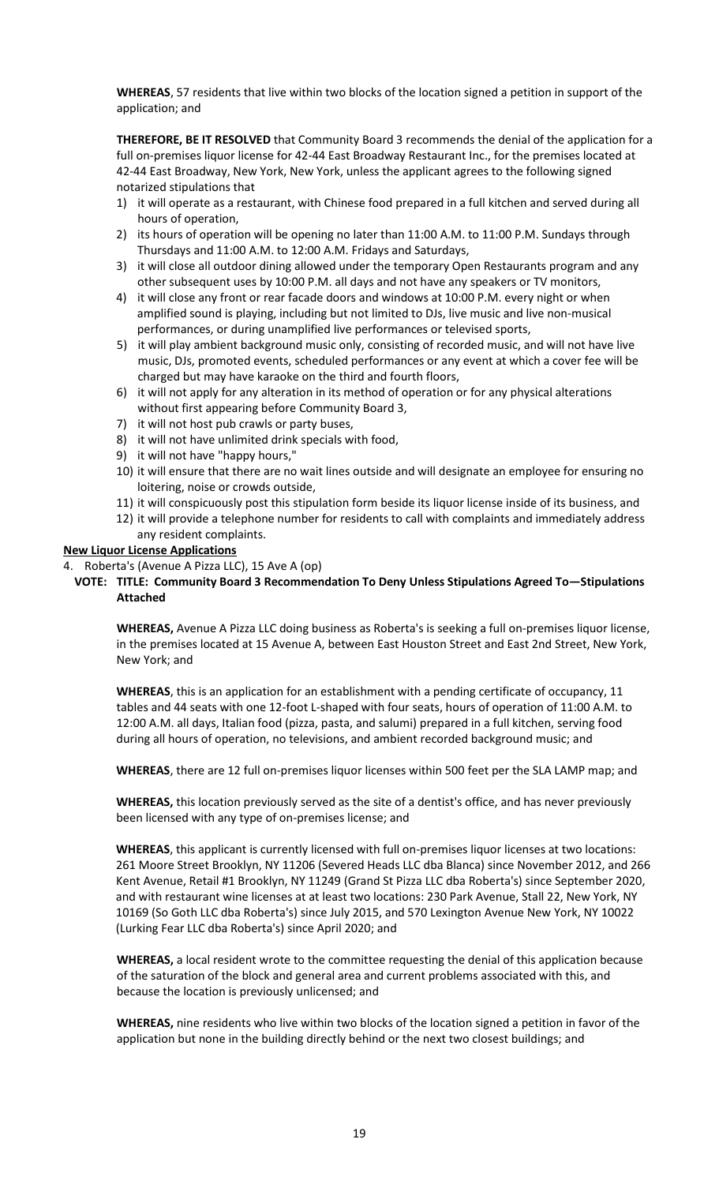**WHEREAS**, 57 residents that live within two blocks of the location signed a petition in support of the application; and

**THEREFORE, BE IT RESOLVED** that Community Board 3 recommends the denial of the application for a full on-premises liquor license for 42-44 East Broadway Restaurant Inc., for the premises located at 42-44 East Broadway, New York, New York, unless the applicant agrees to the following signed notarized stipulations that

- 1) it will operate as a restaurant, with Chinese food prepared in a full kitchen and served during all hours of operation,
- 2) its hours of operation will be opening no later than 11:00 A.M. to 11:00 P.M. Sundays through Thursdays and 11:00 A.M. to 12:00 A.M. Fridays and Saturdays,
- 3) it will close all outdoor dining allowed under the temporary Open Restaurants program and any other subsequent uses by 10:00 P.M. all days and not have any speakers or TV monitors,
- 4) it will close any front or rear facade doors and windows at 10:00 P.M. every night or when amplified sound is playing, including but not limited to DJs, live music and live non-musical performances, or during unamplified live performances or televised sports,
- 5) it will play ambient background music only, consisting of recorded music, and will not have live music, DJs, promoted events, scheduled performances or any event at which a cover fee will be charged but may have karaoke on the third and fourth floors,
- 6) it will not apply for any alteration in its method of operation or for any physical alterations without first appearing before Community Board 3,
- 7) it will not host pub crawls or party buses,
- 8) it will not have unlimited drink specials with food,
- 9) it will not have "happy hours,"
- 10) it will ensure that there are no wait lines outside and will designate an employee for ensuring no loitering, noise or crowds outside,
- 11) it will conspicuously post this stipulation form beside its liquor license inside of its business, and
- 12) it will provide a telephone number for residents to call with complaints and immediately address any resident complaints.

#### **New Liquor License Applications**

4. Roberta's (Avenue A Pizza LLC), 15 Ave A (op)

### **VOTE: TITLE: Community Board 3 Recommendation To Deny Unless Stipulations Agreed To—Stipulations Attached**

**WHEREAS,** Avenue A Pizza LLC doing business as Roberta's is seeking a full on-premises liquor license, in the premises located at 15 Avenue A, between East Houston Street and East 2nd Street, New York, New York; and

**WHEREAS**, this is an application for an establishment with a pending certificate of occupancy, 11 tables and 44 seats with one 12-foot L-shaped with four seats, hours of operation of 11:00 A.M. to 12:00 A.M. all days, Italian food (pizza, pasta, and salumi) prepared in a full kitchen, serving food during all hours of operation, no televisions, and ambient recorded background music; and

**WHEREAS**, there are 12 full on-premises liquor licenses within 500 feet per the SLA LAMP map; and

**WHEREAS,** this location previously served as the site of a dentist's office, and has never previously been licensed with any type of on-premises license; and

**WHEREAS**, this applicant is currently licensed with full on-premises liquor licenses at two locations: 261 Moore Street Brooklyn, NY 11206 (Severed Heads LLC dba Blanca) since November 2012, and 266 Kent Avenue, Retail #1 Brooklyn, NY 11249 (Grand St Pizza LLC dba Roberta's) since September 2020, and with restaurant wine licenses at at least two locations: 230 Park Avenue, Stall 22, New York, NY 10169 (So Goth LLC dba Roberta's) since July 2015, and 570 Lexington Avenue New York, NY 10022 (Lurking Fear LLC dba Roberta's) since April 2020; and

**WHEREAS,** a local resident wrote to the committee requesting the denial of this application because of the saturation of the block and general area and current problems associated with this, and because the location is previously unlicensed; and

**WHEREAS,** nine residents who live within two blocks of the location signed a petition in favor of the application but none in the building directly behind or the next two closest buildings; and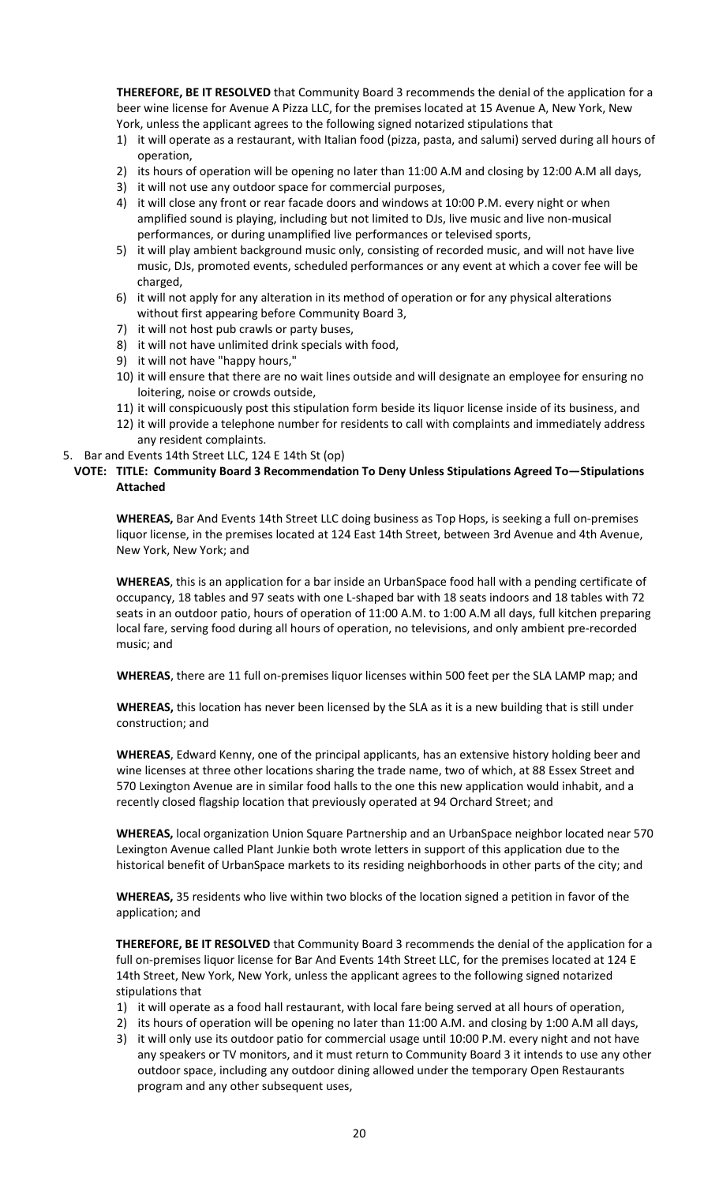**THEREFORE, BE IT RESOLVED** that Community Board 3 recommends the denial of the application for a beer wine license for Avenue A Pizza LLC, for the premises located at 15 Avenue A, New York, New York, unless the applicant agrees to the following signed notarized stipulations that

- 1) it will operate as a restaurant, with Italian food (pizza, pasta, and salumi) served during all hours of operation,
- 2) its hours of operation will be opening no later than 11:00 A.M and closing by 12:00 A.M all days,
- 3) it will not use any outdoor space for commercial purposes,
- 4) it will close any front or rear facade doors and windows at 10:00 P.M. every night or when amplified sound is playing, including but not limited to DJs, live music and live non-musical performances, or during unamplified live performances or televised sports,
- 5) it will play ambient background music only, consisting of recorded music, and will not have live music, DJs, promoted events, scheduled performances or any event at which a cover fee will be charged,
- 6) it will not apply for any alteration in its method of operation or for any physical alterations without first appearing before Community Board 3,
- 7) it will not host pub crawls or party buses,
- 8) it will not have unlimited drink specials with food,
- 9) it will not have "happy hours,"
- 10) it will ensure that there are no wait lines outside and will designate an employee for ensuring no loitering, noise or crowds outside,
- 11) it will conspicuously post this stipulation form beside its liquor license inside of its business, and
- 12) it will provide a telephone number for residents to call with complaints and immediately address any resident complaints.
- 5. Bar and Events 14th Street LLC, 124 E 14th St (op)

### **VOTE: TITLE: Community Board 3 Recommendation To Deny Unless Stipulations Agreed To—Stipulations Attached**

**WHEREAS,** Bar And Events 14th Street LLC doing business as Top Hops, is seeking a full on-premises liquor license, in the premises located at 124 East 14th Street, between 3rd Avenue and 4th Avenue, New York, New York; and

**WHEREAS**, this is an application for a bar inside an UrbanSpace food hall with a pending certificate of occupancy, 18 tables and 97 seats with one L-shaped bar with 18 seats indoors and 18 tables with 72 seats in an outdoor patio, hours of operation of 11:00 A.M. to 1:00 A.M all days, full kitchen preparing local fare, serving food during all hours of operation, no televisions, and only ambient pre-recorded music; and

**WHEREAS**, there are 11 full on-premises liquor licenses within 500 feet per the SLA LAMP map; and

**WHEREAS,** this location has never been licensed by the SLA as it is a new building that is still under construction; and

**WHEREAS**, Edward Kenny, one of the principal applicants, has an extensive history holding beer and wine licenses at three other locations sharing the trade name, two of which, at 88 Essex Street and 570 Lexington Avenue are in similar food halls to the one this new application would inhabit, and a recently closed flagship location that previously operated at 94 Orchard Street; and

**WHEREAS,** local organization Union Square Partnership and an UrbanSpace neighbor located near 570 Lexington Avenue called Plant Junkie both wrote letters in support of this application due to the historical benefit of UrbanSpace markets to its residing neighborhoods in other parts of the city; and

**WHEREAS,** 35 residents who live within two blocks of the location signed a petition in favor of the application; and

**THEREFORE, BE IT RESOLVED** that Community Board 3 recommends the denial of the application for a full on-premises liquor license for Bar And Events 14th Street LLC, for the premises located at 124 E 14th Street, New York, New York, unless the applicant agrees to the following signed notarized stipulations that

- 1) it will operate as a food hall restaurant, with local fare being served at all hours of operation,
- 2) its hours of operation will be opening no later than 11:00 A.M. and closing by 1:00 A.M all days,
- 3) it will only use its outdoor patio for commercial usage until 10:00 P.M. every night and not have any speakers or TV monitors, and it must return to Community Board 3 it intends to use any other outdoor space, including any outdoor dining allowed under the temporary Open Restaurants program and any other subsequent uses,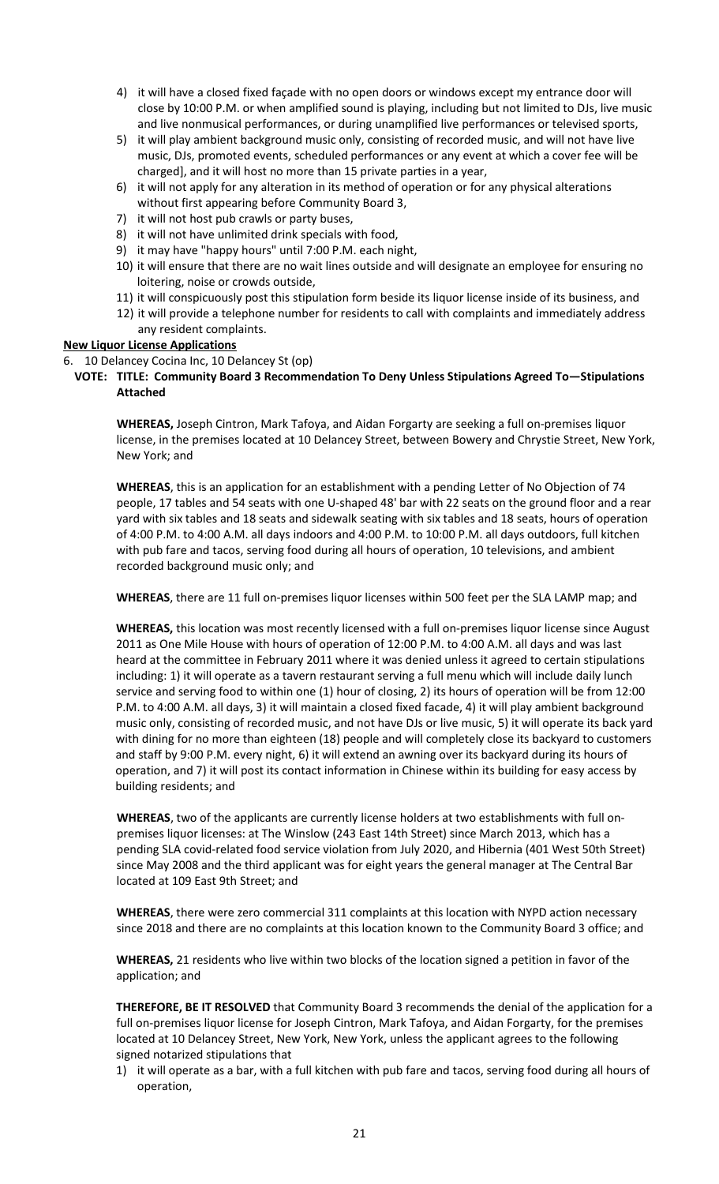- 4) it will have a closed fixed façade with no open doors or windows except my entrance door will close by 10:00 P.M. or when amplified sound is playing, including but not limited to DJs, live music and live nonmusical performances, or during unamplified live performances or televised sports,
- 5) it will play ambient background music only, consisting of recorded music, and will not have live music, DJs, promoted events, scheduled performances or any event at which a cover fee will be charged], and it will host no more than 15 private parties in a year,
- 6) it will not apply for any alteration in its method of operation or for any physical alterations without first appearing before Community Board 3,
- 7) it will not host pub crawls or party buses,
- 8) it will not have unlimited drink specials with food,
- 9) it may have "happy hours" until 7:00 P.M. each night,
- 10) it will ensure that there are no wait lines outside and will designate an employee for ensuring no loitering, noise or crowds outside,
- 11) it will conspicuously post this stipulation form beside its liquor license inside of its business, and
- 12) it will provide a telephone number for residents to call with complaints and immediately address any resident complaints.

#### **New Liquor License Applications**

- 6. 10 Delancey Cocina Inc, 10 Delancey St (op)
- **VOTE: TITLE: Community Board 3 Recommendation To Deny Unless Stipulations Agreed To—Stipulations Attached**

**WHEREAS,** Joseph Cintron, Mark Tafoya, and Aidan Forgarty are seeking a full on-premises liquor license, in the premises located at 10 Delancey Street, between Bowery and Chrystie Street, New York, New York; and

**WHEREAS**, this is an application for an establishment with a pending Letter of No Objection of 74 people, 17 tables and 54 seats with one U-shaped 48' bar with 22 seats on the ground floor and a rear yard with six tables and 18 seats and sidewalk seating with six tables and 18 seats, hours of operation of 4:00 P.M. to 4:00 A.M. all days indoors and 4:00 P.M. to 10:00 P.M. all days outdoors, full kitchen with pub fare and tacos, serving food during all hours of operation, 10 televisions, and ambient recorded background music only; and

**WHEREAS**, there are 11 full on-premises liquor licenses within 500 feet per the SLA LAMP map; and

**WHEREAS,** this location was most recently licensed with a full on-premises liquor license since August 2011 as One Mile House with hours of operation of 12:00 P.M. to 4:00 A.M. all days and was last heard at the committee in February 2011 where it was denied unless it agreed to certain stipulations including: 1) it will operate as a tavern restaurant serving a full menu which will include daily lunch service and serving food to within one (1) hour of closing, 2) its hours of operation will be from 12:00 P.M. to 4:00 A.M. all days, 3) it will maintain a closed fixed facade, 4) it will play ambient background music only, consisting of recorded music, and not have DJs or live music, 5) it will operate its back yard with dining for no more than eighteen (18) people and will completely close its backyard to customers and staff by 9:00 P.M. every night, 6) it will extend an awning over its backyard during its hours of operation, and 7) it will post its contact information in Chinese within its building for easy access by building residents; and

**WHEREAS**, two of the applicants are currently license holders at two establishments with full onpremises liquor licenses: at The Winslow (243 East 14th Street) since March 2013, which has a pending SLA covid-related food service violation from July 2020, and Hibernia (401 West 50th Street) since May 2008 and the third applicant was for eight years the general manager at The Central Bar located at 109 East 9th Street; and

**WHEREAS**, there were zero commercial 311 complaints at this location with NYPD action necessary since 2018 and there are no complaints at this location known to the Community Board 3 office; and

**WHEREAS,** 21 residents who live within two blocks of the location signed a petition in favor of the application; and

**THEREFORE, BE IT RESOLVED** that Community Board 3 recommends the denial of the application for a full on-premises liquor license for Joseph Cintron, Mark Tafoya, and Aidan Forgarty, for the premises located at 10 Delancey Street, New York, New York, unless the applicant agrees to the following signed notarized stipulations that

1) it will operate as a bar, with a full kitchen with pub fare and tacos, serving food during all hours of operation,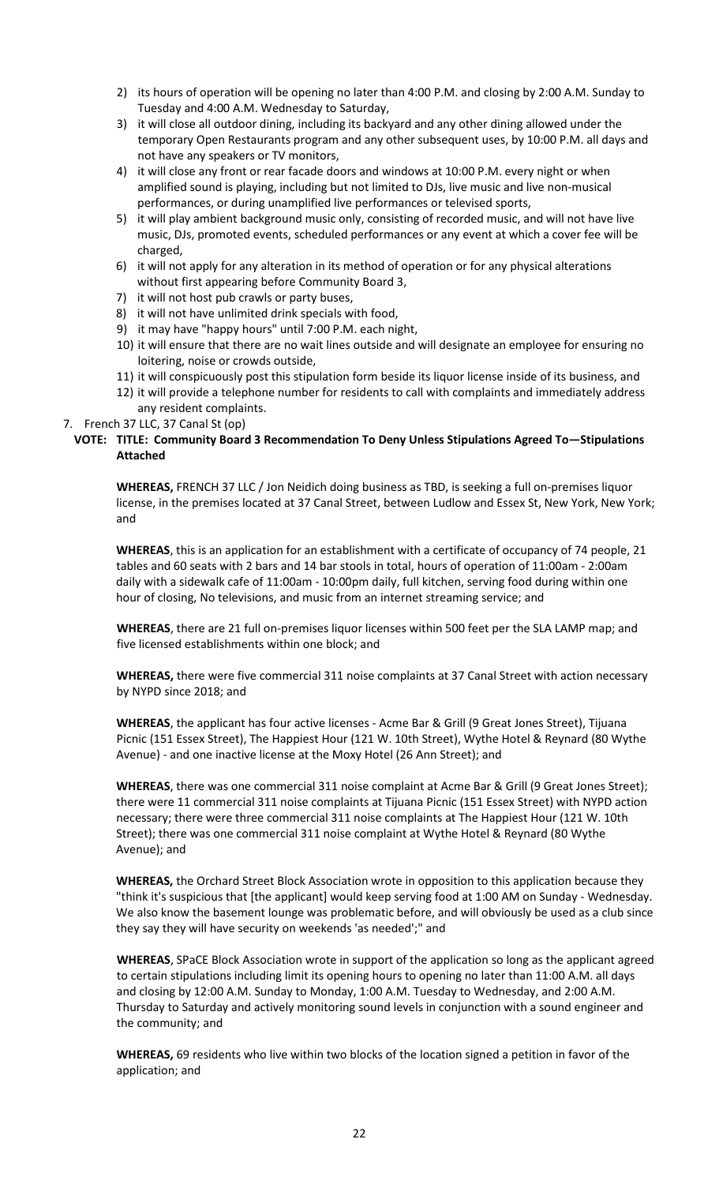- 2) its hours of operation will be opening no later than 4:00 P.M. and closing by 2:00 A.M. Sunday to Tuesday and 4:00 A.M. Wednesday to Saturday,
- 3) it will close all outdoor dining, including its backyard and any other dining allowed under the temporary Open Restaurants program and any other subsequent uses, by 10:00 P.M. all days and not have any speakers or TV monitors,
- 4) it will close any front or rear facade doors and windows at 10:00 P.M. every night or when amplified sound is playing, including but not limited to DJs, live music and live non-musical performances, or during unamplified live performances or televised sports,
- 5) it will play ambient background music only, consisting of recorded music, and will not have live music, DJs, promoted events, scheduled performances or any event at which a cover fee will be charged,
- 6) it will not apply for any alteration in its method of operation or for any physical alterations without first appearing before Community Board 3,
- 7) it will not host pub crawls or party buses,
- 8) it will not have unlimited drink specials with food,
- 9) it may have "happy hours" until 7:00 P.M. each night,
- 10) it will ensure that there are no wait lines outside and will designate an employee for ensuring no loitering, noise or crowds outside,
- 11) it will conspicuously post this stipulation form beside its liquor license inside of its business, and
- 12) it will provide a telephone number for residents to call with complaints and immediately address any resident complaints.

#### 7. French 37 LLC, 37 Canal St (op)

### **VOTE: TITLE: Community Board 3 Recommendation To Deny Unless Stipulations Agreed To—Stipulations Attached**

**WHEREAS,** FRENCH 37 LLC / Jon Neidich doing business as TBD, is seeking a full on-premises liquor license, in the premises located at 37 Canal Street, between Ludlow and Essex St, New York, New York; and

**WHEREAS**, this is an application for an establishment with a certificate of occupancy of 74 people, 21 tables and 60 seats with 2 bars and 14 bar stools in total, hours of operation of 11:00am - 2:00am daily with a sidewalk cafe of 11:00am - 10:00pm daily, full kitchen, serving food during within one hour of closing, No televisions, and music from an internet streaming service; and

**WHEREAS**, there are 21 full on-premises liquor licenses within 500 feet per the SLA LAMP map; and five licensed establishments within one block; and

**WHEREAS,** there were five commercial 311 noise complaints at 37 Canal Street with action necessary by NYPD since 2018; and

**WHEREAS**, the applicant has four active licenses - Acme Bar & Grill (9 Great Jones Street), Tijuana Picnic (151 Essex Street), The Happiest Hour (121 W. 10th Street), Wythe Hotel & Reynard (80 Wythe Avenue) - and one inactive license at the Moxy Hotel (26 Ann Street); and

**WHEREAS**, there was one commercial 311 noise complaint at Acme Bar & Grill (9 Great Jones Street); there were 11 commercial 311 noise complaints at Tijuana Picnic (151 Essex Street) with NYPD action necessary; there were three commercial 311 noise complaints at The Happiest Hour (121 W. 10th Street); there was one commercial 311 noise complaint at Wythe Hotel & Reynard (80 Wythe Avenue); and

**WHEREAS,** the Orchard Street Block Association wrote in opposition to this application because they "think it's suspicious that [the applicant] would keep serving food at 1:00 AM on Sunday - Wednesday. We also know the basement lounge was problematic before, and will obviously be used as a club since they say they will have security on weekends 'as needed';" and

**WHEREAS**, SPaCE Block Association wrote in support of the application so long as the applicant agreed to certain stipulations including limit its opening hours to opening no later than 11:00 A.M. all days and closing by 12:00 A.M. Sunday to Monday, 1:00 A.M. Tuesday to Wednesday, and 2:00 A.M. Thursday to Saturday and actively monitoring sound levels in conjunction with a sound engineer and the community; and

**WHEREAS,** 69 residents who live within two blocks of the location signed a petition in favor of the application; and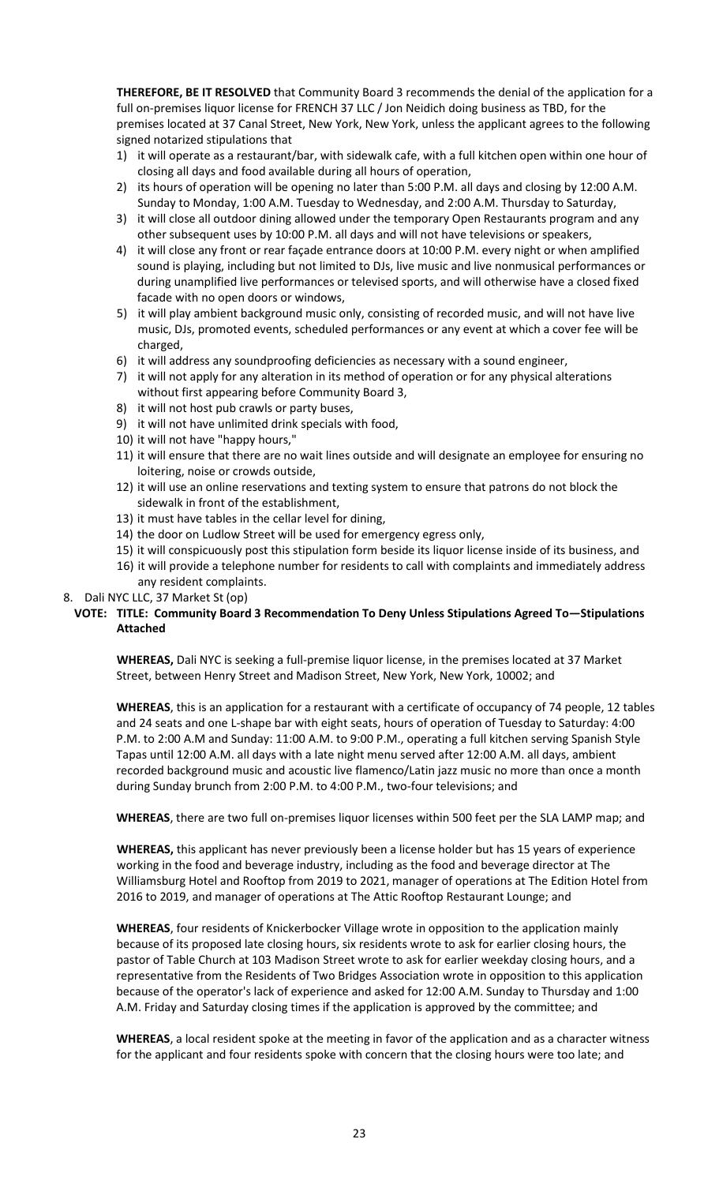**THEREFORE, BE IT RESOLVED** that Community Board 3 recommends the denial of the application for a full on-premises liquor license for FRENCH 37 LLC / Jon Neidich doing business as TBD, for the premises located at 37 Canal Street, New York, New York, unless the applicant agrees to the following signed notarized stipulations that

- 1) it will operate as a restaurant/bar, with sidewalk cafe, with a full kitchen open within one hour of closing all days and food available during all hours of operation,
- 2) its hours of operation will be opening no later than 5:00 P.M. all days and closing by 12:00 A.M. Sunday to Monday, 1:00 A.M. Tuesday to Wednesday, and 2:00 A.M. Thursday to Saturday,
- 3) it will close all outdoor dining allowed under the temporary Open Restaurants program and any other subsequent uses by 10:00 P.M. all days and will not have televisions or speakers,
- 4) it will close any front or rear façade entrance doors at 10:00 P.M. every night or when amplified sound is playing, including but not limited to DJs, live music and live nonmusical performances or during unamplified live performances or televised sports, and will otherwise have a closed fixed facade with no open doors or windows,
- 5) it will play ambient background music only, consisting of recorded music, and will not have live music, DJs, promoted events, scheduled performances or any event at which a cover fee will be charged,
- 6) it will address any soundproofing deficiencies as necessary with a sound engineer,
- 7) it will not apply for any alteration in its method of operation or for any physical alterations without first appearing before Community Board 3,
- 8) it will not host pub crawls or party buses,
- 9) it will not have unlimited drink specials with food,
- 10) it will not have "happy hours,"
- 11) it will ensure that there are no wait lines outside and will designate an employee for ensuring no loitering, noise or crowds outside,
- 12) it will use an online reservations and texting system to ensure that patrons do not block the sidewalk in front of the establishment,
- 13) it must have tables in the cellar level for dining,
- 14) the door on Ludlow Street will be used for emergency egress only,
- 15) it will conspicuously post this stipulation form beside its liquor license inside of its business, and
- 16) it will provide a telephone number for residents to call with complaints and immediately address any resident complaints.
- 8. Dali NYC LLC, 37 Market St (op)

# **VOTE: TITLE: Community Board 3 Recommendation To Deny Unless Stipulations Agreed To—Stipulations Attached**

**WHEREAS,** Dali NYC is seeking a full-premise liquor license, in the premises located at 37 Market Street, between Henry Street and Madison Street, New York, New York, 10002; and

**WHEREAS**, this is an application for a restaurant with a certificate of occupancy of 74 people, 12 tables and 24 seats and one L-shape bar with eight seats, hours of operation of Tuesday to Saturday: 4:00 P.M. to 2:00 A.M and Sunday: 11:00 A.M. to 9:00 P.M., operating a full kitchen serving Spanish Style Tapas until 12:00 A.M. all days with a late night menu served after 12:00 A.M. all days, ambient recorded background music and acoustic live flamenco/Latin jazz music no more than once a month during Sunday brunch from 2:00 P.M. to 4:00 P.M., two-four televisions; and

**WHEREAS**, there are two full on-premises liquor licenses within 500 feet per the SLA LAMP map; and

**WHEREAS,** this applicant has never previously been a license holder but has 15 years of experience working in the food and beverage industry, including as the food and beverage director at The Williamsburg Hotel and Rooftop from 2019 to 2021, manager of operations at The Edition Hotel from 2016 to 2019, and manager of operations at The Attic Rooftop Restaurant Lounge; and

**WHEREAS**, four residents of Knickerbocker Village wrote in opposition to the application mainly because of its proposed late closing hours, six residents wrote to ask for earlier closing hours, the pastor of Table Church at 103 Madison Street wrote to ask for earlier weekday closing hours, and a representative from the Residents of Two Bridges Association wrote in opposition to this application because of the operator's lack of experience and asked for 12:00 A.M. Sunday to Thursday and 1:00 A.M. Friday and Saturday closing times if the application is approved by the committee; and

**WHEREAS**, a local resident spoke at the meeting in favor of the application and as a character witness for the applicant and four residents spoke with concern that the closing hours were too late; and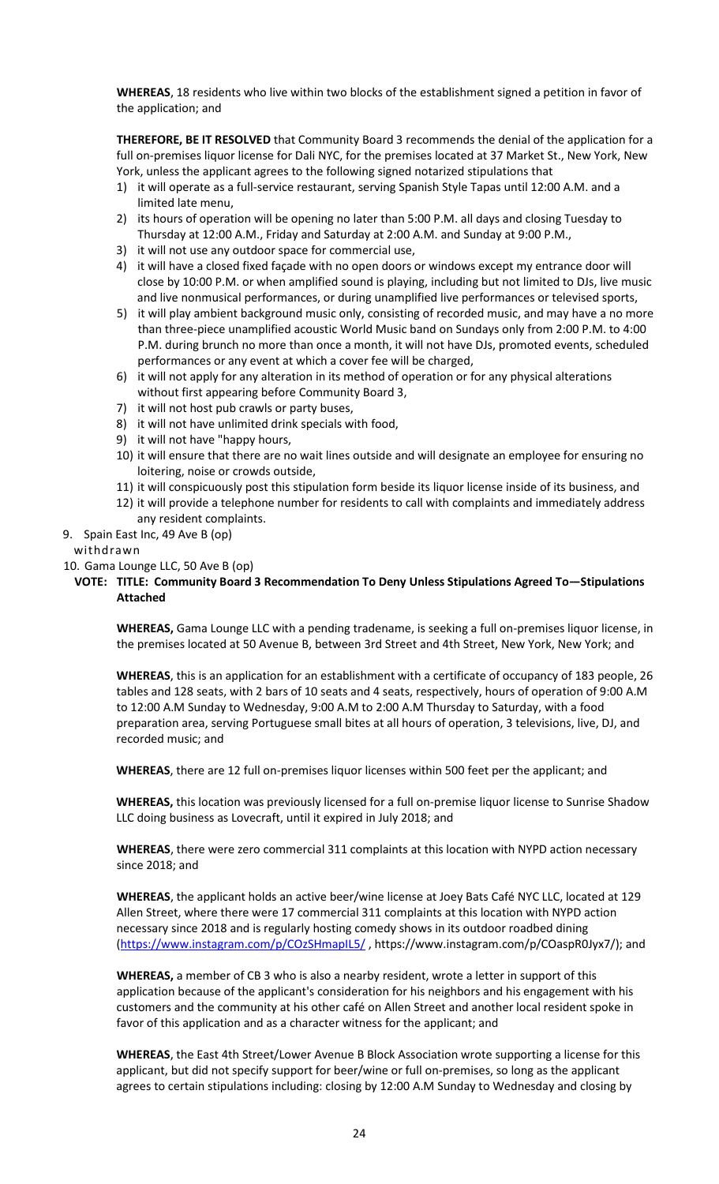**WHEREAS**, 18 residents who live within two blocks of the establishment signed a petition in favor of the application; and

**THEREFORE, BE IT RESOLVED** that Community Board 3 recommends the denial of the application for a full on-premises liquor license for Dali NYC, for the premises located at 37 Market St., New York, New York, unless the applicant agrees to the following signed notarized stipulations that

- 1) it will operate as a full-service restaurant, serving Spanish Style Tapas until 12:00 A.M. and a limited late menu,
- 2) its hours of operation will be opening no later than 5:00 P.M. all days and closing Tuesday to Thursday at 12:00 A.M., Friday and Saturday at 2:00 A.M. and Sunday at 9:00 P.M.,
- 3) it will not use any outdoor space for commercial use,
- 4) it will have a closed fixed façade with no open doors or windows except my entrance door will close by 10:00 P.M. or when amplified sound is playing, including but not limited to DJs, live music and live nonmusical performances, or during unamplified live performances or televised sports,
- 5) it will play ambient background music only, consisting of recorded music, and may have a no more than three-piece unamplified acoustic World Music band on Sundays only from 2:00 P.M. to 4:00 P.M. during brunch no more than once a month, it will not have DJs, promoted events, scheduled performances or any event at which a cover fee will be charged,
- 6) it will not apply for any alteration in its method of operation or for any physical alterations without first appearing before Community Board 3,
- 7) it will not host pub crawls or party buses,
- 8) it will not have unlimited drink specials with food,
- 9) it will not have "happy hours,
- 10) it will ensure that there are no wait lines outside and will designate an employee for ensuring no loitering, noise or crowds outside,
- 11) it will conspicuously post this stipulation form beside its liquor license inside of its business, and
- 12) it will provide a telephone number for residents to call with complaints and immediately address any resident complaints.
- 9. Spain East Inc, 49 Ave B (op)

### withdrawn

10. Gama Lounge LLC, 50 Ave B (op)

### **VOTE: TITLE: Community Board 3 Recommendation To Deny Unless Stipulations Agreed To—Stipulations Attached**

**WHEREAS,** Gama Lounge LLC with a pending tradename, is seeking a full on-premises liquor license, in the premises located at 50 Avenue B, between 3rd Street and 4th Street, New York, New York; and

**WHEREAS**, this is an application for an establishment with a certificate of occupancy of 183 people, 26 tables and 128 seats, with 2 bars of 10 seats and 4 seats, respectively, hours of operation of 9:00 A.M to 12:00 A.M Sunday to Wednesday, 9:00 A.M to 2:00 A.M Thursday to Saturday, with a food preparation area, serving Portuguese small bites at all hours of operation, 3 televisions, live, DJ, and recorded music; and

**WHEREAS**, there are 12 full on-premises liquor licenses within 500 feet per the applicant; and

**WHEREAS,** this location was previously licensed for a full on-premise liquor license to Sunrise Shadow LLC doing business as Lovecraft, until it expired in July 2018; and

**WHEREAS**, there were zero commercial 311 complaints at this location with NYPD action necessary since 2018; and

**WHEREAS**, the applicant holds an active beer/wine license at Joey Bats Café NYC LLC, located at 129 Allen Street, where there were 17 commercial 311 complaints at this location with NYPD action necessary since 2018 and is regularly hosting comedy shows in its outdoor roadbed dining [\(https://www.instagram.com/p/COzSHmapIL5/](https://www.instagram.com/p/COzSHmapIL5/) , https://www.instagram.com/p/COaspR0Jyx7/); and

**WHEREAS,** a member of CB 3 who is also a nearby resident, wrote a letter in support of this application because of the applicant's consideration for his neighbors and his engagement with his customers and the community at his other café on Allen Street and another local resident spoke in favor of this application and as a character witness for the applicant; and

**WHEREAS**, the East 4th Street/Lower Avenue B Block Association wrote supporting a license for this applicant, but did not specify support for beer/wine or full on-premises, so long as the applicant agrees to certain stipulations including: closing by 12:00 A.M Sunday to Wednesday and closing by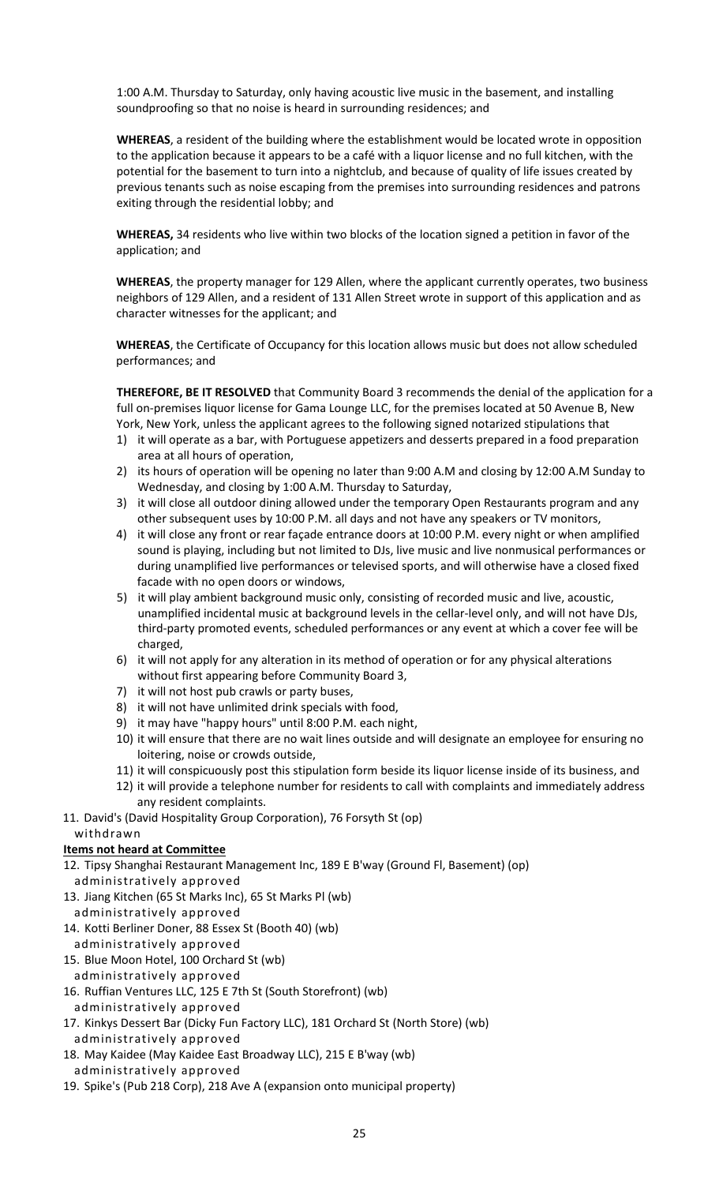1:00 A.M. Thursday to Saturday, only having acoustic live music in the basement, and installing soundproofing so that no noise is heard in surrounding residences; and

**WHEREAS**, a resident of the building where the establishment would be located wrote in opposition to the application because it appears to be a café with a liquor license and no full kitchen, with the potential for the basement to turn into a nightclub, and because of quality of life issues created by previous tenants such as noise escaping from the premises into surrounding residences and patrons exiting through the residential lobby; and

**WHEREAS,** 34 residents who live within two blocks of the location signed a petition in favor of the application; and

**WHEREAS**, the property manager for 129 Allen, where the applicant currently operates, two business neighbors of 129 Allen, and a resident of 131 Allen Street wrote in support of this application and as character witnesses for the applicant; and

**WHEREAS**, the Certificate of Occupancy for this location allows music but does not allow scheduled performances; and

**THEREFORE, BE IT RESOLVED** that Community Board 3 recommends the denial of the application for a full on-premises liquor license for Gama Lounge LLC, for the premises located at 50 Avenue B, New York, New York, unless the applicant agrees to the following signed notarized stipulations that

- 1) it will operate as a bar, with Portuguese appetizers and desserts prepared in a food preparation area at all hours of operation,
- 2) its hours of operation will be opening no later than 9:00 A.M and closing by 12:00 A.M Sunday to Wednesday, and closing by 1:00 A.M. Thursday to Saturday,
- 3) it will close all outdoor dining allowed under the temporary Open Restaurants program and any other subsequent uses by 10:00 P.M. all days and not have any speakers or TV monitors,
- 4) it will close any front or rear façade entrance doors at 10:00 P.M. every night or when amplified sound is playing, including but not limited to DJs, live music and live nonmusical performances or during unamplified live performances or televised sports, and will otherwise have a closed fixed facade with no open doors or windows,
- 5) it will play ambient background music only, consisting of recorded music and live, acoustic, unamplified incidental music at background levels in the cellar-level only, and will not have DJs, third-party promoted events, scheduled performances or any event at which a cover fee will be charged,
- 6) it will not apply for any alteration in its method of operation or for any physical alterations without first appearing before Community Board 3,
- 7) it will not host pub crawls or party buses,
- 8) it will not have unlimited drink specials with food,
- 9) it may have "happy hours" until 8:00 P.M. each night,
- 10) it will ensure that there are no wait lines outside and will designate an employee for ensuring no loitering, noise or crowds outside,
- 11) it will conspicuously post this stipulation form beside its liquor license inside of its business, and
- 12) it will provide a telephone number for residents to call with complaints and immediately address any resident complaints.
- 11. David's (David Hospitality Group Corporation), 76 Forsyth St (op)

#### withdrawn

# **Items not heard at Committee**

- 12. Tipsy Shanghai Restaurant Management Inc, 189 E B'way (Ground Fl, Basement) (op) administratively approved
- 13. Jiang Kitchen (65 St Marks Inc), 65 St Marks Pl (wb)

administratively approved

14. Kotti Berliner Doner, 88 Essex St (Booth 40) (wb)

administratively approved

- 15. Blue Moon Hotel, 100 Orchard St (wb) administratively approved
- 16. Ruffian Ventures LLC, 125 E 7th St (South Storefront) (wb)
- administratively approved
- 17. Kinkys Dessert Bar (Dicky Fun Factory LLC), 181 Orchard St (North Store) (wb) administratively approved
- 18. May Kaidee (May Kaidee East Broadway LLC), 215 E B'way (wb) administratively approved
- 19. Spike's (Pub 218 Corp), 218 Ave A (expansion onto municipal property)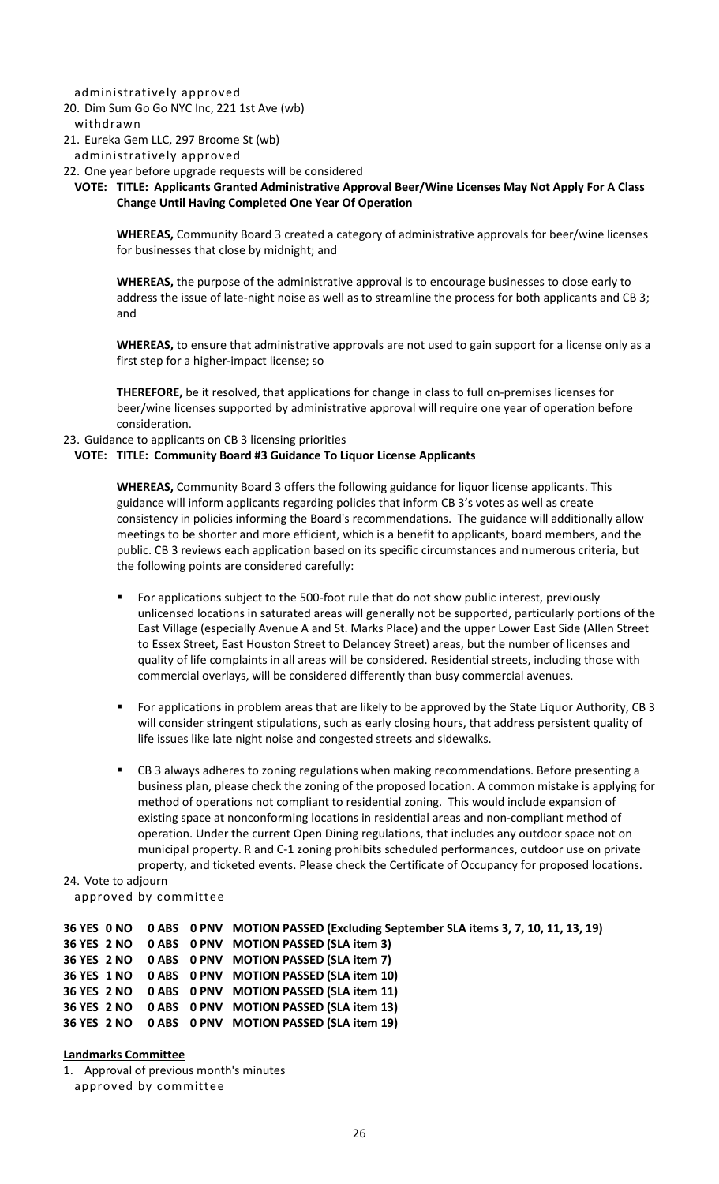administratively approved

20. Dim Sum Go Go NYC Inc, 221 1st Ave (wb)

### withdrawn

- 21. Eureka Gem LLC, 297 Broome St (wb)
- administratively approved
- 22. One year before upgrade requests will be considered

#### **VOTE: TITLE: Applicants Granted Administrative Approval Beer/Wine Licenses May Not Apply For A Class Change Until Having Completed One Year Of Operation**

**WHEREAS,** Community Board 3 created a category of administrative approvals for beer/wine licenses for businesses that close by midnight; and

**WHEREAS,** the purpose of the administrative approval is to encourage businesses to close early to address the issue of late-night noise as well as to streamline the process for both applicants and CB 3; and

**WHEREAS,** to ensure that administrative approvals are not used to gain support for a license only as a first step for a higher-impact license; so

**THEREFORE,** be it resolved, that applications for change in class to full on-premises licenses for beer/wine licenses supported by administrative approval will require one year of operation before consideration.

#### 23. Guidance to applicants on CB 3 licensing priorities

#### **VOTE: TITLE: Community Board #3 Guidance To Liquor License Applicants**

**WHEREAS,** Community Board 3 offers the following guidance for liquor license applicants. This guidance will inform applicants regarding policies that inform CB 3's votes as well as create consistency in policies informing the Board's recommendations. The guidance will additionally allow meetings to be shorter and more efficient, which is a benefit to applicants, board members, and the public. CB 3 reviews each application based on its specific circumstances and numerous criteria, but the following points are considered carefully:

- For applications subject to the 500-foot rule that do not show public interest, previously unlicensed locations in saturated areas will generally not be supported, particularly portions of the East Village (especially Avenue A and St. Marks Place) and the upper Lower East Side (Allen Street to Essex Street, East Houston Street to Delancey Street) areas, but the number of licenses and quality of life complaints in all areas will be considered. Residential streets, including those with commercial overlays, will be considered differently than busy commercial avenues.
- For applications in problem areas that are likely to be approved by the State Liquor Authority, CB 3 will consider stringent stipulations, such as early closing hours, that address persistent quality of life issues like late night noise and congested streets and sidewalks.
- CB 3 always adheres to zoning regulations when making recommendations. Before presenting a business plan, please check the zoning of the proposed location. A common mistake is applying for method of operations not compliant to residential zoning. This would include expansion of existing space at nonconforming locations in residential areas and non-compliant method of operation. Under the current Open Dining regulations, that includes any outdoor space not on municipal property. R and C-1 zoning prohibits scheduled performances, outdoor use on private property, and ticketed events. Please check the Certificate of Occupancy for proposed locations.

# 24. Vote to adjourn

approved by committee

 **YES 0 NO 0 ABS 0 PNV MOTION PASSED (Excluding September SLA items 3, 7, 10, 11, 13, 19) YES 2 NO 0 ABS 0 PNV MOTION PASSED (SLA item 3) YES 2 NO 0 ABS 0 PNV MOTION PASSED (SLA item 7) YES 1 NO 0 ABS 0 PNV MOTION PASSED (SLA item 10) YES 2 NO 0 ABS 0 PNV MOTION PASSED (SLA item 11) YES 2 NO 0 ABS 0 PNV MOTION PASSED (SLA item 13) YES 2 NO 0 ABS 0 PNV MOTION PASSED (SLA item 19)**

#### **Landmarks Committee**

1. Approval of previous month's minutes approved by committee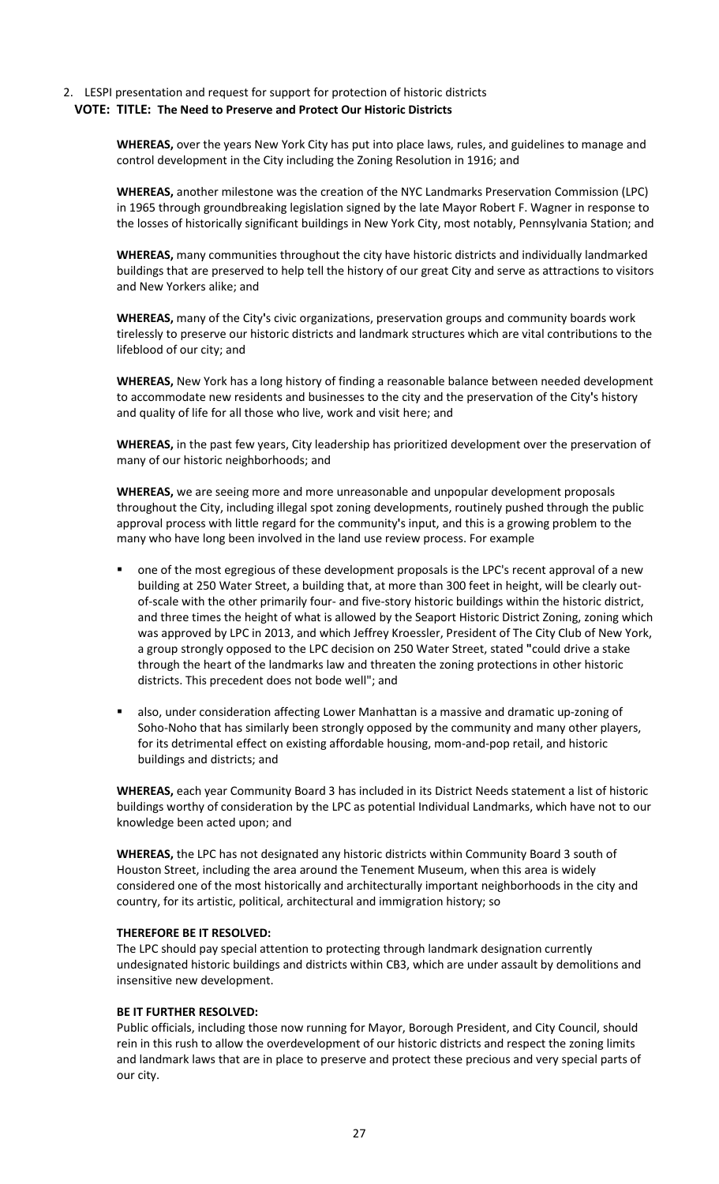### 2. LESPI presentation and request for support for protection of historic districts **VOTE: TITLE: The Need to Preserve and Protect Our Historic Districts**

**WHEREAS,** over the years New York City has put into place laws, rules, and guidelines to manage and control development in the City including the Zoning Resolution in 1916; and

**WHEREAS,** another milestone was the creation of the NYC Landmarks Preservation Commission (LPC) in 1965 through groundbreaking legislation signed by the late Mayor Robert F. Wagner in response to the losses of historically significant buildings in New York City, most notably, Pennsylvania Station; and

**WHEREAS,** many communities throughout the city have historic districts and individually landmarked buildings that are preserved to help tell the history of our great City and serve as attractions to visitors and New Yorkers alike; and

**WHEREAS,** many of the City **'**s civic organizations, preservation groups and community boards work tirelessly to preserve our historic districts and landmark structures which are vital contributions to the lifeblood of our city; and

**WHEREAS,** New York has a long history of finding a reasonable balance between needed development to accommodate new residents and businesses to the city and the preservation of the City **'**s history and quality of life for all those who live, work and visit here; and

**WHEREAS,** in the past few years, City leadership has prioritized development over the preservation of many of our historic neighborhoods; and

**WHEREAS,** we are seeing more and more unreasonable and unpopular development proposals throughout the City, including illegal spot zoning developments, routinely pushed through the public approval process with little regard for the community **'**s input, and this is a growing problem to the many who have long been involved in the land use review process. For example

- one of the most egregious of these development proposals is the LPC's recent approval of a new building at 250 Water Street, a building that, at more than 300 feet in height, will be clearly outof-scale with the other primarily four- and five-story historic buildings within the historic district, and three times the height of what is allowed by the Seaport Historic District Zoning, zoning which was approved by LPC in 2013, and which Jeffrey Kroessler, President of The City Club of New York, a group strongly opposed to the LPC decision on 250 Water Street, stated **"**could drive a stake through the heart of the landmarks law and threaten the zoning protections in other historic districts. This precedent does not bode well"; and
- also, under consideration affecting Lower Manhattan is a massive and dramatic up-zoning of Soho-Noho that has similarly been strongly opposed by the community and many other players, for its detrimental effect on existing affordable housing, mom-and-pop retail, and historic buildings and districts; and

**WHEREAS,** each year Community Board 3 has included in its District Needs statement a list of historic buildings worthy of consideration by the LPC as potential Individual Landmarks, which have not to our knowledge been acted upon; and

**WHEREAS,** the LPC has not designated any historic districts within Community Board 3 south of Houston Street, including the area around the Tenement Museum, when this area is widely considered one of the most historically and architecturally important neighborhoods in the city and country, for its artistic, political, architectural and immigration history; so

#### **THEREFORE BE IT RESOLVED:**

The LPC should pay special attention to protecting through landmark designation currently undesignated historic buildings and districts within CB3, which are under assault by demolitions and insensitive new development.

#### **BE IT FURTHER RESOLVED:**

Public officials, including those now running for Mayor, Borough President, and City Council, should rein in this rush to allow the overdevelopment of our historic districts and respect the zoning limits and landmark laws that are in place to preserve and protect these precious and very special parts of our city.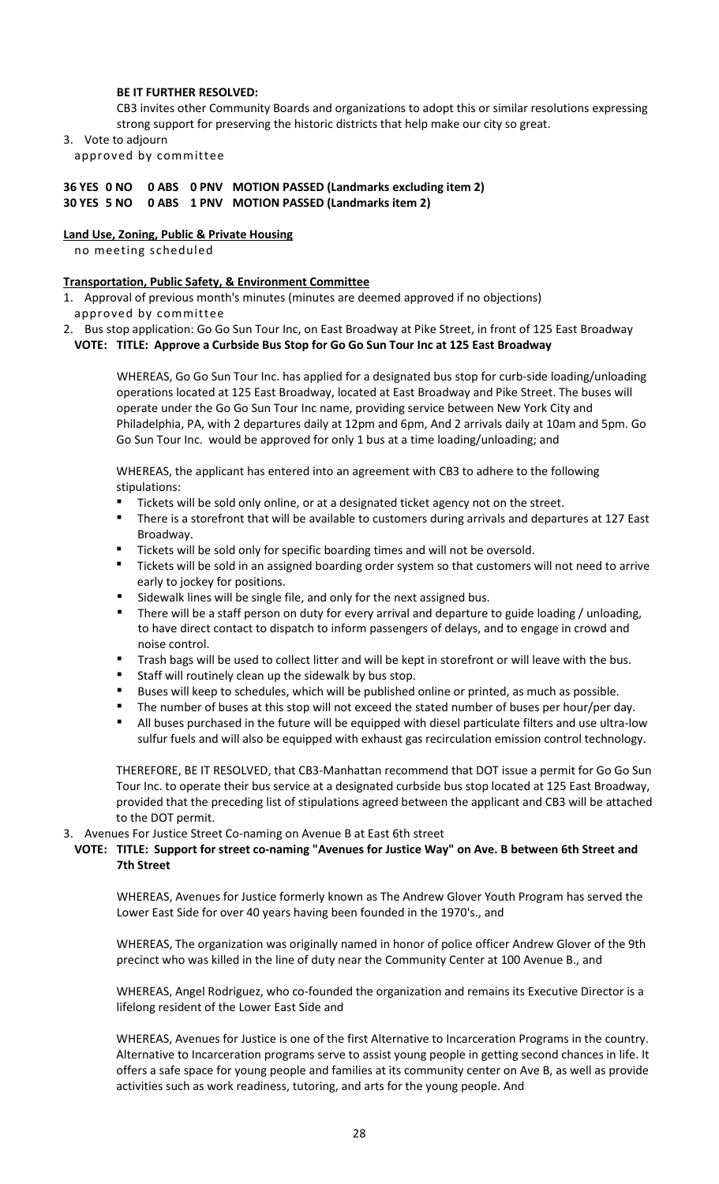#### **BE IT FURTHER RESOLVED:**

CB3 invites other Community Boards and organizations to adopt this or similar resolutions expressing strong support for preserving the historic districts that help make our city so great.

3. Vote to adjourn

approved by committee

### **36 YES 0 NO 0 ABS 0 PNV MOTION PASSED (Landmarks excluding item 2) 30 YES 5 NO 0 ABS 1 PNV MOTION PASSED (Landmarks item 2)**

#### **Land Use, Zoning, Public & Private Housing**

no meeting scheduled

### **Transportation, Public Safety, & Environment Committee**

- 1. Approval of previous month's minutes (minutes are deemed approved if no objections) approved by committee
- 2. Bus stop application: Go Go Sun Tour Inc, on East Broadway at Pike Street, in front of 125 East Broadway **VOTE: TITLE: Approve a Curbside Bus Stop for Go Go Sun Tour Inc at 125 East Broadway**

WHEREAS, Go Go Sun Tour Inc. has applied for a designated bus stop for curb-side loading/unloading operations located at 125 East Broadway, located at East Broadway and Pike Street. The buses will operate under the Go Go Sun Tour Inc name, providing service between New York City and Philadelphia, PA, with 2 departures daily at 12pm and 6pm, And 2 arrivals daily at 10am and 5pm. Go Go Sun Tour Inc. would be approved for only 1 bus at a time loading/unloading; and

WHEREAS, the applicant has entered into an agreement with CB3 to adhere to the following stipulations:

- Tickets will be sold only online, or at a designated ticket agency not on the street.
- There is a storefront that will be available to customers during arrivals and departures at 127 East Broadway.
- Tickets will be sold only for specific boarding times and will not be oversold.
- Tickets will be sold in an assigned boarding order system so that customers will not need to arrive early to jockey for positions.
- Sidewalk lines will be single file, and only for the next assigned bus.
- There will be a staff person on duty for every arrival and departure to guide loading / unloading, to have direct contact to dispatch to inform passengers of delays, and to engage in crowd and noise control.
- Trash bags will be used to collect litter and will be kept in storefront or will leave with the bus.
- Staff will routinely clean up the sidewalk by bus stop.
- Buses will keep to schedules, which will be published online or printed, as much as possible.
- The number of buses at this stop will not exceed the stated number of buses per hour/per day.
- All buses purchased in the future will be equipped with diesel particulate filters and use ultra-low sulfur fuels and will also be equipped with exhaust gas recirculation emission control technology.

THEREFORE, BE IT RESOLVED, that CB3-Manhattan recommend that DOT issue a permit for Go Go Sun Tour Inc. to operate their bus service at a designated curbside bus stop located at 125 East Broadway, provided that the preceding list of stipulations agreed between the applicant and CB3 will be attached to the DOT permit.

3. Avenues For Justice Street Co-naming on Avenue B at East 6th street

### **VOTE: TITLE: Support for street co-naming "Avenues for Justice Way" on Ave. B between 6th Street and 7th Street**

WHEREAS, Avenues for Justice formerly known as The Andrew Glover Youth Program has served the Lower East Side for over 40 years having been founded in the 1970's., and

WHEREAS, The organization was originally named in honor of police officer Andrew Glover of the 9th precinct who was killed in the line of duty near the Community Center at 100 Avenue B., and

WHEREAS, Angel Rodriguez, who co-founded the organization and remains its Executive Director is a lifelong resident of the Lower East Side and

WHEREAS, Avenues for Justice is one of the first Alternative to Incarceration Programs in the country. Alternative to Incarceration programs serve to assist young people in getting second chances in life. It offers a safe space for young people and families at its community center on Ave B, as well as provide activities such as work readiness, tutoring, and arts for the young people. And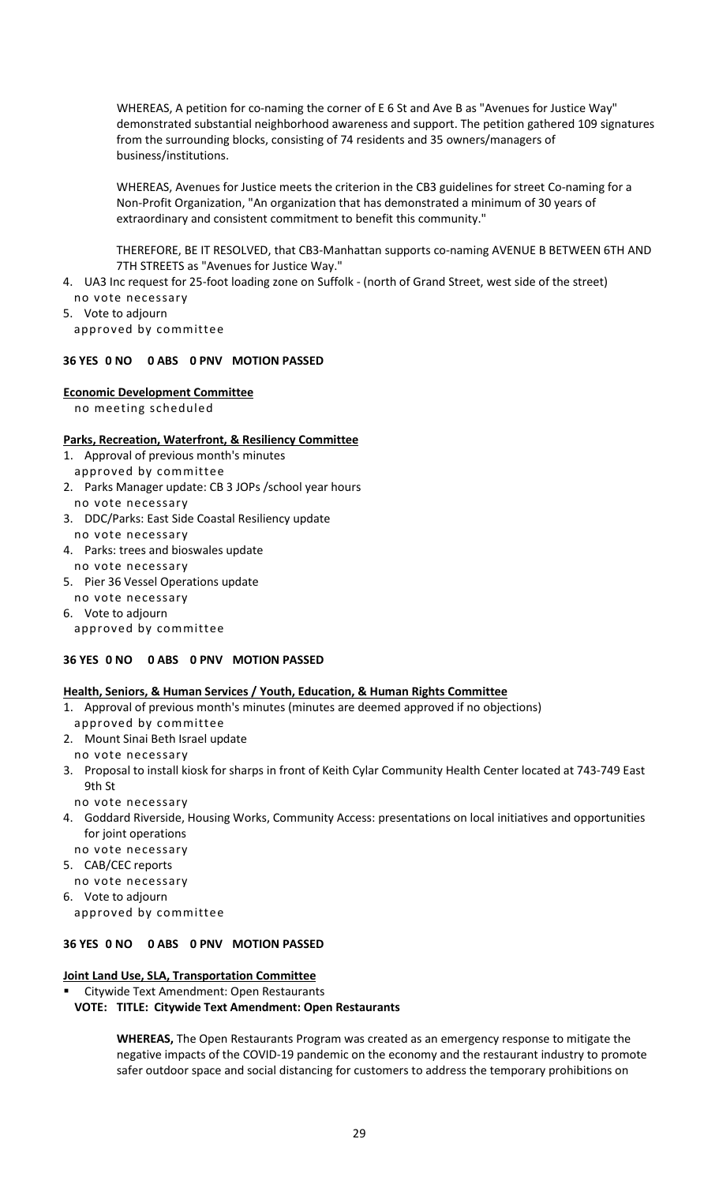WHEREAS, A petition for co-naming the corner of E 6 St and Ave B as "Avenues for Justice Way" demonstrated substantial neighborhood awareness and support. The petition gathered 109 signatures from the surrounding blocks, consisting of 74 residents and 35 owners/managers of business/institutions.

WHEREAS, Avenues for Justice meets the criterion in the CB3 guidelines for street Co-naming for a Non-Profit Organization, "An organization that has demonstrated a minimum of 30 years of extraordinary and consistent commitment to benefit this community."

THEREFORE, BE IT RESOLVED, that CB3-Manhattan supports co-naming AVENUE B BETWEEN 6TH AND 7TH STREETS as "Avenues for Justice Way."

- 4. UA3 Inc request for 25-foot loading zone on Suffolk (north of Grand Street, west side of the street)
- no vote necessary 5. Vote to adjourn

approved by committee

# **36 YES 0 NO 0 ABS 0 PNV MOTION PASSED**

# **Economic Development Committee**

no meeting scheduled

# **Parks, Recreation, Waterfront, & Resiliency Committee**

- 1. Approval of previous month's minutes
- approved by committee
- 2. Parks Manager update: CB 3 JOPs /school year hours no vote necessary
- 3. DDC/Parks: East Side Coastal Resiliency update no vote necessary
- 4. Parks: trees and bioswales update
- no vote necessary
- 5. Pier 36 Vessel Operations update no vote necessary
- 6. Vote to adjourn
- approved by committee

# **36 YES 0 NO 0 ABS 0 PNV MOTION PASSED**

# **Health, Seniors, & Human Services / Youth, Education, & Human Rights Committee**

- 1. Approval of previous month's minutes (minutes are deemed approved if no objections)
- approved by committee
- 2. Mount Sinai Beth Israel update
- no vote necessary
- 3. Proposal to install kiosk for sharps in front of Keith Cylar Community Health Center located at 743-749 East 9th St
	- no vote necessary
- 4. Goddard Riverside, Housing Works, Community Access: presentations on local initiatives and opportunities for joint operations
	- no vote necessary
- 5. CAB/CEC reports
- no vote necessary
- 6. Vote to adjourn approved by committee

# **36 YES 0 NO 0 ABS 0 PNV MOTION PASSED**

# **Joint Land Use, SLA, Transportation Committee**

Citywide Text Amendment: Open Restaurants

# **VOTE: TITLE: Citywide Text Amendment: Open Restaurants**

**WHEREAS,** The Open Restaurants Program was created as an emergency response to mitigate the negative impacts of the COVID-19 pandemic on the economy and the restaurant industry to promote safer outdoor space and social distancing for customers to address the temporary prohibitions on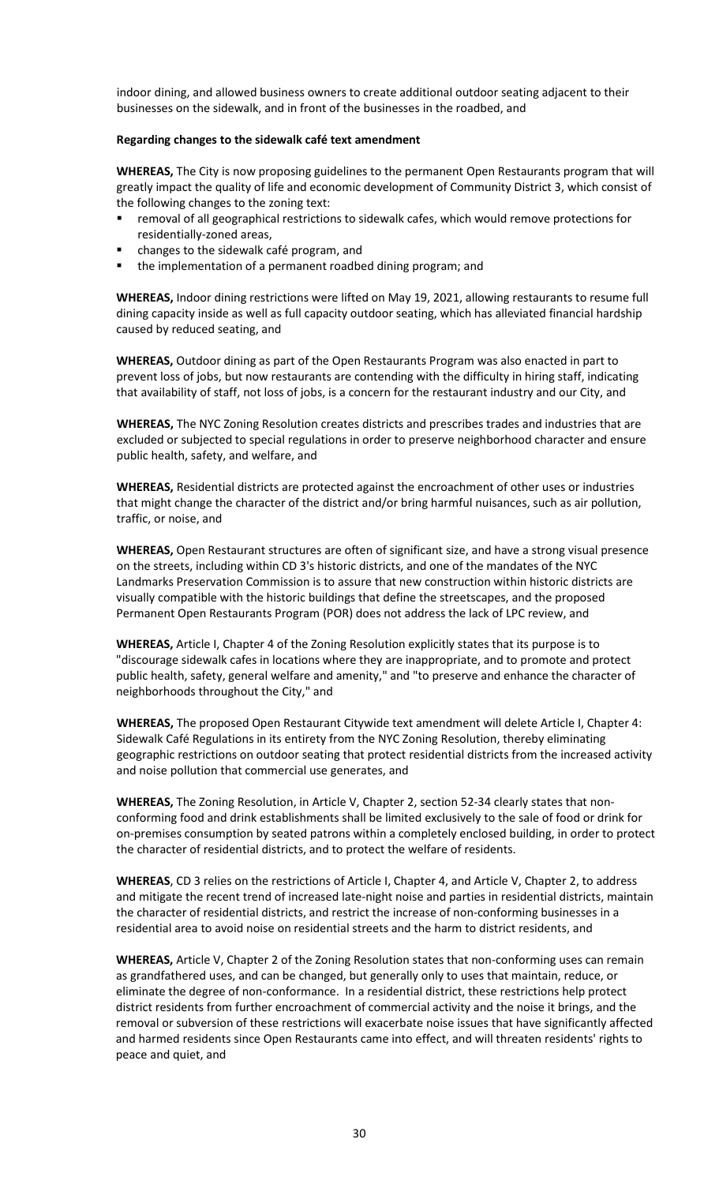indoor dining, and allowed business owners to create additional outdoor seating adjacent to their businesses on the sidewalk, and in front of the businesses in the roadbed, and

#### **Regarding changes to the sidewalk café text amendment**

**WHEREAS,** The City is now proposing guidelines to the permanent Open Restaurants program that will greatly impact the quality of life and economic development of Community District 3, which consist of the following changes to the zoning text:

- removal of all geographical restrictions to sidewalk cafes, which would remove protections for residentially-zoned areas,
- changes to the sidewalk café program, and
- the implementation of a permanent roadbed dining program; and

**WHEREAS,** Indoor dining restrictions were lifted on May 19, 2021, allowing restaurants to resume full dining capacity inside as well as full capacity outdoor seating, which has alleviated financial hardship caused by reduced seating, and

**WHEREAS,** Outdoor dining as part of the Open Restaurants Program was also enacted in part to prevent loss of jobs, but now restaurants are contending with the difficulty in hiring staff, indicating that availability of staff, not loss of jobs, is a concern for the restaurant industry and our City, and

**WHEREAS,** The NYC Zoning Resolution creates districts and prescribes trades and industries that are excluded or subjected to special regulations in order to preserve neighborhood character and ensure public health, safety, and welfare, and

**WHEREAS,** Residential districts are protected against the encroachment of other uses or industries that might change the character of the district and/or bring harmful nuisances, such as air pollution, traffic, or noise, and

**WHEREAS,** Open Restaurant structures are often of significant size, and have a strong visual presence on the streets, including within CD 3's historic districts, and one of the mandates of the NYC Landmarks Preservation Commission is to assure that new construction within historic districts are visually compatible with the historic buildings that define the streetscapes, and the proposed Permanent Open Restaurants Program (POR) does not address the lack of LPC review, and

**WHEREAS,** Article I, Chapter 4 of the Zoning Resolution explicitly states that its purpose is to "discourage sidewalk cafes in locations where they are inappropriate, and to promote and protect public health, safety, general welfare and amenity," and "to preserve and enhance the character of neighborhoods throughout the City," and

**WHEREAS,** The proposed Open Restaurant Citywide text amendment will delete Article I, Chapter 4: Sidewalk Café Regulations in its entirety from the NYC Zoning Resolution, thereby eliminating geographic restrictions on outdoor seating that protect residential districts from the increased activity and noise pollution that commercial use generates, and

**WHEREAS,** The Zoning Resolution, in Article V, Chapter 2, section 52-34 clearly states that nonconforming food and drink establishments shall be limited exclusively to the sale of food or drink for on-premises consumption by seated patrons within a completely enclosed building, in order to protect the character of residential districts, and to protect the welfare of residents.

**WHEREAS**, CD 3 relies on the restrictions of Article I, Chapter 4, and Article V, Chapter 2, to address and mitigate the recent trend of increased late-night noise and parties in residential districts, maintain the character of residential districts, and restrict the increase of non-conforming businesses in a residential area to avoid noise on residential streets and the harm to district residents, and

**WHEREAS,** Article V, Chapter 2 of the Zoning Resolution states that non-conforming uses can remain as grandfathered uses, and can be changed, but generally only to uses that maintain, reduce, or eliminate the degree of non-conformance. In a residential district, these restrictions help protect district residents from further encroachment of commercial activity and the noise it brings, and the removal or subversion of these restrictions will exacerbate noise issues that have significantly affected and harmed residents since Open Restaurants came into effect, and will threaten residents' rights to peace and quiet, and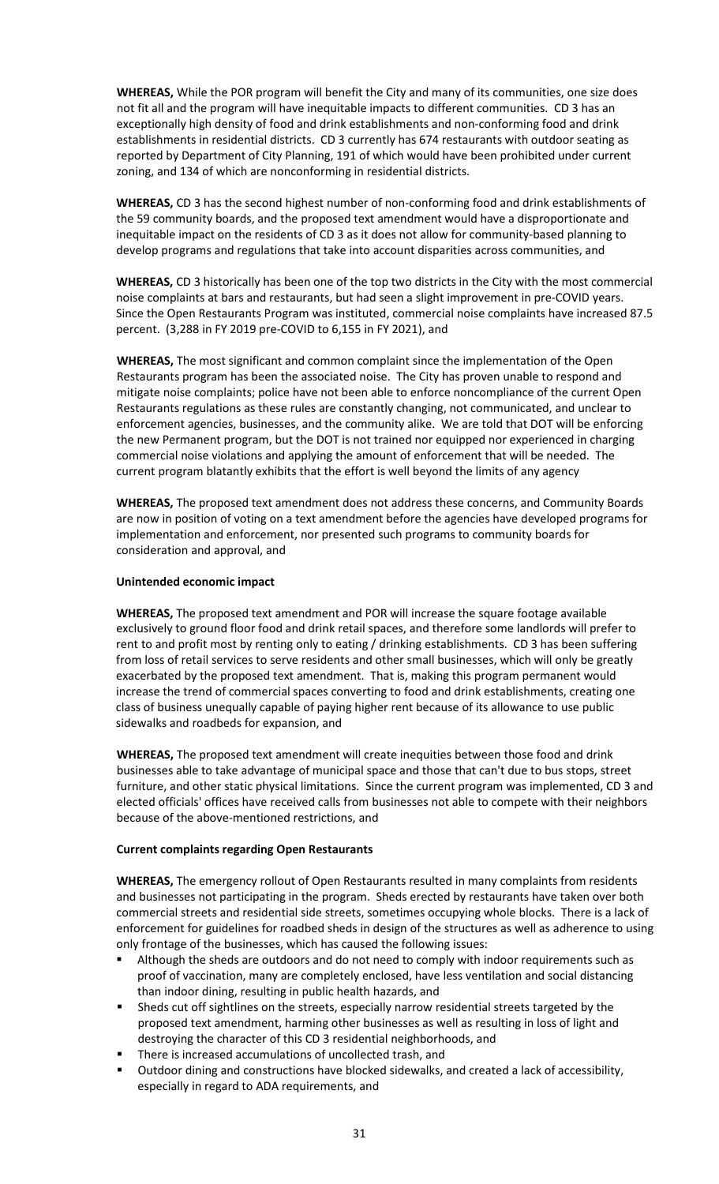**WHEREAS,** While the POR program will benefit the City and many of its communities, one size does not fit all and the program will have inequitable impacts to different communities. CD 3 has an exceptionally high density of food and drink establishments and non-conforming food and drink establishments in residential districts. CD 3 currently has 674 restaurants with outdoor seating as reported by Department of City Planning, 191 of which would have been prohibited under current zoning, and 134 of which are nonconforming in residential districts.

**WHEREAS,** CD 3 has the second highest number of non-conforming food and drink establishments of the 59 community boards, and the proposed text amendment would have a disproportionate and inequitable impact on the residents of CD 3 as it does not allow for community-based planning to develop programs and regulations that take into account disparities across communities, and

**WHEREAS,** CD 3 historically has been one of the top two districts in the City with the most commercial noise complaints at bars and restaurants, but had seen a slight improvement in pre-COVID years. Since the Open Restaurants Program was instituted, commercial noise complaints have increased 87.5 percent. (3,288 in FY 2019 pre-COVID to 6,155 in FY 2021), and

**WHEREAS,** The most significant and common complaint since the implementation of the Open Restaurants program has been the associated noise. The City has proven unable to respond and mitigate noise complaints; police have not been able to enforce noncompliance of the current Open Restaurants regulations as these rules are constantly changing, not communicated, and unclear to enforcement agencies, businesses, and the community alike. We are told that DOT will be enforcing the new Permanent program, but the DOT is not trained nor equipped nor experienced in charging commercial noise violations and applying the amount of enforcement that will be needed. The current program blatantly exhibits that the effort is well beyond the limits of any agency

**WHEREAS,** The proposed text amendment does not address these concerns, and Community Boards are now in position of voting on a text amendment before the agencies have developed programs for implementation and enforcement, nor presented such programs to community boards for consideration and approval, and

#### **Unintended economic impact**

**WHEREAS,** The proposed text amendment and POR will increase the square footage available exclusively to ground floor food and drink retail spaces, and therefore some landlords will prefer to rent to and profit most by renting only to eating / drinking establishments. CD 3 has been suffering from loss of retail services to serve residents and other small businesses, which will only be greatly exacerbated by the proposed text amendment. That is, making this program permanent would increase the trend of commercial spaces converting to food and drink establishments, creating one class of business unequally capable of paying higher rent because of its allowance to use public sidewalks and roadbeds for expansion, and

**WHEREAS,** The proposed text amendment will create inequities between those food and drink businesses able to take advantage of municipal space and those that can't due to bus stops, street furniture, and other static physical limitations. Since the current program was implemented, CD 3 and elected officials' offices have received calls from businesses not able to compete with their neighbors because of the above-mentioned restrictions, and

#### **Current complaints regarding Open Restaurants**

**WHEREAS,** The emergency rollout of Open Restaurants resulted in many complaints from residents and businesses not participating in the program. Sheds erected by restaurants have taken over both commercial streets and residential side streets, sometimes occupying whole blocks. There is a lack of enforcement for guidelines for roadbed sheds in design of the structures as well as adherence to using only frontage of the businesses, which has caused the following issues:

- Although the sheds are outdoors and do not need to comply with indoor requirements such as proof of vaccination, many are completely enclosed, have less ventilation and social distancing than indoor dining, resulting in public health hazards, and
- Sheds cut off sightlines on the streets, especially narrow residential streets targeted by the proposed text amendment, harming other businesses as well as resulting in loss of light and destroying the character of this CD 3 residential neighborhoods, and
- There is increased accumulations of uncollected trash, and
- Outdoor dining and constructions have blocked sidewalks, and created a lack of accessibility, especially in regard to ADA requirements, and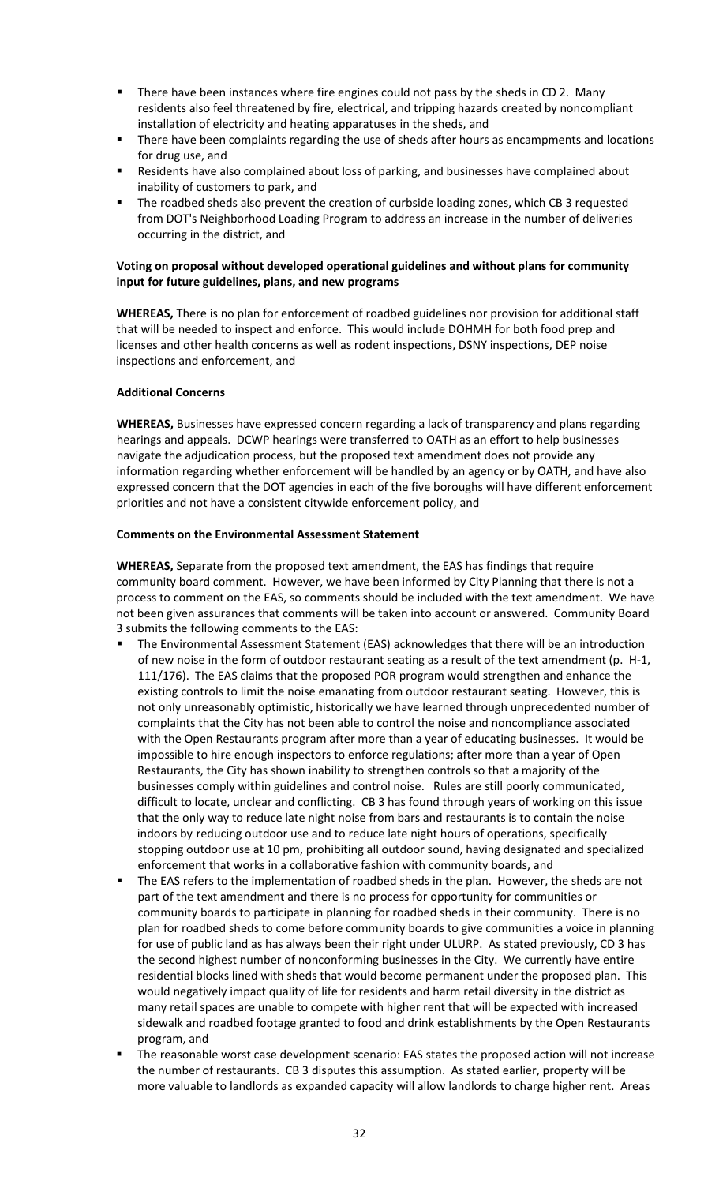- There have been instances where fire engines could not pass by the sheds in CD 2. Many residents also feel threatened by fire, electrical, and tripping hazards created by noncompliant installation of electricity and heating apparatuses in the sheds, and
- There have been complaints regarding the use of sheds after hours as encampments and locations for drug use, and
- **Residents have also complained about loss of parking, and businesses have complained about** inability of customers to park, and
- **The roadbed sheds also prevent the creation of curbside loading zones, which CB 3 requested** from DOT's Neighborhood Loading Program to address an increase in the number of deliveries occurring in the district, and

### **Voting on proposal without developed operational guidelines and without plans for community input for future guidelines, plans, and new programs**

**WHEREAS,** There is no plan for enforcement of roadbed guidelines nor provision for additional staff that will be needed to inspect and enforce. This would include DOHMH for both food prep and licenses and other health concerns as well as rodent inspections, DSNY inspections, DEP noise inspections and enforcement, and

### **Additional Concerns**

**WHEREAS,** Businesses have expressed concern regarding a lack of transparency and plans regarding hearings and appeals. DCWP hearings were transferred to OATH as an effort to help businesses navigate the adjudication process, but the proposed text amendment does not provide any information regarding whether enforcement will be handled by an agency or by OATH, and have also expressed concern that the DOT agencies in each of the five boroughs will have different enforcement priorities and not have a consistent citywide enforcement policy, and

#### **Comments on the Environmental Assessment Statement**

**WHEREAS,** Separate from the proposed text amendment, the EAS has findings that require community board comment. However, we have been informed by City Planning that there is not a process to comment on the EAS, so comments should be included with the text amendment. We have not been given assurances that comments will be taken into account or answered. Community Board 3 submits the following comments to the EAS:

- The Environmental Assessment Statement (EAS) acknowledges that there will be an introduction of new noise in the form of outdoor restaurant seating as a result of the text amendment (p. H-1, 111/176). The EAS claims that the proposed POR program would strengthen and enhance the existing controls to limit the noise emanating from outdoor restaurant seating. However, this is not only unreasonably optimistic, historically we have learned through unprecedented number of complaints that the City has not been able to control the noise and noncompliance associated with the Open Restaurants program after more than a year of educating businesses. It would be impossible to hire enough inspectors to enforce regulations; after more than a year of Open Restaurants, the City has shown inability to strengthen controls so that a majority of the businesses comply within guidelines and control noise. Rules are still poorly communicated, difficult to locate, unclear and conflicting. CB 3 has found through years of working on this issue that the only way to reduce late night noise from bars and restaurants is to contain the noise indoors by reducing outdoor use and to reduce late night hours of operations, specifically stopping outdoor use at 10 pm, prohibiting all outdoor sound, having designated and specialized enforcement that works in a collaborative fashion with community boards, and
- The EAS refers to the implementation of roadbed sheds in the plan. However, the sheds are not part of the text amendment and there is no process for opportunity for communities or community boards to participate in planning for roadbed sheds in their community. There is no plan for roadbed sheds to come before community boards to give communities a voice in planning for use of public land as has always been their right under ULURP. As stated previously, CD 3 has the second highest number of nonconforming businesses in the City. We currently have entire residential blocks lined with sheds that would become permanent under the proposed plan. This would negatively impact quality of life for residents and harm retail diversity in the district as many retail spaces are unable to compete with higher rent that will be expected with increased sidewalk and roadbed footage granted to food and drink establishments by the Open Restaurants program, and
- The reasonable worst case development scenario: EAS states the proposed action will not increase the number of restaurants. CB 3 disputes this assumption. As stated earlier, property will be more valuable to landlords as expanded capacity will allow landlords to charge higher rent. Areas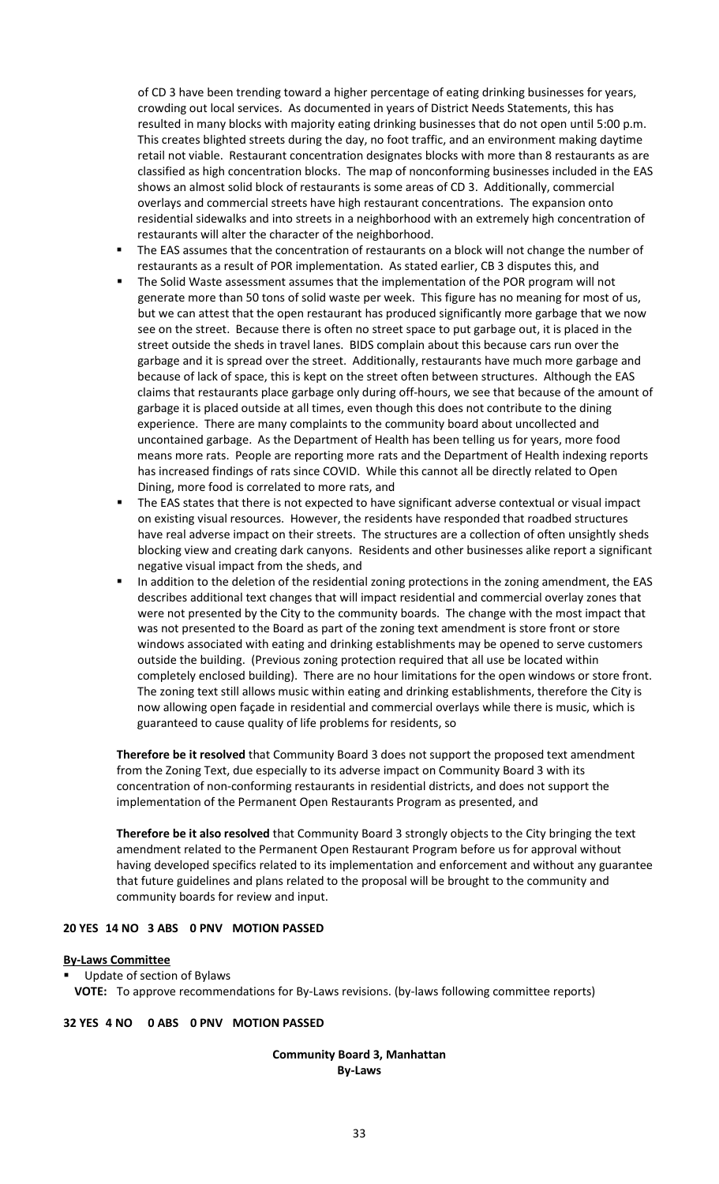of CD 3 have been trending toward a higher percentage of eating drinking businesses for years, crowding out local services. As documented in years of District Needs Statements, this has resulted in many blocks with majority eating drinking businesses that do not open until 5:00 p.m. This creates blighted streets during the day, no foot traffic, and an environment making daytime retail not viable. Restaurant concentration designates blocks with more than 8 restaurants as are classified as high concentration blocks. The map of nonconforming businesses included in the EAS shows an almost solid block of restaurants is some areas of CD 3. Additionally, commercial overlays and commercial streets have high restaurant concentrations. The expansion onto residential sidewalks and into streets in a neighborhood with an extremely high concentration of restaurants will alter the character of the neighborhood.

- The EAS assumes that the concentration of restaurants on a block will not change the number of restaurants as a result of POR implementation. As stated earlier, CB 3 disputes this, and
- The Solid Waste assessment assumes that the implementation of the POR program will not generate more than 50 tons of solid waste per week. This figure has no meaning for most of us, but we can attest that the open restaurant has produced significantly more garbage that we now see on the street. Because there is often no street space to put garbage out, it is placed in the street outside the sheds in travel lanes. BIDS complain about this because cars run over the garbage and it is spread over the street. Additionally, restaurants have much more garbage and because of lack of space, this is kept on the street often between structures. Although the EAS claims that restaurants place garbage only during off-hours, we see that because of the amount of garbage it is placed outside at all times, even though this does not contribute to the dining experience. There are many complaints to the community board about uncollected and uncontained garbage. As the Department of Health has been telling us for years, more food means more rats. People are reporting more rats and the Department of Health indexing reports has increased findings of rats since COVID. While this cannot all be directly related to Open Dining, more food is correlated to more rats, and
- The EAS states that there is not expected to have significant adverse contextual or visual impact on existing visual resources. However, the residents have responded that roadbed structures have real adverse impact on their streets. The structures are a collection of often unsightly sheds blocking view and creating dark canyons. Residents and other businesses alike report a significant negative visual impact from the sheds, and
- In addition to the deletion of the residential zoning protections in the zoning amendment, the EAS describes additional text changes that will impact residential and commercial overlay zones that were not presented by the City to the community boards. The change with the most impact that was not presented to the Board as part of the zoning text amendment is store front or store windows associated with eating and drinking establishments may be opened to serve customers outside the building. (Previous zoning protection required that all use be located within completely enclosed building). There are no hour limitations for the open windows or store front. The zoning text still allows music within eating and drinking establishments, therefore the City is now allowing open façade in residential and commercial overlays while there is music, which is guaranteed to cause quality of life problems for residents, so

**Therefore be it resolved** that Community Board 3 does not support the proposed text amendment from the Zoning Text, due especially to its adverse impact on Community Board 3 with its concentration of non-conforming restaurants in residential districts, and does not support the implementation of the Permanent Open Restaurants Program as presented, and

**Therefore be it also resolved** that Community Board 3 strongly objects to the City bringing the text amendment related to the Permanent Open Restaurant Program before us for approval without having developed specifics related to its implementation and enforcement and without any guarantee that future guidelines and plans related to the proposal will be brought to the community and community boards for review and input.

#### **20 YES 14 NO 3 ABS 0 PNV MOTION PASSED**

#### **By-Laws Committee**

Update of section of Bylaws

**VOTE:** To approve recommendations for By-Laws revisions. (by-laws following committee reports)

#### **32 YES 4 NO 0 ABS 0 PNV MOTION PASSED**

#### **Community Board 3, Manhattan By-Laws**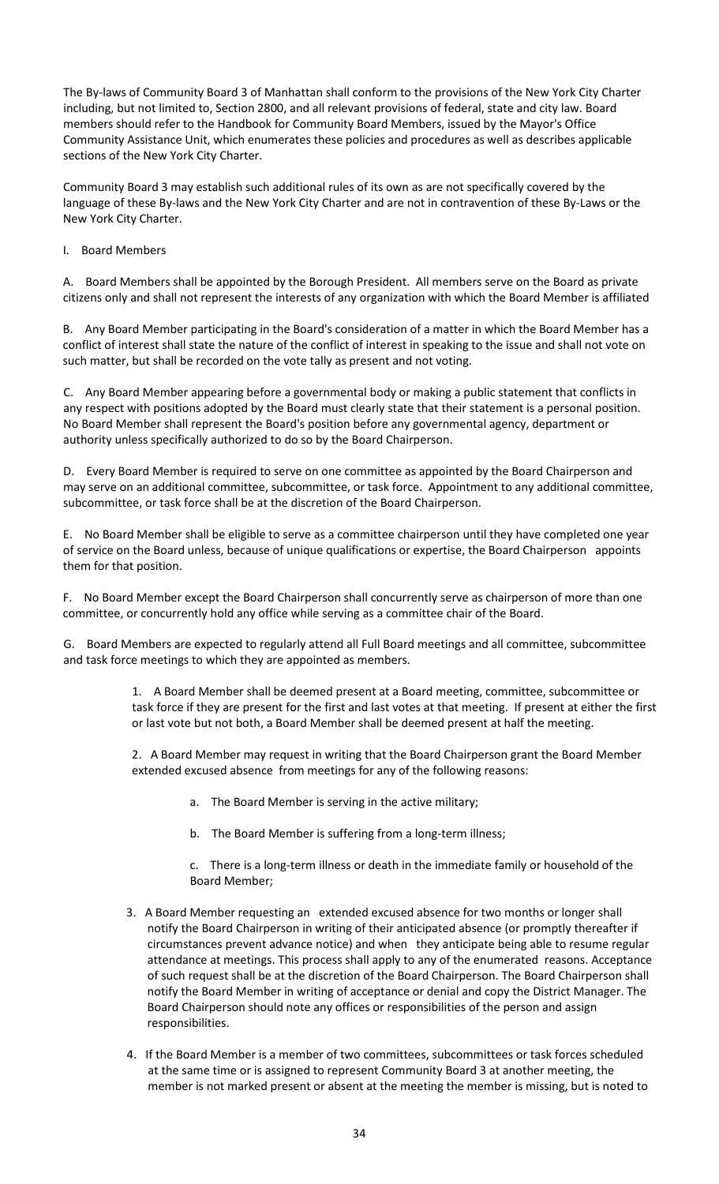The By-laws of Community Board 3 of Manhattan shall conform to the provisions of the New York City Charter including, but not limited to, Section 2800, and all relevant provisions of federal, state and city law. Board members should refer to the Handbook for Community Board Members, issued by the Mayor's Office Community Assistance Unit, which enumerates these policies and procedures as well as describes applicable sections of the New York City Charter.

Community Board 3 may establish such additional rules of its own as are not specifically covered by the language of these By-laws and the New York City Charter and are not in contravention of these By-Laws or the New York City Charter.

I. Board Members

A. Board Members shall be appointed by the Borough President. All members serve on the Board as private citizens only and shall not represent the interests of any organization with which the Board Member is affiliated

B. Any Board Member participating in the Board's consideration of a matter in which the Board Member has a conflict of interest shall state the nature of the conflict of interest in speaking to the issue and shall not vote on such matter, but shall be recorded on the vote tally as present and not voting.

C. Any Board Member appearing before a governmental body or making a public statement that conflicts in any respect with positions adopted by the Board must clearly state that their statement is a personal position. No Board Member shall represent the Board's position before any governmental agency, department or authority unless specifically authorized to do so by the Board Chairperson.

D. Every Board Member is required to serve on one committee as appointed by the Board Chairperson and may serve on an additional committee, subcommittee, or task force. Appointment to any additional committee, subcommittee, or task force shall be at the discretion of the Board Chairperson.

E. No Board Member shall be eligible to serve as a committee chairperson until they have completed one year of service on the Board unless, because of unique qualifications or expertise, the Board Chairperson appoints them for that position.

F. No Board Member except the Board Chairperson shall concurrently serve as chairperson of more than one committee, or concurrently hold any office while serving as a committee chair of the Board.

G. Board Members are expected to regularly attend all Full Board meetings and all committee, subcommittee and task force meetings to which they are appointed as members.

> 1. A Board Member shall be deemed present at a Board meeting, committee, subcommittee or task force if they are present for the first and last votes at that meeting. If present at either the first or last vote but not both, a Board Member shall be deemed present at half the meeting.

2. A Board Member may request in writing that the Board Chairperson grant the Board Member extended excused absence from meetings for any of the following reasons:

- a. The Board Member is serving in the active military;
- b. The Board Member is suffering from a long-term illness;

c. There is a long-term illness or death in the immediate family or household of the Board Member;

- 3. A Board Member requesting an extended excused absence for two months or longer shall notify the Board Chairperson in writing of their anticipated absence (or promptly thereafter if circumstances prevent advance notice) and when they anticipate being able to resume regular attendance at meetings. This process shall apply to any of the enumerated reasons. Acceptance of such request shall be at the discretion of the Board Chairperson. The Board Chairperson shall notify the Board Member in writing of acceptance or denial and copy the District Manager. The Board Chairperson should note any offices or responsibilities of the person and assign responsibilities.
- 4. If the Board Member is a member of two committees, subcommittees or task forces scheduled at the same time or is assigned to represent Community Board 3 at another meeting, the member is not marked present or absent at the meeting the member is missing, but is noted to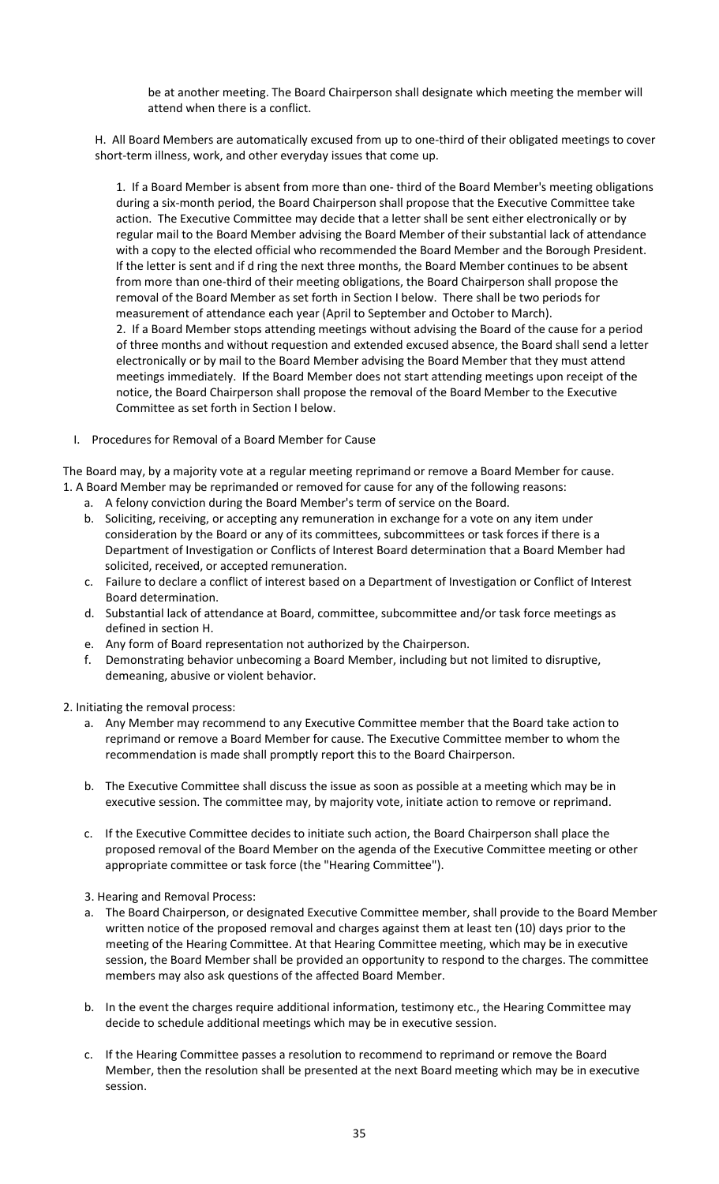be at another meeting. The Board Chairperson shall designate which meeting the member will attend when there is a conflict.

H. All Board Members are automatically excused from up to one-third of their obligated meetings to cover short-term illness, work, and other everyday issues that come up.

1. If a Board Member is absent from more than one- third of the Board Member's meeting obligations during a six-month period, the Board Chairperson shall propose that the Executive Committee take action. The Executive Committee may decide that a letter shall be sent either electronically or by regular mail to the Board Member advising the Board Member of their substantial lack of attendance with a copy to the elected official who recommended the Board Member and the Borough President. If the letter is sent and if d ring the next three months, the Board Member continues to be absent from more than one-third of their meeting obligations, the Board Chairperson shall propose the removal of the Board Member as set forth in Section I below. There shall be two periods for measurement of attendance each year (April to September and October to March). 2. If a Board Member stops attending meetings without advising the Board of the cause for a period of three months and without requestion and extended excused absence, the Board shall send a letter electronically or by mail to the Board Member advising the Board Member that they must attend meetings immediately. If the Board Member does not start attending meetings upon receipt of the notice, the Board Chairperson shall propose the removal of the Board Member to the Executive Committee as set forth in Section I below.

I. Procedures for Removal of a Board Member for Cause

The Board may, by a majority vote at a regular meeting reprimand or remove a Board Member for cause. 1. A Board Member may be reprimanded or removed for cause for any of the following reasons:

- a. A felony conviction during the Board Member's term of service on the Board.
- b. Soliciting, receiving, or accepting any remuneration in exchange for a vote on any item under consideration by the Board or any of its committees, subcommittees or task forces if there is a Department of Investigation or Conflicts of Interest Board determination that a Board Member had solicited, received, or accepted remuneration.
- c. Failure to declare a conflict of interest based on a Department of Investigation or Conflict of Interest Board determination.
- d. Substantial lack of attendance at Board, committee, subcommittee and/or task force meetings as defined in section H.
- e. Any form of Board representation not authorized by the Chairperson.
- f. Demonstrating behavior unbecoming a Board Member, including but not limited to disruptive, demeaning, abusive or violent behavior.

2. Initiating the removal process:

- a. Any Member may recommend to any Executive Committee member that the Board take action to reprimand or remove a Board Member for cause. The Executive Committee member to whom the recommendation is made shall promptly report this to the Board Chairperson.
- b. The Executive Committee shall discuss the issue as soon as possible at a meeting which may be in executive session. The committee may, by majority vote, initiate action to remove or reprimand.
- c. If the Executive Committee decides to initiate such action, the Board Chairperson shall place the proposed removal of the Board Member on the agenda of the Executive Committee meeting or other appropriate committee or task force (the "Hearing Committee").

3. Hearing and Removal Process:

- a. The Board Chairperson, or designated Executive Committee member, shall provide to the Board Member written notice of the proposed removal and charges against them at least ten (10) days prior to the meeting of the Hearing Committee. At that Hearing Committee meeting, which may be in executive session, the Board Member shall be provided an opportunity to respond to the charges. The committee members may also ask questions of the affected Board Member.
- b. In the event the charges require additional information, testimony etc., the Hearing Committee may decide to schedule additional meetings which may be in executive session.
- c. If the Hearing Committee passes a resolution to recommend to reprimand or remove the Board Member, then the resolution shall be presented at the next Board meeting which may be in executive session.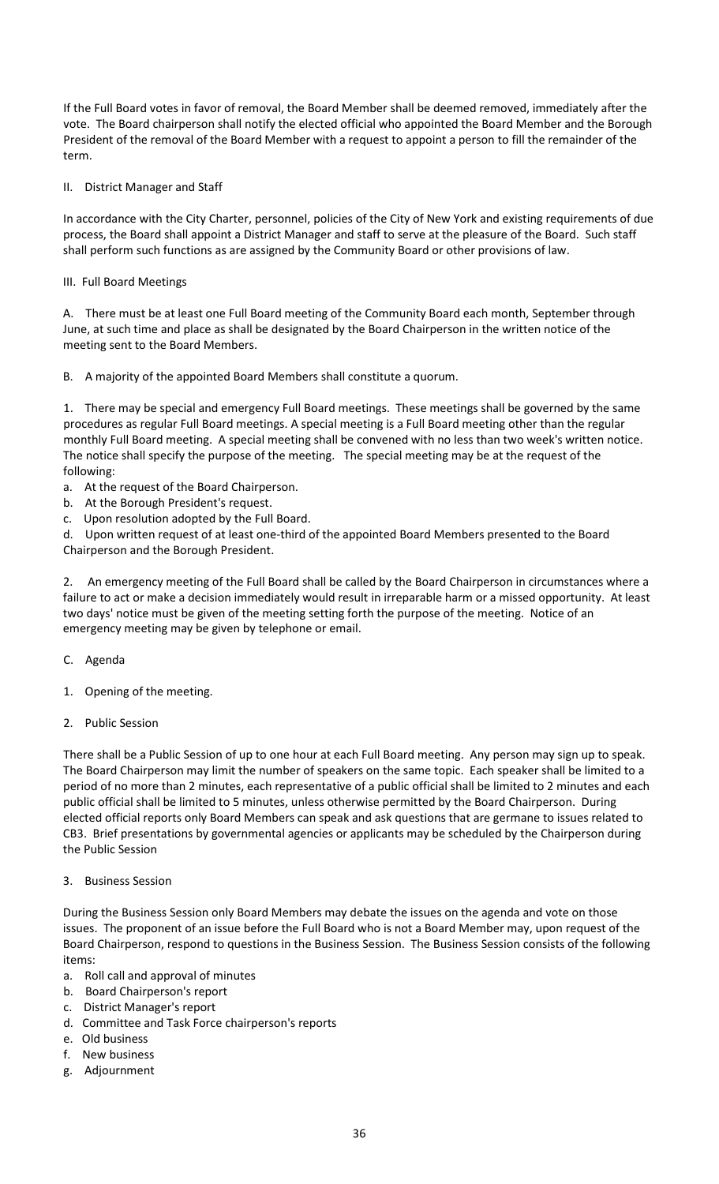If the Full Board votes in favor of removal, the Board Member shall be deemed removed, immediately after the vote. The Board chairperson shall notify the elected official who appointed the Board Member and the Borough President of the removal of the Board Member with a request to appoint a person to fill the remainder of the term.

### II. District Manager and Staff

In accordance with the City Charter, personnel, policies of the City of New York and existing requirements of due process, the Board shall appoint a District Manager and staff to serve at the pleasure of the Board. Such staff shall perform such functions as are assigned by the Community Board or other provisions of law.

### III. Full Board Meetings

A. There must be at least one Full Board meeting of the Community Board each month, September through June, at such time and place as shall be designated by the Board Chairperson in the written notice of the meeting sent to the Board Members.

B. A majority of the appointed Board Members shall constitute a quorum.

1. There may be special and emergency Full Board meetings. These meetings shall be governed by the same procedures as regular Full Board meetings. A special meeting is a Full Board meeting other than the regular monthly Full Board meeting. A special meeting shall be convened with no less than two week's written notice. The notice shall specify the purpose of the meeting. The special meeting may be at the request of the following:

- a. At the request of the Board Chairperson.
- b. At the Borough President's request.
- c. Upon resolution adopted by the Full Board.

d. Upon written request of at least one-third of the appointed Board Members presented to the Board Chairperson and the Borough President.

2. An emergency meeting of the Full Board shall be called by the Board Chairperson in circumstances where a failure to act or make a decision immediately would result in irreparable harm or a missed opportunity. At least two days' notice must be given of the meeting setting forth the purpose of the meeting. Notice of an emergency meeting may be given by telephone or email.

- C. Agenda
- 1. Opening of the meeting.
- 2. Public Session

There shall be a Public Session of up to one hour at each Full Board meeting. Any person may sign up to speak. The Board Chairperson may limit the number of speakers on the same topic. Each speaker shall be limited to a period of no more than 2 minutes, each representative of a public official shall be limited to 2 minutes and each public official shall be limited to 5 minutes, unless otherwise permitted by the Board Chairperson. During elected official reports only Board Members can speak and ask questions that are germane to issues related to CB3. Brief presentations by governmental agencies or applicants may be scheduled by the Chairperson during the Public Session

#### 3. Business Session

During the Business Session only Board Members may debate the issues on the agenda and vote on those issues. The proponent of an issue before the Full Board who is not a Board Member may, upon request of the Board Chairperson, respond to questions in the Business Session. The Business Session consists of the following items:

- a. Roll call and approval of minutes
- b. Board Chairperson's report
- c. District Manager's report
- d. Committee and Task Force chairperson's reports
- e. Old business
- f. New business
- g. Adjournment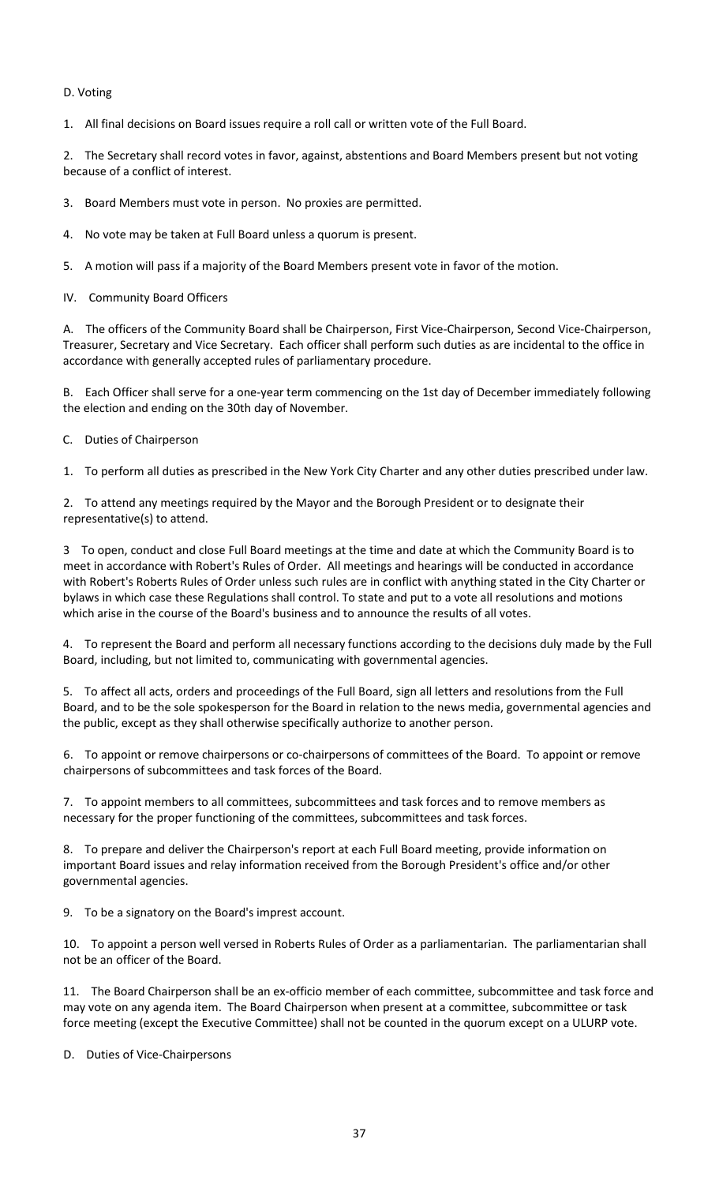### D. Voting

1. All final decisions on Board issues require a roll call or written vote of the Full Board.

2. The Secretary shall record votes in favor, against, abstentions and Board Members present but not voting because of a conflict of interest.

3. Board Members must vote in person. No proxies are permitted.

4. No vote may be taken at Full Board unless a quorum is present.

5. A motion will pass if a majority of the Board Members present vote in favor of the motion.

IV. Community Board Officers

A. The officers of the Community Board shall be Chairperson, First Vice-Chairperson, Second Vice-Chairperson, Treasurer, Secretary and Vice Secretary. Each officer shall perform such duties as are incidental to the office in accordance with generally accepted rules of parliamentary procedure.

B. Each Officer shall serve for a one-year term commencing on the 1st day of December immediately following the election and ending on the 30th day of November.

C. Duties of Chairperson

1. To perform all duties as prescribed in the New York City Charter and any other duties prescribed under law.

2. To attend any meetings required by the Mayor and the Borough President or to designate their representative(s) to attend.

3 To open, conduct and close Full Board meetings at the time and date at which the Community Board is to meet in accordance with Robert's Rules of Order. All meetings and hearings will be conducted in accordance with Robert's Roberts Rules of Order unless such rules are in conflict with anything stated in the City Charter or bylaws in which case these Regulations shall control. To state and put to a vote all resolutions and motions which arise in the course of the Board's business and to announce the results of all votes.

4. To represent the Board and perform all necessary functions according to the decisions duly made by the Full Board, including, but not limited to, communicating with governmental agencies.

5. To affect all acts, orders and proceedings of the Full Board, sign all letters and resolutions from the Full Board, and to be the sole spokesperson for the Board in relation to the news media, governmental agencies and the public, except as they shall otherwise specifically authorize to another person.

6. To appoint or remove chairpersons or co-chairpersons of committees of the Board. To appoint or remove chairpersons of subcommittees and task forces of the Board.

7. To appoint members to all committees, subcommittees and task forces and to remove members as necessary for the proper functioning of the committees, subcommittees and task forces.

8. To prepare and deliver the Chairperson's report at each Full Board meeting, provide information on important Board issues and relay information received from the Borough President's office and/or other governmental agencies.

9. To be a signatory on the Board's imprest account.

10. To appoint a person well versed in Roberts Rules of Order as a parliamentarian. The parliamentarian shall not be an officer of the Board.

11. The Board Chairperson shall be an ex-officio member of each committee, subcommittee and task force and may vote on any agenda item. The Board Chairperson when present at a committee, subcommittee or task force meeting (except the Executive Committee) shall not be counted in the quorum except on a ULURP vote.

D. Duties of Vice-Chairpersons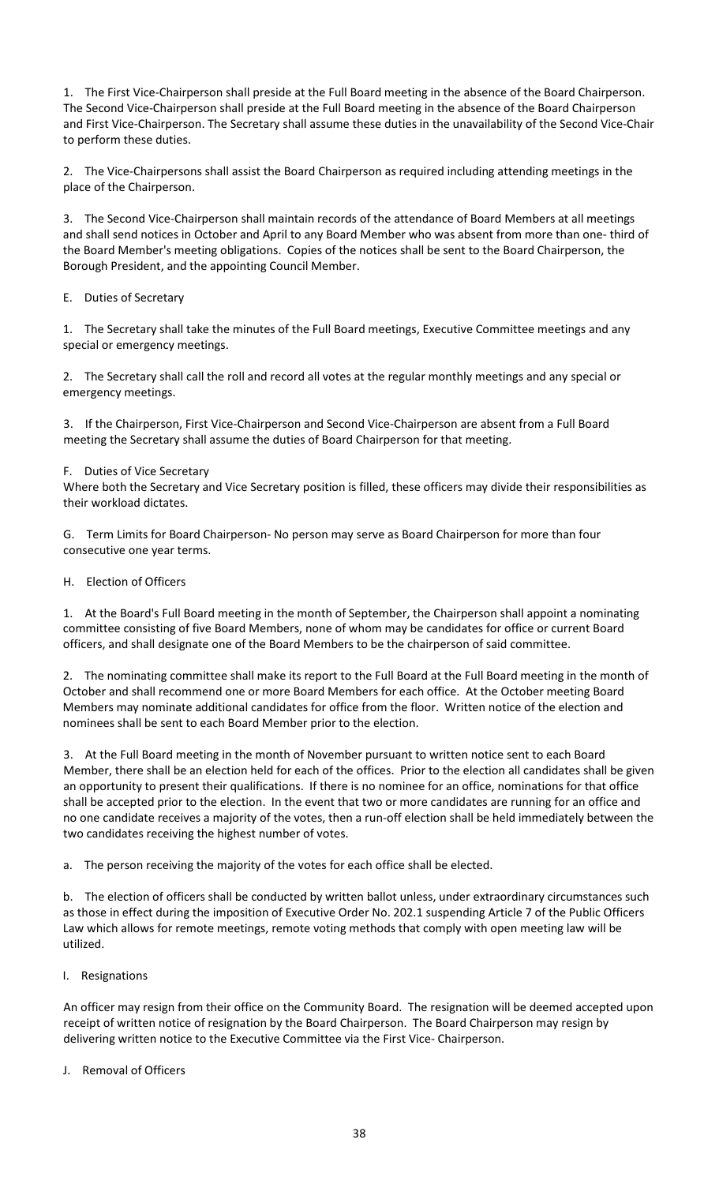1. The First Vice-Chairperson shall preside at the Full Board meeting in the absence of the Board Chairperson. The Second Vice-Chairperson shall preside at the Full Board meeting in the absence of the Board Chairperson and First Vice-Chairperson. The Secretary shall assume these duties in the unavailability of the Second Vice-Chair to perform these duties.

2. The Vice-Chairpersons shall assist the Board Chairperson as required including attending meetings in the place of the Chairperson.

3. The Second Vice-Chairperson shall maintain records of the attendance of Board Members at all meetings and shall send notices in October and April to any Board Member who was absent from more than one- third of the Board Member's meeting obligations. Copies of the notices shall be sent to the Board Chairperson, the Borough President, and the appointing Council Member.

E. Duties of Secretary

1. The Secretary shall take the minutes of the Full Board meetings, Executive Committee meetings and any special or emergency meetings.

2. The Secretary shall call the roll and record all votes at the regular monthly meetings and any special or emergency meetings.

3. If the Chairperson, First Vice-Chairperson and Second Vice-Chairperson are absent from a Full Board meeting the Secretary shall assume the duties of Board Chairperson for that meeting.

### F. Duties of Vice Secretary

Where both the Secretary and Vice Secretary position is filled, these officers may divide their responsibilities as their workload dictates.

G. Term Limits for Board Chairperson- No person may serve as Board Chairperson for more than four consecutive one year terms.

H. Election of Officers

1. At the Board's Full Board meeting in the month of September, the Chairperson shall appoint a nominating committee consisting of five Board Members, none of whom may be candidates for office or current Board officers, and shall designate one of the Board Members to be the chairperson of said committee.

2. The nominating committee shall make its report to the Full Board at the Full Board meeting in the month of October and shall recommend one or more Board Members for each office. At the October meeting Board Members may nominate additional candidates for office from the floor. Written notice of the election and nominees shall be sent to each Board Member prior to the election.

3. At the Full Board meeting in the month of November pursuant to written notice sent to each Board Member, there shall be an election held for each of the offices. Prior to the election all candidates shall be given an opportunity to present their qualifications. If there is no nominee for an office, nominations for that office shall be accepted prior to the election. In the event that two or more candidates are running for an office and no one candidate receives a majority of the votes, then a run-off election shall be held immediately between the two candidates receiving the highest number of votes.

a. The person receiving the majority of the votes for each office shall be elected.

b. The election of officers shall be conducted by written ballot unless, under extraordinary circumstances such as those in effect during the imposition of Executive Order No. 202.1 suspending Article 7 of the Public Officers Law which allows for remote meetings, remote voting methods that comply with open meeting law will be utilized.

I. Resignations

An officer may resign from their office on the Community Board. The resignation will be deemed accepted upon receipt of written notice of resignation by the Board Chairperson. The Board Chairperson may resign by delivering written notice to the Executive Committee via the First Vice- Chairperson.

J. Removal of Officers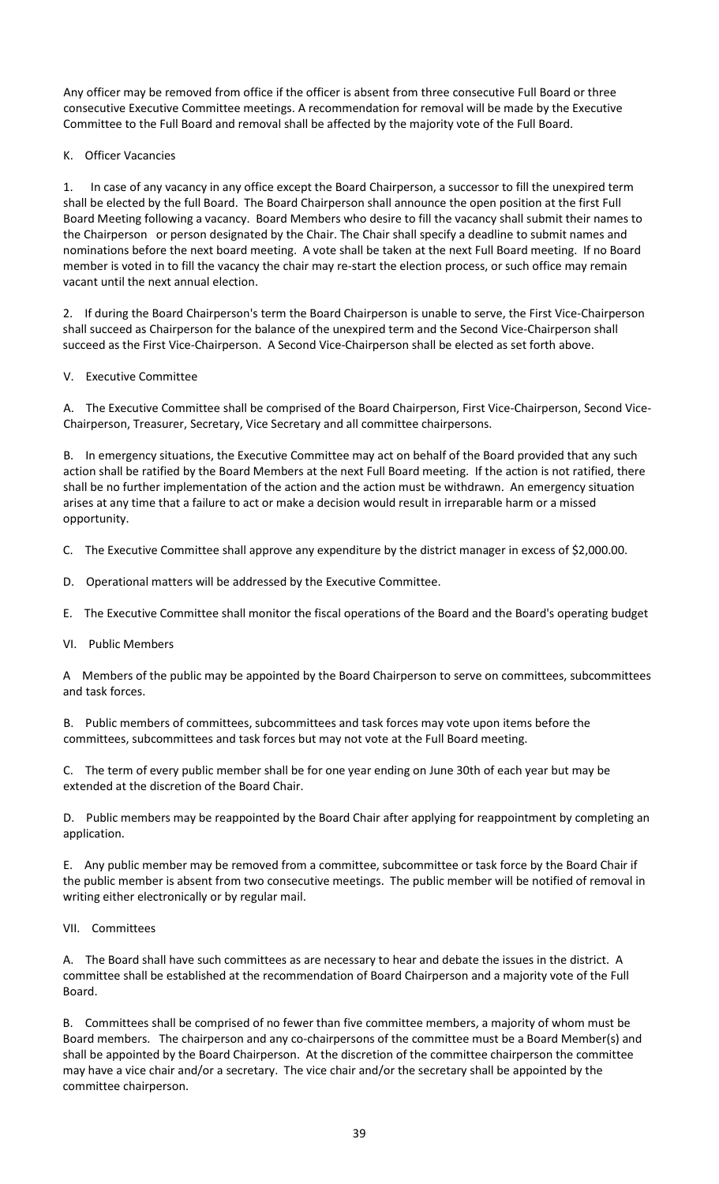Any officer may be removed from office if the officer is absent from three consecutive Full Board or three consecutive Executive Committee meetings. A recommendation for removal will be made by the Executive Committee to the Full Board and removal shall be affected by the majority vote of the Full Board.

K. Officer Vacancies

1. In case of any vacancy in any office except the Board Chairperson, a successor to fill the unexpired term shall be elected by the full Board. The Board Chairperson shall announce the open position at the first Full Board Meeting following a vacancy. Board Members who desire to fill the vacancy shall submit their names to the Chairperson or person designated by the Chair. The Chair shall specify a deadline to submit names and nominations before the next board meeting. A vote shall be taken at the next Full Board meeting. If no Board member is voted in to fill the vacancy the chair may re-start the election process, or such office may remain vacant until the next annual election.

2. If during the Board Chairperson's term the Board Chairperson is unable to serve, the First Vice-Chairperson shall succeed as Chairperson for the balance of the unexpired term and the Second Vice-Chairperson shall succeed as the First Vice-Chairperson. A Second Vice-Chairperson shall be elected as set forth above.

# V. Executive Committee

A. The Executive Committee shall be comprised of the Board Chairperson, First Vice-Chairperson, Second Vice-Chairperson, Treasurer, Secretary, Vice Secretary and all committee chairpersons.

B. In emergency situations, the Executive Committee may act on behalf of the Board provided that any such action shall be ratified by the Board Members at the next Full Board meeting. If the action is not ratified, there shall be no further implementation of the action and the action must be withdrawn. An emergency situation arises at any time that a failure to act or make a decision would result in irreparable harm or a missed opportunity.

- C. The Executive Committee shall approve any expenditure by the district manager in excess of \$2,000.00.
- D. Operational matters will be addressed by the Executive Committee.
- E. The Executive Committee shall monitor the fiscal operations of the Board and the Board's operating budget
- VI. Public Members

A Members of the public may be appointed by the Board Chairperson to serve on committees, subcommittees and task forces.

B. Public members of committees, subcommittees and task forces may vote upon items before the committees, subcommittees and task forces but may not vote at the Full Board meeting.

C. The term of every public member shall be for one year ending on June 30th of each year but may be extended at the discretion of the Board Chair.

D. Public members may be reappointed by the Board Chair after applying for reappointment by completing an application.

E. Any public member may be removed from a committee, subcommittee or task force by the Board Chair if the public member is absent from two consecutive meetings. The public member will be notified of removal in writing either electronically or by regular mail.

# VII. Committees

A. The Board shall have such committees as are necessary to hear and debate the issues in the district. A committee shall be established at the recommendation of Board Chairperson and a majority vote of the Full Board.

B. Committees shall be comprised of no fewer than five committee members, a majority of whom must be Board members. The chairperson and any co-chairpersons of the committee must be a Board Member(s) and shall be appointed by the Board Chairperson. At the discretion of the committee chairperson the committee may have a vice chair and/or a secretary. The vice chair and/or the secretary shall be appointed by the committee chairperson.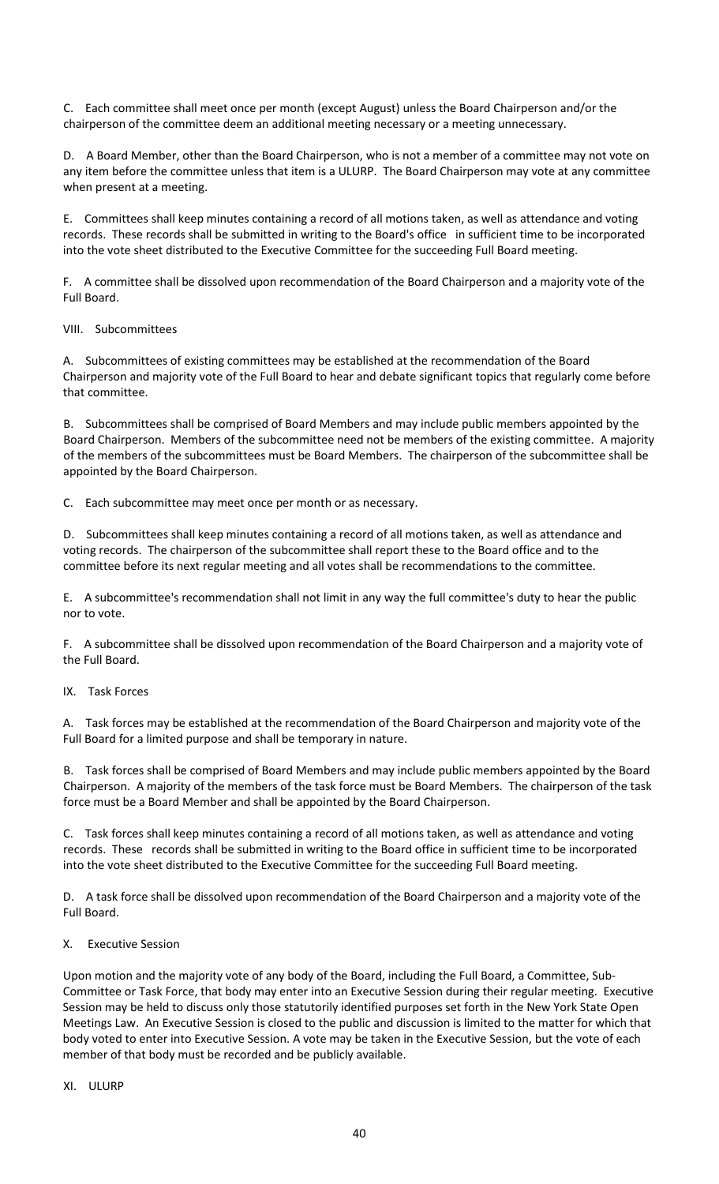C. Each committee shall meet once per month (except August) unless the Board Chairperson and/or the chairperson of the committee deem an additional meeting necessary or a meeting unnecessary.

D. A Board Member, other than the Board Chairperson, who is not a member of a committee may not vote on any item before the committee unless that item is a ULURP. The Board Chairperson may vote at any committee when present at a meeting.

E. Committees shall keep minutes containing a record of all motions taken, as well as attendance and voting records. These records shall be submitted in writing to the Board's office in sufficient time to be incorporated into the vote sheet distributed to the Executive Committee for the succeeding Full Board meeting.

F. A committee shall be dissolved upon recommendation of the Board Chairperson and a majority vote of the Full Board.

VIII. Subcommittees

A. Subcommittees of existing committees may be established at the recommendation of the Board Chairperson and majority vote of the Full Board to hear and debate significant topics that regularly come before that committee.

B. Subcommittees shall be comprised of Board Members and may include public members appointed by the Board Chairperson. Members of the subcommittee need not be members of the existing committee. A majority of the members of the subcommittees must be Board Members. The chairperson of the subcommittee shall be appointed by the Board Chairperson.

C. Each subcommittee may meet once per month or as necessary.

D. Subcommittees shall keep minutes containing a record of all motions taken, as well as attendance and voting records. The chairperson of the subcommittee shall report these to the Board office and to the committee before its next regular meeting and all votes shall be recommendations to the committee.

E. A subcommittee's recommendation shall not limit in any way the full committee's duty to hear the public nor to vote.

F. A subcommittee shall be dissolved upon recommendation of the Board Chairperson and a majority vote of the Full Board.

#### IX. Task Forces

A. Task forces may be established at the recommendation of the Board Chairperson and majority vote of the Full Board for a limited purpose and shall be temporary in nature.

B. Task forces shall be comprised of Board Members and may include public members appointed by the Board Chairperson. A majority of the members of the task force must be Board Members. The chairperson of the task force must be a Board Member and shall be appointed by the Board Chairperson.

C. Task forces shall keep minutes containing a record of all motions taken, as well as attendance and voting records. These records shall be submitted in writing to the Board office in sufficient time to be incorporated into the vote sheet distributed to the Executive Committee for the succeeding Full Board meeting.

D. A task force shall be dissolved upon recommendation of the Board Chairperson and a majority vote of the Full Board.

#### X. Executive Session

Upon motion and the majority vote of any body of the Board, including the Full Board, a Committee, Sub-Committee or Task Force, that body may enter into an Executive Session during their regular meeting. Executive Session may be held to discuss only those statutorily identified purposes set forth in the New York State Open Meetings Law. An Executive Session is closed to the public and discussion is limited to the matter for which that body voted to enter into Executive Session. A vote may be taken in the Executive Session, but the vote of each member of that body must be recorded and be publicly available.

#### XI. ULURP